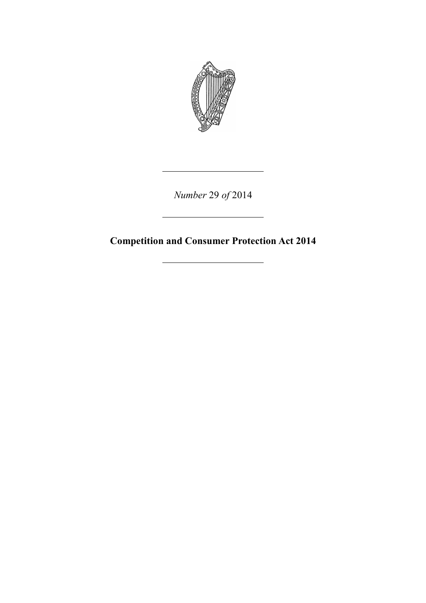

*Number* 29 *of* 2014

**Competition and Consumer Protection Act 2014**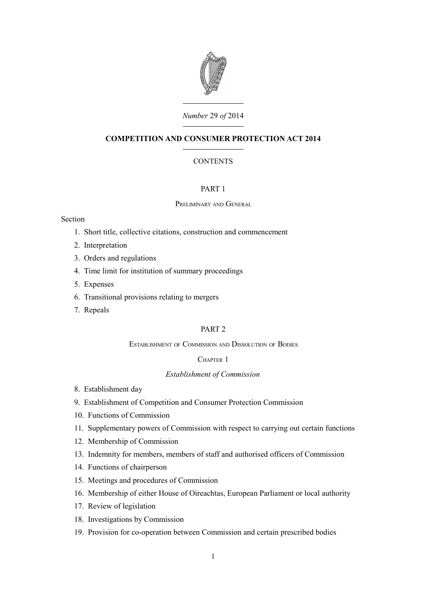

# *Number* 29 *of* 2014

# **COMPETITION AND CONSUMER PROTECTION ACT 2014**

# **CONTENTS**

# [PART 1](#page-8-0)

# P[RELIMINARY](#page-8-2) AND GENERAL

# Section

- 1. [Short title, collective citations, construction and commencement](#page-8-1)
- 2. [Interpretation](#page-9-1)
- 3. [Orders and regulations](#page-9-0)
- 4. [Time limit for institution of summary proceedings](#page-10-3)
- 5. [Expenses](#page-10-2)
- 6. [Transitional provisions relating to mergers](#page-10-1)
- 7. [Repeals](#page-10-0)

# [PART 2](#page-11-6)

# E[STABLISHMENT](#page-11-5) OF COMMISSION AND DISSOLUTION OF BODIES

# C[HAPTER](#page-11-4) 1

## *[Establishment of Commission](#page-11-3)*

- 8. [Establishment day](#page-11-2)
- 9. [Establishment of Competition and Consumer Protection Commission](#page-11-1)
- 10. [Functions of Commission](#page-11-0)
- 11. [Supplementary powers of Commission with respect to carrying out certain functions](#page-15-0)
- 12. [Membership of Commission](#page-16-0)
- 13. [Indemnity for members, members of staff and authorised officers of Commission](#page-19-2)
- 14. [Functions of chairperson](#page-19-1)
- 15. [Meetings and procedures of Commission](#page-19-0)
- 16. [Membership of either House of Oireachtas, European Parliament or local authority](#page-20-0)
- 17. [Review of legislation](#page-21-1)
- 18. [Investigations by Commission](#page-21-0)
- 19. [Provision for co-operation between Commission and certain prescribed bodies](#page-22-0)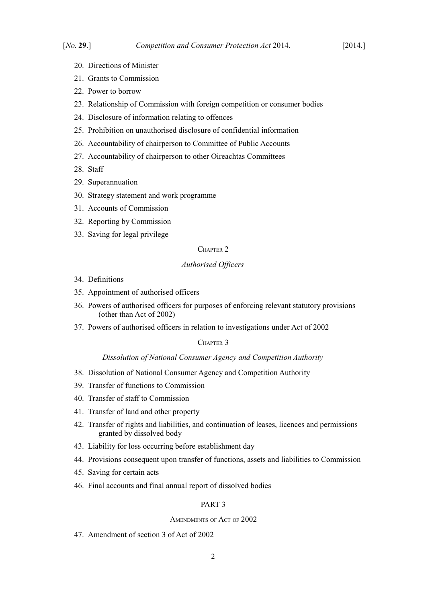- 20. [Directions of Minister](#page-25-3)
- 21. [Grants to Commission](#page-25-2)
- 22. [Power to borrow](#page-25-1)
- 23. [Relationship of Commission with foreign competition or consumer bodies](#page-25-0)
- 24. [Disclosure of information relating to offences](#page-26-0)
- 25. [Prohibition on unauthorised disclosure of confidential information](#page-27-0)
- 26. [Accountability of chairperson to Committee of Public Accounts](#page-28-1)
- 27. [Accountability of chairperson to other Oireachtas Committees](#page-28-0)
- 28. [Staff](#page-30-1)
- 29. [Superannuation](#page-30-0)
- 30. [Strategy statement and work programme](#page-32-0)
- 31. [Accounts of Commission](#page-33-0)
- 32. [Reporting by Commission](#page-34-1)
- 33. [Saving for legal privilege](#page-34-0)

# C[HAPTER](#page-35-2) 2

# *[Authorised Officers](#page-35-1)*

- 34. [Definitions](#page-35-0)
- 35. [Appointment of authorised officers](#page-36-0)
- 36. [Powers of authorised officers for purposes of enforcing relevant statutory provisions](#page-38-0) [\(other than Act of 2002\)](#page-38-0)
- 37. [Powers of authorised officers in relation to investigations under Act of 2002](#page-40-0)

# C[HAPTER](#page-43-4) 3

#### *[Dissolution of National Consumer Agency and Competition Authority](#page-43-3)*

- 38. [Dissolution of National Consumer Agency and Competition Authority](#page-43-2)
- 39. [Transfer of functions to Commission](#page-43-1)
- 40. [Transfer of staff to Commission](#page-43-0)
- 41. [Transfer of land and other property](#page-44-0)
- 42. [Transfer of rights and liabilities, and continuation of leases, licences and permissions](#page-45-2) [granted by dissolved body](#page-45-2)
- 43. [Liability for loss occurring before establishment day](#page-45-1)
- 44. [Provisions consequent upon transfer of functions, assets and liabilities to Commission](#page-45-0)
- 45. [Saving for certain acts](#page-46-4)
- 46. [Final accounts and final annual report of dissolved bodies](#page-46-3)

# [PART 3](#page-46-2)

#### A[MENDMENTS](#page-46-1) OF ACT OF 2002

47. [Amendment of section 3 of Act of 2002](#page-46-0)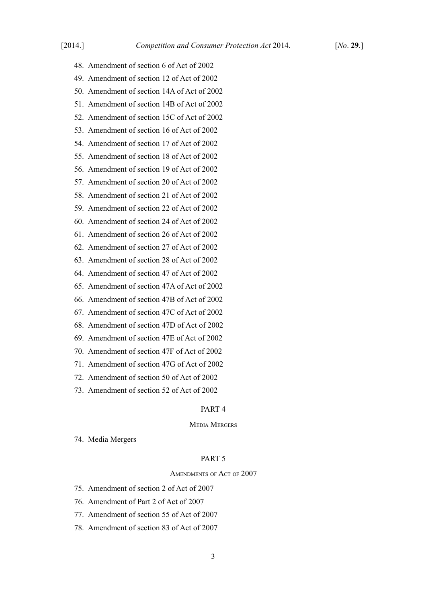- 48. [Amendment of section 6 of Act of 2002](#page-47-1)
- 49. [Amendment of section 12 of Act of 2002](#page-47-0)
- 50. [Amendment of section 14A of Act of 2002](#page-48-2)
- 51. [Amendment of section 14B of Act of 2002](#page-48-1)
- 52. [Amendment of section 15C of Act of 2002](#page-48-0)
- 53. [Amendment of section 16 of Act of 2002](#page-49-1)
- 54. [Amendment of section 17 of Act of 2002](#page-49-0)
- 55. [Amendment of section 18 of Act of 2002](#page-50-0)
- 56. [Amendment of section 19 of Act of 2002](#page-51-0)
- 57. [Amendment of section 20 of Act of 2002](#page-52-0)
- 58. [Amendment of section 21 of Act of 2002](#page-53-1)
- 59. [Amendment of section 22 of Act of 2002](#page-53-0)
- 60. [Amendment of section 24 of Act of 2002](#page-54-0)
- 61. [Amendment of section 26 of Act of 2002](#page-55-4)
- 62. [Amendment of section 27 of Act of 2002](#page-55-3)
- 63. [Amendment of section 28 of Act of 2002](#page-55-2)
- 64. [Amendment of section 47 of Act of 2002](#page-55-1)
- 65. [Amendment of section 47A of Act of 2002](#page-55-0)
- 66. [Amendment of section 47B of Act of 2002](#page-56-5)
- 67. [Amendment of section 47C of Act of 2002](#page-56-4)
- 68. [Amendment of section 47D of Act of 2002](#page-56-3)
- 69. [Amendment of section 47E of Act of 2002](#page-56-2)
- 70. [Amendment of section 47F of Act of 2002](#page-56-1)
- 71. [Amendment of section 47G of Act of 2002](#page-56-0)
- 72. [Amendment of section 50 of Act of 2002](#page-57-4)
- 73. [Amendment of section 52 of Act of 2002](#page-57-3)

#### [PART 4](#page-57-2)

#### MEDIA M[ERGERS](#page-57-1)

74. [Media Mergers](#page-57-0)

# [PART 5](#page-81-2)

## A[MENDMENTS](#page-81-1) OF ACT OF 2007

- 75. [Amendment of section 2 of Act of 2007](#page-81-0)
- 76. [Amendment of Part 2 of Act of 2007](#page-82-0)
- 77. [Amendment of section 55 of Act of 2007](#page-84-1)
- 78. [Amendment of section 83 of Act of 2007](#page-84-0)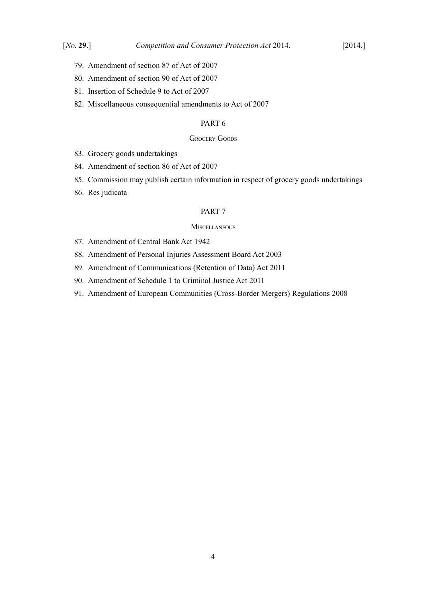- 79. [Amendment of section 87 of Act of 2007](#page-85-2)
- 80. [Amendment of section 90 of Act of 2007](#page-85-1)
- 81. [Insertion of Schedule 9 to Act of 2007](#page-85-0)
- 82. [Miscellaneous consequential amendments to Act of 2007](#page-87-3)

# [PART 6](#page-87-2)

# **G[ROCERY](#page-87-1) GOODS**

- 83. [Grocery goods undertakings](#page-87-0)
- 84. [Amendment of section 86 of Act of 2007](#page-97-1)
- 85. [Commission may publish certain information in respect of grocery goods undertakings](#page-97-0)
- 86. [Res judicata](#page-98-3)

## [PART 7](#page-98-2)

#### **M[ISCELLANEOUS](#page-98-1)**

- 87. [Amendment of Central Bank Act 1942](#page-98-0)
- 88. [Amendment of Personal Injuries Assessment Board Act 2003](#page-100-1)
- 89. [Amendment of Communications \(Retention of Data\) Act 2011](#page-100-0)
- 90. [Amendment of Schedule 1 to Criminal Justice Act 2011](#page-101-1)
- 91. [Amendment of European Communities \(Cross-Border Mergers\) Regulations 2008](#page-101-0)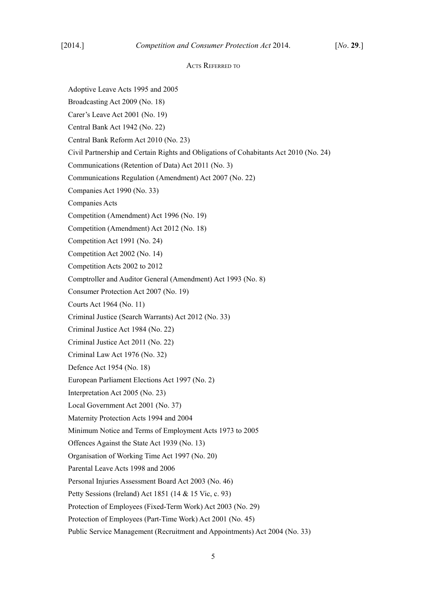## ACTS REFERRED TO

Adoptive Leave Acts 1995 and 2005

Broadcasting Act 2009 (No. 18)

Carer's Leave Act 2001 (No. 19)

Central Bank Act 1942 (No. 22)

Central Bank Reform Act 2010 (No. 23)

Civil Partnership and Certain Rights and Obligations of Cohabitants Act 2010 (No. 24)

Communications (Retention of Data) Act 2011 (No. 3)

Communications Regulation (Amendment) Act 2007 (No. 22)

Companies Act 1990 (No. 33)

Companies Acts

Competition (Amendment) Act 1996 (No. 19)

Competition (Amendment) Act 2012 (No. 18)

Competition Act 1991 (No. 24)

- Competition Act 2002 (No. 14)
- Competition Acts 2002 to 2012

Comptroller and Auditor General (Amendment) Act 1993 (No. 8)

Consumer Protection Act 2007 (No. 19)

Courts Act 1964 (No. 11)

Criminal Justice (Search Warrants) Act 2012 (No. 33)

Criminal Justice Act 1984 (No. 22)

Criminal Justice Act 2011 (No. 22)

Criminal Law Act 1976 (No. 32)

Defence Act 1954 (No. 18)

European Parliament Elections Act 1997 (No. 2)

Interpretation Act 2005 (No. 23)

Local Government Act 2001 (No. 37)

Maternity Protection Acts 1994 and 2004

Minimum Notice and Terms of Employment Acts 1973 to 2005

Offences Against the State Act 1939 (No. 13)

Organisation of Working Time Act 1997 (No. 20)

Parental Leave Acts 1998 and 2006

Personal Injuries Assessment Board Act 2003 (No. 46)

Petty Sessions (Ireland) Act 1851 (14 & 15 Vic, c. 93)

Protection of Employees (Fixed-Term Work) Act 2003 (No. 29)

Protection of Employees (Part-Time Work) Act 2001 (No. 45)

Public Service Management (Recruitment and Appointments) Act 2004 (No. 33)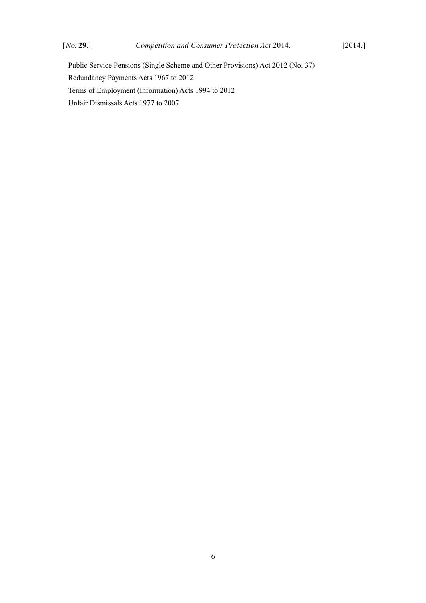Public Service Pensions (Single Scheme and Other Provisions) Act 2012 (No. 37) Redundancy Payments Acts 1967 to 2012 Terms of Employment (Information) Acts 1994 to 2012 Unfair Dismissals Acts 1977 to 2007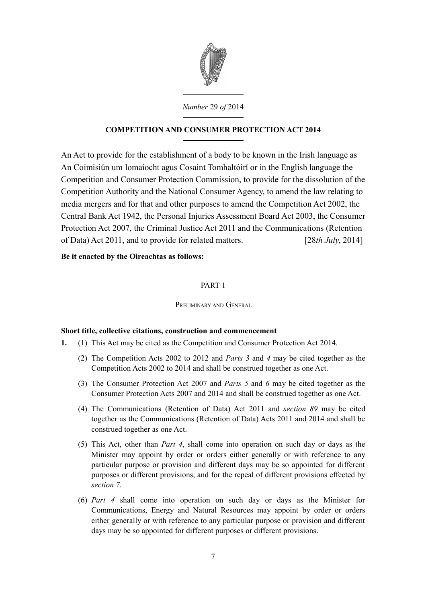

*Number* 29 *of* 2014

# **COMPETITION AND CONSUMER PROTECTION ACT 2014**

An Act to provide for the establishment of a body to be known in the Irish language as An Coimisiún um Iomaíocht agus Cosaint Tomhaltóirí or in the English language the Competition and Consumer Protection Commission, to provide for the dissolution of the Competition Authority and the National Consumer Agency, to amend the law relating to media mergers and for that and other purposes to amend the [Competition Act 2002,](http://www.irishstatutebook.ie/2002/en/act/pub/0014/index.html) the [Central Bank Act 1942,](http://www.irishstatutebook.ie/1942/en/act/pub/0022/index.html) the [Personal Injuries Assessment Board Act 2003,](http://www.irishstatutebook.ie/2003/en/act/pub/0046/index.html) the [Consumer](http://www.irishstatutebook.ie/2007/en/act/pub/0019/index.html) [Protection Act 2007,](http://www.irishstatutebook.ie/2007/en/act/pub/0019/index.html) the [Criminal Justice Act 2011](http://www.irishstatutebook.ie/2011/en/act/pub/0022/index.html) and the [Communications \(Retention](http://www.irishstatutebook.ie/2011/en/act/pub/0003/index.html) [of Data\) Act 2011,](http://www.irishstatutebook.ie/2011/en/act/pub/0003/index.html) and to provide for related matters. [28*th July*, 2014]

# **Be it enacted by the Oireachtas as follows:**

# <span id="page-8-0"></span>PART 1

<span id="page-8-2"></span>PRELIMINARY AND GENERAL

# <span id="page-8-1"></span>**Short title, collective citations, construction and commencement**

- <span id="page-8-5"></span><span id="page-8-4"></span><span id="page-8-3"></span>**1.** (1) This Act may be cited as the Competition and Consumer Protection Act 2014.
	- (2) The Competition Acts 2002 to 2012 and *Parts [3](#page-46-5)* and *[4](#page-57-5)* may be cited together as the Competition Acts 2002 to 2014 and shall be construed together as one Act.
	- (3) The [Consumer Protection Act 2007](http://www.irishstatutebook.ie/2007/en/act/pub/0019/index.html) and *Parts [5](#page-81-3)* and *[6](#page-87-4)* may be cited together as the Consumer Protection Acts 2007 and 2014 and shall be construed together as one Act.
	- (4) The [Communications \(Retention of Data\) Act 2011](http://www.irishstatutebook.ie/2011/en/act/pub/0003/index.html) and *section [89](#page-100-2)* may be cited together as the Communications (Retention of Data) Acts 2011 and 2014 and shall be construed together as one Act.
	- (5) This Act, other than *Part [4](#page-57-5)*, shall come into operation on such day or days as the Minister may appoint by order or orders either generally or with reference to any particular purpose or provision and different days may be so appointed for different purposes or different provisions, and for the repeal of different provisions effected by *section [7](#page-10-4)*.
	- (6) *Part [4](#page-57-5)* shall come into operation on such day or days as the Minister for Communications, Energy and Natural Resources may appoint by order or orders either generally or with reference to any particular purpose or provision and different days may be so appointed for different purposes or different provisions.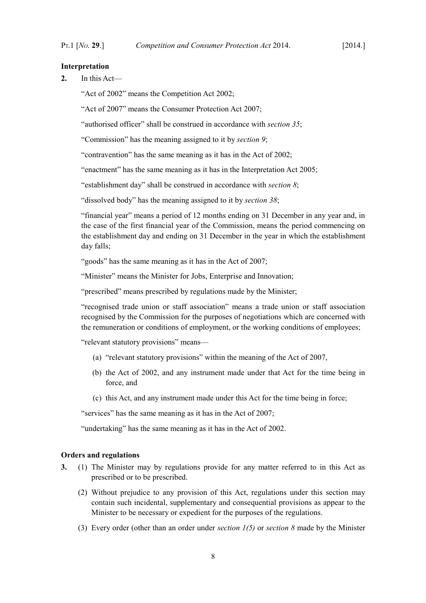# <span id="page-9-1"></span>**Interpretation**

**2.** In this Act—

"Act of 2002" means the [Competition Act 2002;](http://www.irishstatutebook.ie/2002/en/act/pub/0014/index.html)

"Act of 2007" means the [Consumer Protection Act 2007;](http://www.irishstatutebook.ie/2007/en/act/pub/0019/index.html)

"authorised officer" shall be construed in accordance with *section [35](#page-36-1)*;

"Commission" has the meaning assigned to it by *section [9](#page-11-8)*;

"contravention" has the same meaning as it has in the Act of 2002;

"enactment" has the same meaning as it has in the [Interpretation Act 2005;](http://www.irishstatutebook.ie/2005/en/act/pub/0023/index.html)

"establishment day" shall be construed in accordance with *section [8](#page-11-7)*;

"dissolved body" has the meaning assigned to it by *section [38](#page-43-5)*;

"financial year" means a period of 12 months ending on 31 December in any year and, in the case of the first financial year of the Commission, means the period commencing on the establishment day and ending on 31 December in the year in which the establishment day falls;

"goods" has the same meaning as it has in the Act of 2007;

"Minister" means the Minister for Jobs, Enterprise and Innovation;

"prescribed" means prescribed by regulations made by the Minister;

"recognised trade union or staff association" means a trade union or staff association recognised by the Commission for the purposes of negotiations which are concerned with the remuneration or conditions of employment, or the working conditions of employees;

"relevant statutory provisions" means—

- (a) "relevant statutory provisions" within the meaning of the Act of 2007,
- (b) the Act of 2002, and any instrument made under that Act for the time being in force, and
- (c) this Act, and any instrument made under this Act for the time being in force;

"services" has the same meaning as it has in the Act of 2007;

"undertaking" has the same meaning as it has in the Act of 2002.

## <span id="page-9-0"></span>**Orders and regulations**

- **3.** (1) The Minister may by regulations provide for any matter referred to in this Act as prescribed or to be prescribed.
	- (2) Without prejudice to any provision of this Act, regulations under this section may contain such incidental, supplementary and consequential provisions as appear to the Minister to be necessary or expedient for the purposes of the regulations.
	- (3) Every order (other than an order under *section [1](#page-8-4)[\(5\)](#page-8-3)* or *section [8](#page-11-7)* made by the Minister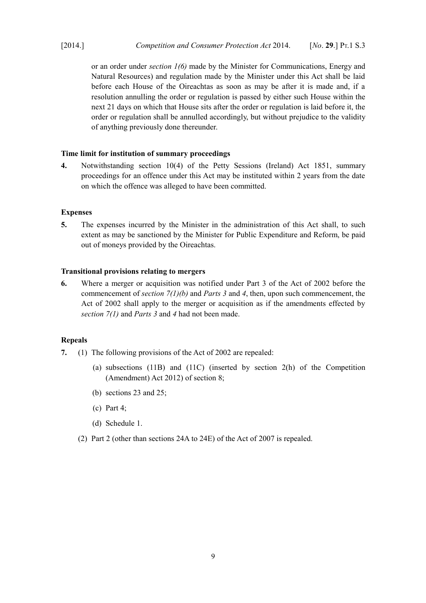or an order under *section [1](#page-8-4)[\(6\)](#page-8-5)* made by the Minister for Communications, Energy and Natural Resources) and regulation made by the Minister under this Act shall be laid before each House of the Oireachtas as soon as may be after it is made and, if a resolution annulling the order or regulation is passed by either such House within the next 21 days on which that House sits after the order or regulation is laid before it, the order or regulation shall be annulled accordingly, but without prejudice to the validity of anything previously done thereunder.

# <span id="page-10-3"></span>**Time limit for institution of summary proceedings**

**4.** Notwithstanding section 10(4) of the [Petty Sessions \(Ireland\) Act 1851,](http://www.irishstatutebook.ie/1851/en/act/pub/0093/index.html) summary proceedings for an offence under this Act may be instituted within 2 years from the date on which the offence was alleged to have been committed.

# <span id="page-10-2"></span>**Expenses**

**5.** The expenses incurred by the Minister in the administration of this Act shall, to such extent as may be sanctioned by the Minister for Public Expenditure and Reform, be paid out of moneys provided by the Oireachtas.

# <span id="page-10-1"></span>**Transitional provisions relating to mergers**

**6.** Where a merger or acquisition was notified under Part 3 of the Act of 2002 before the commencement of *section [7](#page-10-4)[\(1\)](#page-10-5)[\(b\)](#page-10-6)* and *Parts [3](#page-46-5)* and *[4](#page-57-5)*, then, upon such commencement, the Act of 2002 shall apply to the merger or acquisition as if the amendments effected by *section [7](#page-10-4)[\(1\)](#page-10-5)* and *Parts [3](#page-46-5)* and *[4](#page-57-5)* had not been made.

# <span id="page-10-0"></span>**Repeals**

- <span id="page-10-7"></span><span id="page-10-6"></span><span id="page-10-5"></span><span id="page-10-4"></span>**7.** (1) The following provisions of the Act of 2002 are repealed:
	- (a) subsections (11B) and (11C) (inserted by section 2(h) of the [Competition](http://www.irishstatutebook.ie/2012/en/act/pub/0018/index.html) [\(Amendment\) Act 2012\)](http://www.irishstatutebook.ie/2012/en/act/pub/0018/index.html) of section 8;
	- (b) sections 23 and 25;
	- (c) Part 4;
	- (d) Schedule 1.
	- (2) Part 2 (other than sections 24A to 24E) of the Act of 2007 is repealed.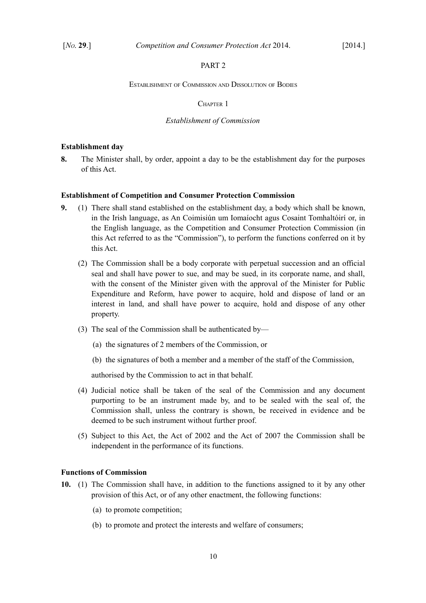# <span id="page-11-6"></span>PART 2

#### <span id="page-11-5"></span>ESTABLISHMENT OF COMMISSION AND DISSOLUTION OF BODIES

#### <span id="page-11-4"></span>CHAPTER 1

#### <span id="page-11-3"></span>*Establishment of Commission*

## <span id="page-11-2"></span>**Establishment day**

<span id="page-11-7"></span>**8.** The Minister shall, by order, appoint a day to be the establishment day for the purposes of this Act.

#### <span id="page-11-1"></span>**Establishment of Competition and Consumer Protection Commission**

- <span id="page-11-8"></span>**9.** (1) There shall stand established on the establishment day, a body which shall be known, in the Irish language, as An Coimisiún um Iomaíocht agus Cosaint Tomhaltóirí or, in the English language, as the Competition and Consumer Protection Commission (in this Act referred to as the "Commission"), to perform the functions conferred on it by this Act.
	- (2) The Commission shall be a body corporate with perpetual succession and an official seal and shall have power to sue, and may be sued, in its corporate name, and shall, with the consent of the Minister given with the approval of the Minister for Public Expenditure and Reform, have power to acquire, hold and dispose of land or an interest in land, and shall have power to acquire, hold and dispose of any other property.
	- (3) The seal of the Commission shall be authenticated by—
		- (a) the signatures of 2 members of the Commission, or
		- (b) the signatures of both a member and a member of the staff of the Commission,

authorised by the Commission to act in that behalf.

- (4) Judicial notice shall be taken of the seal of the Commission and any document purporting to be an instrument made by, and to be sealed with the seal of, the Commission shall, unless the contrary is shown, be received in evidence and be deemed to be such instrument without further proof.
- (5) Subject to this Act, the Act of 2002 and the Act of 2007 the Commission shall be independent in the performance of its functions.

#### <span id="page-11-0"></span>**Functions of Commission**

- <span id="page-11-10"></span><span id="page-11-9"></span>**10.** (1) The Commission shall have, in addition to the functions assigned to it by any other provision of this Act, or of any other enactment, the following functions:
	- (a) to promote competition;
	- (b) to promote and protect the interests and welfare of consumers;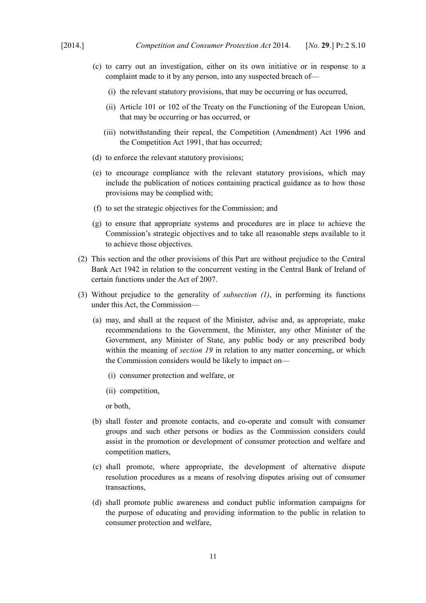- <span id="page-12-2"></span>(c) to carry out an investigation, either on its own initiative or in response to a complaint made to it by any person, into any suspected breach of—
	- (i) the relevant statutory provisions, that may be occurring or has occurred,
	- (ii) Article 101 or 102 of the Treaty on the Functioning of the European Union, that may be occurring or has occurred, or
	- (iii) notwithstanding their repeal, the [Competition \(Amendment\) Act 1996](http://www.irishstatutebook.ie/1996/en/act/pub/0019/print.html) and the [Competition Act 1991, that has occurred;](http://www.irishstatutebook.ie/1991/en/act/pub/0024/index.html)
- (d) to enforce the relevant statutory provisions;
- (e) to encourage compliance with the relevant statutory provisions, which may include the publication of notices containing practical guidance as to how those provisions may be complied with;
- (f) to set the strategic objectives for the Commission; and
- (g) to ensure that appropriate systems and procedures are in place to achieve the Commission's strategic objectives and to take all reasonable steps available to it to achieve those objectives.
- (2) This section and the other provisions of this Part are without prejudice to the [Central](http://www.irishstatutebook.ie/1942/en/act/pub/0022/index.html) [Bank Act 1942](http://www.irishstatutebook.ie/1942/en/act/pub/0022/index.html) in relation to the concurrent vesting in the Central Bank of Ireland of certain functions under the Act of 2007.
- <span id="page-12-1"></span>(3) Without prejudice to the generality of *subsection [\(1\)](#page-11-9)*, in performing its functions under this Act, the Commission—
	- (a) may, and shall at the request of the Minister, advise and, as appropriate, make recommendations to the Government, the Minister, any other Minister of the Government, any Minister of State, any public body or any prescribed body within the meaning of *section [19](#page-22-1)* in relation to any matter concerning, or which the Commission considers would be likely to impact on—
		- (i) consumer protection and welfare, or
		- (ii) competition,

or both,

- (b) shall foster and promote contacts, and co-operate and consult with consumer groups and such other persons or bodies as the Commission considers could assist in the promotion or development of consumer protection and welfare and competition matters,
- (c) shall promote, where appropriate, the development of alternative dispute resolution procedures as a means of resolving disputes arising out of consumer transactions,
- <span id="page-12-0"></span>(d) shall promote public awareness and conduct public information campaigns for the purpose of educating and providing information to the public in relation to consumer protection and welfare,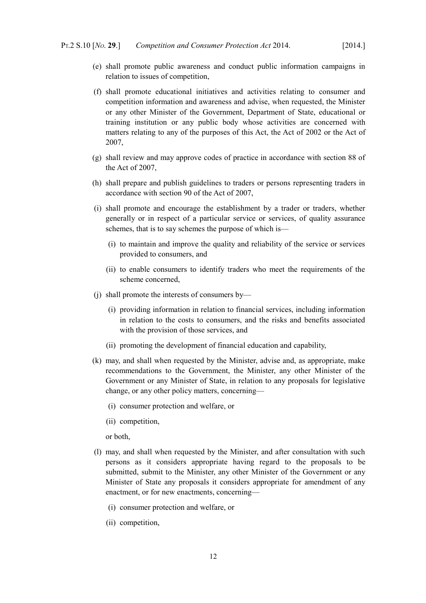- <span id="page-13-1"></span>(e) shall promote public awareness and conduct public information campaigns in relation to issues of competition,
- <span id="page-13-0"></span>(f) shall promote educational initiatives and activities relating to consumer and competition information and awareness and advise, when requested, the Minister or any other Minister of the Government, Department of State, educational or training institution or any public body whose activities are concerned with matters relating to any of the purposes of this Act, the Act of 2002 or the Act of 2007,
- (g) shall review and may approve codes of practice in accordance with section 88 of the Act of 2007,
- (h) shall prepare and publish guidelines to traders or persons representing traders in accordance with section 90 of the Act of 2007,
- (i) shall promote and encourage the establishment by a trader or traders, whether generally or in respect of a particular service or services, of quality assurance schemes, that is to say schemes the purpose of which is—
	- (i) to maintain and improve the quality and reliability of the service or services provided to consumers, and
	- (ii) to enable consumers to identify traders who meet the requirements of the scheme concerned,
- <span id="page-13-2"></span>(j) shall promote the interests of consumers by—
	- (i) providing information in relation to financial services, including information in relation to the costs to consumers, and the risks and benefits associated with the provision of those services, and
	- (ii) promoting the development of financial education and capability,
- (k) may, and shall when requested by the Minister, advise and, as appropriate, make recommendations to the Government, the Minister, any other Minister of the Government or any Minister of State, in relation to any proposals for legislative change, or any other policy matters, concerning—
	- (i) consumer protection and welfare, or
	- (ii) competition,

or both,

- (l) may, and shall when requested by the Minister, and after consultation with such persons as it considers appropriate having regard to the proposals to be submitted, submit to the Minister, any other Minister of the Government or any Minister of State any proposals it considers appropriate for amendment of any enactment, or for new enactments, concerning—
	- (i) consumer protection and welfare, or
	- (ii) competition,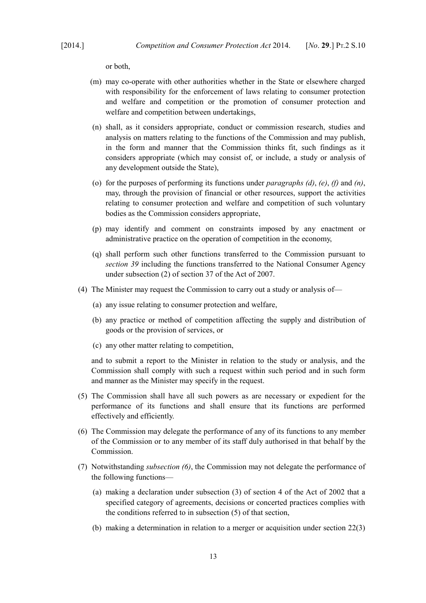or both,

- (m) may co-operate with other authorities whether in the State or elsewhere charged with responsibility for the enforcement of laws relating to consumer protection and welfare and competition or the promotion of consumer protection and welfare and competition between undertakings,
- <span id="page-14-1"></span>(n) shall, as it considers appropriate, conduct or commission research, studies and analysis on matters relating to the functions of the Commission and may publish, in the form and manner that the Commission thinks fit, such findings as it considers appropriate (which may consist of, or include, a study or analysis of any development outside the State),
- (o) for the purposes of performing its functions under *paragraphs [\(d\)](#page-12-0)*, *[\(e\)](#page-13-1)*, *[\(f\)](#page-13-0)* and *[\(n\)](#page-14-1)*, may, through the provision of financial or other resources, support the activities relating to consumer protection and welfare and competition of such voluntary bodies as the Commission considers appropriate,
- (p) may identify and comment on constraints imposed by any enactment or administrative practice on the operation of competition in the economy,
- (q) shall perform such other functions transferred to the Commission pursuant to *section [39](#page-43-6)* including the functions transferred to the National Consumer Agency under subsection (2) of section 37 of the Act of 2007.
- (4) The Minister may request the Commission to carry out a study or analysis of—
	- (a) any issue relating to consumer protection and welfare,
	- (b) any practice or method of competition affecting the supply and distribution of goods or the provision of services, or
	- (c) any other matter relating to competition,

and to submit a report to the Minister in relation to the study or analysis, and the Commission shall comply with such a request within such period and in such form and manner as the Minister may specify in the request.

- (5) The Commission shall have all such powers as are necessary or expedient for the performance of its functions and shall ensure that its functions are performed effectively and efficiently.
- <span id="page-14-0"></span>(6) The Commission may delegate the performance of any of its functions to any member of the Commission or to any member of its staff duly authorised in that behalf by the Commission.
- <span id="page-14-3"></span><span id="page-14-2"></span>(7) Notwithstanding *subsection [\(6\)](#page-14-0)*, the Commission may not delegate the performance of the following functions—
	- (a) making a declaration under subsection (3) of section 4 of the Act of 2002 that a specified category of agreements, decisions or concerted practices complies with the conditions referred to in subsection (5) of that section,
	- (b) making a determination in relation to a merger or acquisition under section 22(3)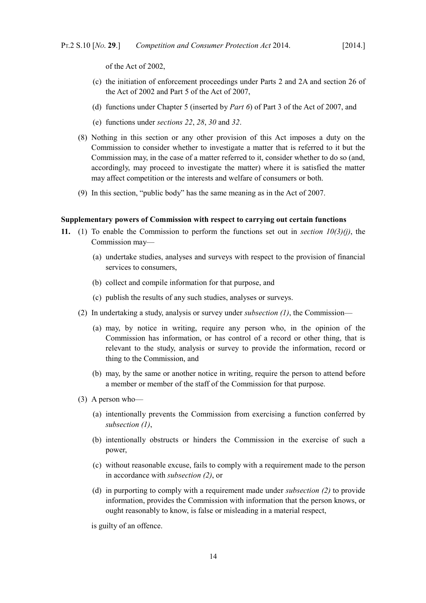of the Act of 2002,

- (c) the initiation of enforcement proceedings under Parts 2 and 2A and section 26 of the Act of 2002 and Part 5 of the Act of 2007,
- <span id="page-15-3"></span>(d) functions under Chapter 5 (inserted by *Part [6](#page-87-4)*) of Part 3 of the Act of 2007, and
- (e) functions under *sections [22](#page-25-4)*, *[28](#page-30-2)*, *[30](#page-32-1)* and *[32](#page-34-2)*.
- (8) Nothing in this section or any other provision of this Act imposes a duty on the Commission to consider whether to investigate a matter that is referred to it but the Commission may, in the case of a matter referred to it, consider whether to do so (and, accordingly, may proceed to investigate the matter) where it is satisfied the matter may affect competition or the interests and welfare of consumers or both.
- (9) In this section, "public body" has the same meaning as in the Act of 2007.

#### <span id="page-15-0"></span>**Supplementary powers of Commission with respect to carrying out certain functions**

- <span id="page-15-2"></span><span id="page-15-1"></span>**11.** (1) To enable the Commission to perform the functions set out in *section [10](#page-11-10)[\(3\)](#page-12-1)[\(j\)](#page-13-2)*, the Commission may—
	- (a) undertake studies, analyses and surveys with respect to the provision of financial services to consumers,
	- (b) collect and compile information for that purpose, and
	- (c) publish the results of any such studies, analyses or surveys.
	- (2) In undertaking a study, analysis or survey under *subsection [\(1\)](#page-15-2)*, the Commission—
		- (a) may, by notice in writing, require any person who, in the opinion of the Commission has information, or has control of a record or other thing, that is relevant to the study, analysis or survey to provide the information, record or thing to the Commission, and
		- (b) may, by the same or another notice in writing, require the person to attend before a member or member of the staff of the Commission for that purpose.
	- (3) A person who—
		- (a) intentionally prevents the Commission from exercising a function conferred by *subsection [\(1\)](#page-15-2)*,
		- (b) intentionally obstructs or hinders the Commission in the exercise of such a power,
		- (c) without reasonable excuse, fails to comply with a requirement made to the person in accordance with *subsection [\(2\)](#page-15-1)*, or
		- (d) in purporting to comply with a requirement made under *subsection [\(2\)](#page-15-1)* to provide information, provides the Commission with information that the person knows, or ought reasonably to know, is false or misleading in a material respect,

is guilty of an offence.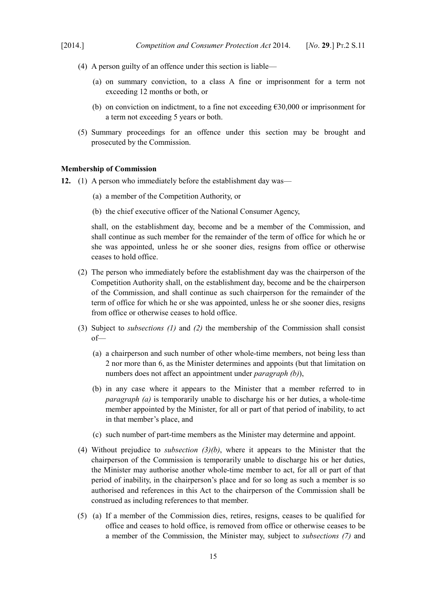- (4) A person guilty of an offence under this section is liable—
	- (a) on summary conviction, to a class A fine or imprisonment for a term not exceeding 12 months or both, or
	- (b) on conviction on indictment, to a fine not exceeding  $\epsilon$ 30,000 or imprisonment for a term not exceeding 5 years or both.
- (5) Summary proceedings for an offence under this section may be brought and prosecuted by the Commission.

## <span id="page-16-0"></span>**Membership of Commission**

- <span id="page-16-9"></span><span id="page-16-5"></span>**12.** (1) A person who immediately before the establishment day was—
	- (a) a member of the Competition Authority, or
	- (b) the chief executive officer of the National Consumer Agency,

<span id="page-16-10"></span>shall, on the establishment day, become and be a member of the Commission, and shall continue as such member for the remainder of the term of office for which he or she was appointed, unless he or she sooner dies, resigns from office or otherwise ceases to hold office.

- <span id="page-16-4"></span>(2) The person who immediately before the establishment day was the chairperson of the Competition Authority shall, on the establishment day, become and be the chairperson of the Commission, and shall continue as such chairperson for the remainder of the term of office for which he or she was appointed, unless he or she sooner dies, resigns from office or otherwise ceases to hold office.
- <span id="page-16-3"></span><span id="page-16-2"></span><span id="page-16-1"></span>(3) Subject to *subsections [\(1\)](#page-16-5)* and *[\(2\)](#page-16-4)* the membership of the Commission shall consist of—
	- (a) a chairperson and such number of other whole-time members, not being less than 2 nor more than 6, as the Minister determines and appoints (but that limitation on numbers does not affect an appointment under *paragraph [\(b\)](#page-16-1)*),
	- (b) in any case where it appears to the Minister that a member referred to in *paragraph [\(a\)](#page-16-3)* is temporarily unable to discharge his or her duties, a whole-time member appointed by the Minister, for all or part of that period of inability, to act in that member's place, and
	- (c) such number of part-time members as the Minister may determine and appoint.
- <span id="page-16-7"></span>(4) Without prejudice to *subsection [\(3\)](#page-16-2)[\(b\)](#page-16-1)*, where it appears to the Minister that the chairperson of the Commission is temporarily unable to discharge his or her duties, the Minister may authorise another whole-time member to act, for all or part of that period of inability, in the chairperson's place and for so long as such a member is so authorised and references in this Act to the chairperson of the Commission shall be construed as including references to that member.
- <span id="page-16-8"></span><span id="page-16-6"></span>(5) (a) If a member of the Commission dies, retires, resigns, ceases to be qualified for office and ceases to hold office, is removed from office or otherwise ceases to be a member of the Commission, the Minister may, subject to *subsections [\(7\)](#page-17-0)* and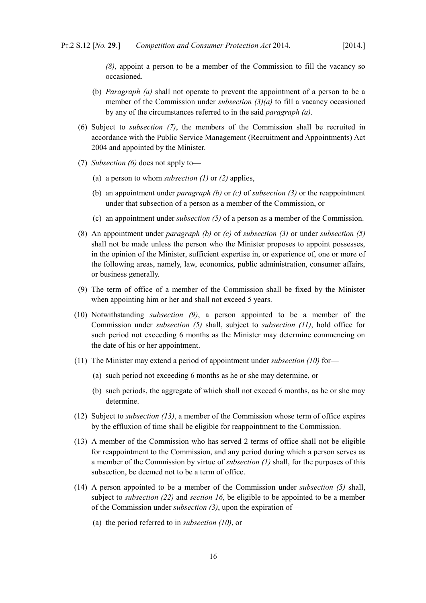*[\(8\)](#page-17-6)*, appoint a person to be a member of the Commission to fill the vacancy so occasioned.

- (b) *Paragraph [\(a\)](#page-16-8)* shall not operate to prevent the appointment of a person to be a member of the Commission under *subsection [\(3\)](#page-16-2)[\(a\)](#page-16-3)* to fill a vacancy occasioned by any of the circumstances referred to in the said *paragraph [\(a\)](#page-16-8)*.
- <span id="page-17-5"></span>(6) Subject to *subsection [\(7\)](#page-17-0)*, the members of the Commission shall be recruited in accordance with the [Public Service Management \(Recruitment and Appointments\) Act](http://www.irishstatutebook.ie/2004/en/act/pub/0033/index.html) [2004](http://www.irishstatutebook.ie/2004/en/act/pub/0033/index.html) and appointed by the Minister.
- <span id="page-17-0"></span>(7) *Subsection [\(6\)](#page-17-5)* does not apply to—
	- (a) a person to whom *subsection [\(1\)](#page-16-5)* or *[\(2\)](#page-16-4)* applies,
	- (b) an appointment under *paragraph [\(b\)](#page-16-1)* or *[\(c\)](#page-16-7)* of *subsection [\(3\)](#page-16-2)* or the reappointment under that subsection of a person as a member of the Commission, or
	- (c) an appointment under *subsection [\(5\)](#page-16-6)* of a person as a member of the Commission.
- <span id="page-17-6"></span>(8) An appointment under *paragraph [\(b\)](#page-16-1)* or *[\(c\)](#page-16-7)* of *subsection [\(3\)](#page-16-2)* or under *subsection [\(5\)](#page-16-6)* shall not be made unless the person who the Minister proposes to appoint possesses, in the opinion of the Minister, sufficient expertise in, or experience of, one or more of the following areas, namely, law, economics, public administration, consumer affairs, or business generally.
- <span id="page-17-4"></span>(9) The term of office of a member of the Commission shall be fixed by the Minister when appointing him or her and shall not exceed 5 years.
- <span id="page-17-1"></span>(10) Notwithstanding *subsection [\(9\)](#page-17-4)*, a person appointed to be a member of the Commission under *subsection [\(5\)](#page-16-6)* shall, subject to *subsection [\(11\)](#page-17-3)*, hold office for such period not exceeding 6 months as the Minister may determine commencing on the date of his or her appointment.
- <span id="page-17-3"></span>(11) The Minister may extend a period of appointment under *subsection [\(10\)](#page-17-1)* for—
	- (a) such period not exceeding 6 months as he or she may determine, or
	- (b) such periods, the aggregate of which shall not exceed 6 months, as he or she may determine.
- (12) Subject to *subsection [\(13\)](#page-17-2)*, a member of the Commission whose term of office expires by the effluxion of time shall be eligible for reappointment to the Commission.
- <span id="page-17-2"></span>(13) A member of the Commission who has served 2 terms of office shall not be eligible for reappointment to the Commission, and any period during which a person serves as a member of the Commission by virtue of *subsection [\(1\)](#page-16-5)* shall, for the purposes of this subsection, be deemed not to be a term of office.
- (14) A person appointed to be a member of the Commission under *subsection [\(5\)](#page-16-6)* shall, subject to *subsection [\(22\)](#page-18-0)* and *section [16](#page-20-1)*, be eligible to be appointed to be a member of the Commission under *subsection [\(3\)](#page-16-2)*, upon the expiration of—
	- (a) the period referred to in *subsection [\(10\)](#page-17-1)*, or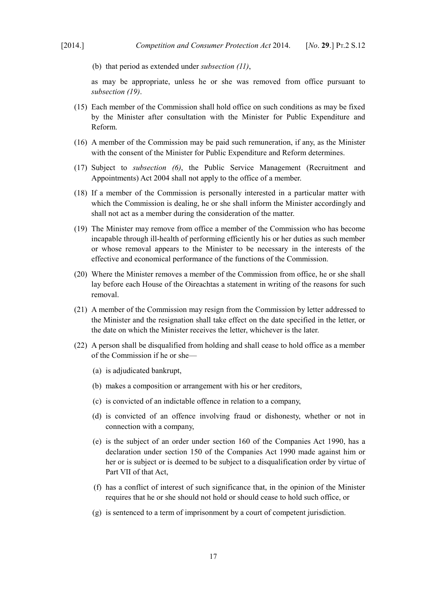(b) that period as extended under *subsection [\(11\)](#page-17-3)*,

as may be appropriate, unless he or she was removed from office pursuant to *subsection [\(19\)](#page-18-1)*.

- (15) Each member of the Commission shall hold office on such conditions as may be fixed by the Minister after consultation with the Minister for Public Expenditure and Reform.
- (16) A member of the Commission may be paid such remuneration, if any, as the Minister with the consent of the Minister for Public Expenditure and Reform determines.
- (17) Subject to *subsection [\(6\)](#page-17-5)*, the [Public Service Management \(Recruitment and](http://www.irishstatutebook.ie/2004/en/act/pub/0033/index.html) [Appointments\) Act 2004](http://www.irishstatutebook.ie/2004/en/act/pub/0033/index.html) shall not apply to the office of a member.
- (18) If a member of the Commission is personally interested in a particular matter with which the Commission is dealing, he or she shall inform the Minister accordingly and shall not act as a member during the consideration of the matter.
- <span id="page-18-1"></span>(19) The Minister may remove from office a member of the Commission who has become incapable through ill-health of performing efficiently his or her duties as such member or whose removal appears to the Minister to be necessary in the interests of the effective and economical performance of the functions of the Commission.
- (20) Where the Minister removes a member of the Commission from office, he or she shall lay before each House of the Oireachtas a statement in writing of the reasons for such removal.
- (21) A member of the Commission may resign from the Commission by letter addressed to the Minister and the resignation shall take effect on the date specified in the letter, or the date on which the Minister receives the letter, whichever is the later.
- <span id="page-18-0"></span>(22) A person shall be disqualified from holding and shall cease to hold office as a member of the Commission if he or she—
	- (a) is adjudicated bankrupt,
	- (b) makes a composition or arrangement with his or her creditors,
	- (c) is convicted of an indictable offence in relation to a company,
	- (d) is convicted of an offence involving fraud or dishonesty, whether or not in connection with a company,
	- (e) is the subject of an order under section 160 of the [Companies Act 1990,](http://www.irishstatutebook.ie/1990/en/act/pub/0033/index.html) has a declaration under section 150 of the [Companies Act 1990](http://www.irishstatutebook.ie/1990/en/act/pub/0033/index.html) made against him or her or is subject or is deemed to be subject to a disqualification order by virtue of Part VII of that Act,
	- (f) has a conflict of interest of such significance that, in the opinion of the Minister requires that he or she should not hold or should cease to hold such office, or
	- (g) is sentenced to a term of imprisonment by a court of competent jurisdiction.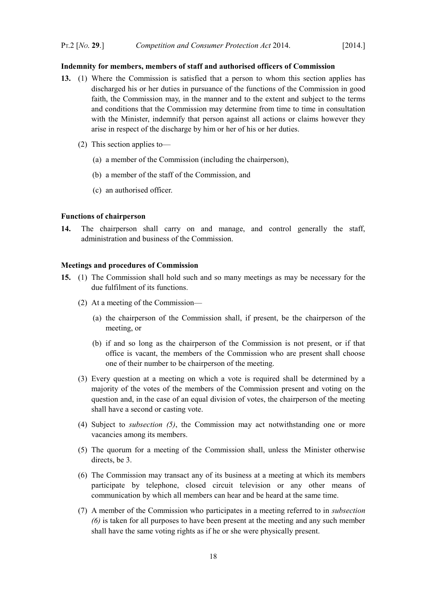## <span id="page-19-2"></span>**Indemnity for members, members of staff and authorised officers of Commission**

- **13.** (1) Where the Commission is satisfied that a person to whom this section applies has discharged his or her duties in pursuance of the functions of the Commission in good faith, the Commission may, in the manner and to the extent and subject to the terms and conditions that the Commission may determine from time to time in consultation with the Minister, indemnify that person against all actions or claims however they arise in respect of the discharge by him or her of his or her duties.
	- (2) This section applies to—
		- (a) a member of the Commission (including the chairperson),
		- (b) a member of the staff of the Commission, and
		- (c) an authorised officer.

#### <span id="page-19-1"></span>**Functions of chairperson**

**14.** The chairperson shall carry on and manage, and control generally the staff, administration and business of the Commission.

### <span id="page-19-0"></span>**Meetings and procedures of Commission**

- <span id="page-19-4"></span><span id="page-19-3"></span>**15.** (1) The Commission shall hold such and so many meetings as may be necessary for the due fulfilment of its functions.
	- (2) At a meeting of the Commission—
		- (a) the chairperson of the Commission shall, if present, be the chairperson of the meeting, or
		- (b) if and so long as the chairperson of the Commission is not present, or if that office is vacant, the members of the Commission who are present shall choose one of their number to be chairperson of the meeting.
	- (3) Every question at a meeting on which a vote is required shall be determined by a majority of the votes of the members of the Commission present and voting on the question and, in the case of an equal division of votes, the chairperson of the meeting shall have a second or casting vote.
	- (4) Subject to *subsection [\(5\)](#page-19-4)*, the Commission may act notwithstanding one or more vacancies among its members.
	- (5) The quorum for a meeting of the Commission shall, unless the Minister otherwise directs, be 3.
	- (6) The Commission may transact any of its business at a meeting at which its members participate by telephone, closed circuit television or any other means of communication by which all members can hear and be heard at the same time.
	- (7) A member of the Commission who participates in a meeting referred to in *subsection [\(6\)](#page-19-3)* is taken for all purposes to have been present at the meeting and any such member shall have the same voting rights as if he or she were physically present.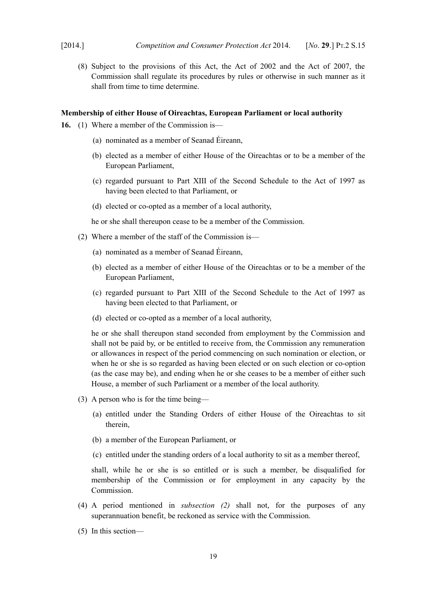(8) Subject to the provisions of this Act, the Act of 2002 and the Act of 2007, the Commission shall regulate its procedures by rules or otherwise in such manner as it shall from time to time determine.

#### <span id="page-20-0"></span>**Membership of either House of Oireachtas, European Parliament or local authority**

- <span id="page-20-1"></span>**16.** (1) Where a member of the Commission is—
	- (a) nominated as a member of Seanad Éireann,
	- (b) elected as a member of either House of the Oireachtas or to be a member of the European Parliament,
	- (c) regarded pursuant to Part XIII of the Second Schedule to the Act of 1997 as having been elected to that Parliament, or
	- (d) elected or co-opted as a member of a local authority,

he or she shall thereupon cease to be a member of the Commission.

- <span id="page-20-2"></span>(2) Where a member of the staff of the Commission is—
	- (a) nominated as a member of Seanad Éireann,
	- (b) elected as a member of either House of the Oireachtas or to be a member of the European Parliament,
	- (c) regarded pursuant to Part XIII of the Second Schedule to the Act of 1997 as having been elected to that Parliament, or
	- (d) elected or co-opted as a member of a local authority,

he or she shall thereupon stand seconded from employment by the Commission and shall not be paid by, or be entitled to receive from, the Commission any remuneration or allowances in respect of the period commencing on such nomination or election, or when he or she is so regarded as having been elected or on such election or co-option (as the case may be), and ending when he or she ceases to be a member of either such House, a member of such Parliament or a member of the local authority.

- (3) A person who is for the time being—
	- (a) entitled under the Standing Orders of either House of the Oireachtas to sit therein,
	- (b) a member of the European Parliament, or
	- (c) entitled under the standing orders of a local authority to sit as a member thereof,

shall, while he or she is so entitled or is such a member, be disqualified for membership of the Commission or for employment in any capacity by the Commission.

- (4) A period mentioned in *subsection [\(2\)](#page-20-2)* shall not, for the purposes of any superannuation benefit, be reckoned as service with the Commission.
- (5) In this section—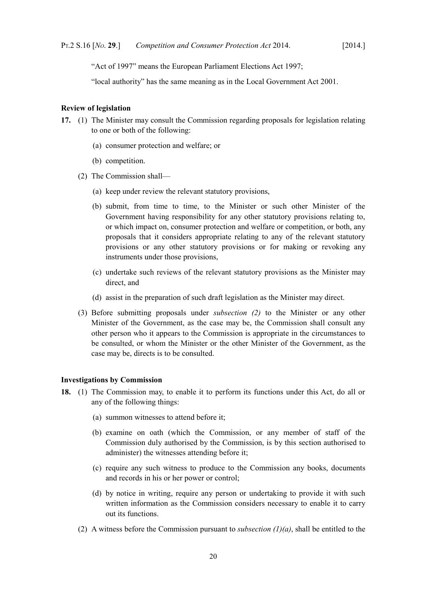"Act of 1997" means the [European Parliament Elections Act 1997;](http://www.irishstatutebook.ie/1997/en/act/pub/0002/index.html)

"local authority" has the same meaning as in the [Local Government Act 2001.](http://www.irishstatutebook.ie/2001/en/act/pub/0037/index.html)

#### <span id="page-21-1"></span>**Review of legislation**

- <span id="page-21-4"></span>**17.** (1) The Minister may consult the Commission regarding proposals for legislation relating to one or both of the following:
	- (a) consumer protection and welfare; or
	- (b) competition.
	- (2) The Commission shall—
		- (a) keep under review the relevant statutory provisions,
		- (b) submit, from time to time, to the Minister or such other Minister of the Government having responsibility for any other statutory provisions relating to, or which impact on, consumer protection and welfare or competition, or both, any proposals that it considers appropriate relating to any of the relevant statutory provisions or any other statutory provisions or for making or revoking any instruments under those provisions,
		- (c) undertake such reviews of the relevant statutory provisions as the Minister may direct, and
		- (d) assist in the preparation of such draft legislation as the Minister may direct.
	- (3) Before submitting proposals under *subsection [\(2\)](#page-21-4)* to the Minister or any other Minister of the Government, as the case may be, the Commission shall consult any other person who it appears to the Commission is appropriate in the circumstances to be consulted, or whom the Minister or the other Minister of the Government, as the case may be, directs is to be consulted.

### <span id="page-21-0"></span>**Investigations by Commission**

- <span id="page-21-5"></span><span id="page-21-3"></span><span id="page-21-2"></span>**18.** (1) The Commission may, to enable it to perform its functions under this Act, do all or any of the following things:
	- (a) summon witnesses to attend before it;
	- (b) examine on oath (which the Commission, or any member of staff of the Commission duly authorised by the Commission, is by this section authorised to administer) the witnesses attending before it;
	- (c) require any such witness to produce to the Commission any books, documents and records in his or her power or control;
	- (d) by notice in writing, require any person or undertaking to provide it with such written information as the Commission considers necessary to enable it to carry out its functions.
	- (2) A witness before the Commission pursuant to *subsection [\(1\)](#page-21-3)[\(a\)](#page-21-2)*, shall be entitled to the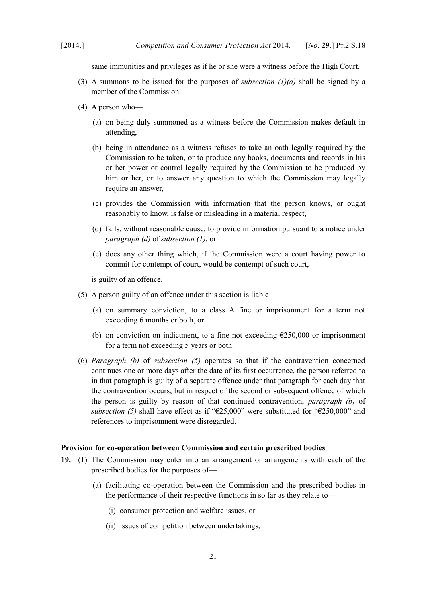same immunities and privileges as if he or she were a witness before the High Court.

- (3) A summons to be issued for the purposes of *subsection*  $(l)(a)$  $(l)(a)$  shall be signed by a member of the Commission.
- (4) A person who—
	- (a) on being duly summoned as a witness before the Commission makes default in attending,
	- (b) being in attendance as a witness refuses to take an oath legally required by the Commission to be taken, or to produce any books, documents and records in his or her power or control legally required by the Commission to be produced by him or her, or to answer any question to which the Commission may legally require an answer,
	- (c) provides the Commission with information that the person knows, or ought reasonably to know, is false or misleading in a material respect,
	- (d) fails, without reasonable cause, to provide information pursuant to a notice under *paragraph [\(d\)](#page-21-5)* of *subsection [\(1\)](#page-21-3)*, or
	- (e) does any other thing which, if the Commission were a court having power to commit for contempt of court, would be contempt of such court,

is guilty of an offence.

- <span id="page-22-2"></span>(5) A person guilty of an offence under this section is liable—
	- (a) on summary conviction, to a class A fine or imprisonment for a term not exceeding 6 months or both, or
	- (b) on conviction on indictment, to a fine not exceeding  $\epsilon$ 250,000 or imprisonment for a term not exceeding 5 years or both.
- <span id="page-22-3"></span>(6) *Paragraph [\(b\)](#page-22-3)* of *subsection [\(5\)](#page-22-2)* operates so that if the contravention concerned continues one or more days after the date of its first occurrence, the person referred to in that paragraph is guilty of a separate offence under that paragraph for each day that the contravention occurs; but in respect of the second or subsequent offence of which the person is guilty by reason of that continued contravention, *paragraph [\(b\)](#page-22-3)* of *subsection [\(5\)](#page-22-2)* shall have effect as if "€25,000" were substituted for "€250,000" and references to imprisonment were disregarded.

#### <span id="page-22-0"></span>**Provision for co-operation between Commission and certain prescribed bodies**

- <span id="page-22-4"></span><span id="page-22-1"></span>**19.** (1) The Commission may enter into an arrangement or arrangements with each of the prescribed bodies for the purposes of—
	- (a) facilitating co-operation between the Commission and the prescribed bodies in the performance of their respective functions in so far as they relate to—
		- (i) consumer protection and welfare issues, or
		- (ii) issues of competition between undertakings,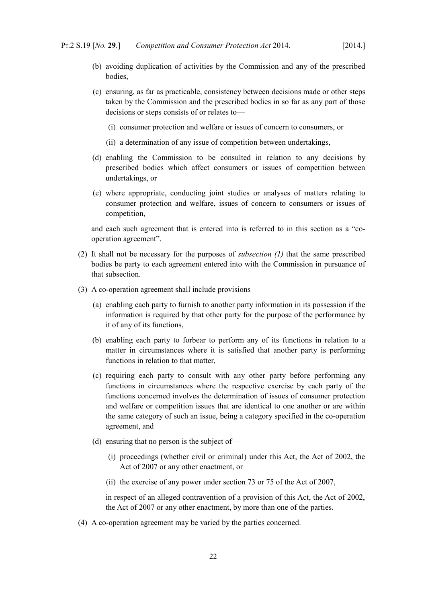- (b) avoiding duplication of activities by the Commission and any of the prescribed **bodies**
- (c) ensuring, as far as practicable, consistency between decisions made or other steps taken by the Commission and the prescribed bodies in so far as any part of those decisions or steps consists of or relates to—
	- (i) consumer protection and welfare or issues of concern to consumers, or
	- (ii) a determination of any issue of competition between undertakings,
- (d) enabling the Commission to be consulted in relation to any decisions by prescribed bodies which affect consumers or issues of competition between undertakings, or
- (e) where appropriate, conducting joint studies or analyses of matters relating to consumer protection and welfare, issues of concern to consumers or issues of competition,

and each such agreement that is entered into is referred to in this section as a "cooperation agreement".

- (2) It shall not be necessary for the purposes of *subsection [\(1\)](#page-22-4)* that the same prescribed bodies be party to each agreement entered into with the Commission in pursuance of that subsection.
- <span id="page-23-1"></span><span id="page-23-0"></span>(3) A co-operation agreement shall include provisions—
	- (a) enabling each party to furnish to another party information in its possession if the information is required by that other party for the purpose of the performance by it of any of its functions,
	- (b) enabling each party to forbear to perform any of its functions in relation to a matter in circumstances where it is satisfied that another party is performing functions in relation to that matter,
	- (c) requiring each party to consult with any other party before performing any functions in circumstances where the respective exercise by each party of the functions concerned involves the determination of issues of consumer protection and welfare or competition issues that are identical to one another or are within the same category of such an issue, being a category specified in the co-operation agreement, and
	- (d) ensuring that no person is the subject of—
		- (i) proceedings (whether civil or criminal) under this Act, the Act of 2002, the Act of 2007 or any other enactment, or
		- (ii) the exercise of any power under section 73 or 75 of the Act of 2007,

in respect of an alleged contravention of a provision of this Act, the Act of 2002, the Act of 2007 or any other enactment, by more than one of the parties.

(4) A co-operation agreement may be varied by the parties concerned.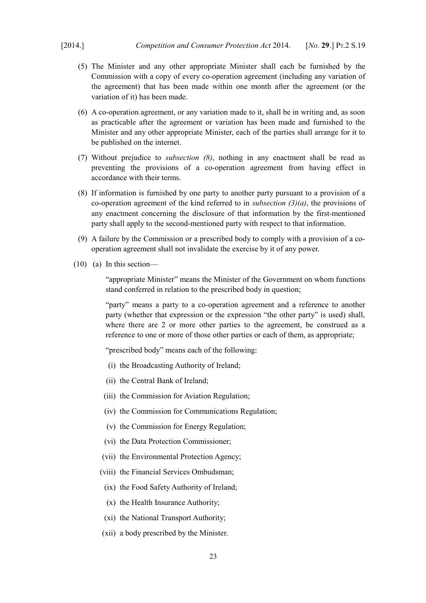- (5) The Minister and any other appropriate Minister shall each be furnished by the Commission with a copy of every co-operation agreement (including any variation of the agreement) that has been made within one month after the agreement (or the variation of it) has been made.
- (6) A co-operation agreement, or any variation made to it, shall be in writing and, as soon as practicable after the agreement or variation has been made and furnished to the Minister and any other appropriate Minister, each of the parties shall arrange for it to be published on the internet.
- (7) Without prejudice to *subsection [\(8\)](#page-24-0)*, nothing in any enactment shall be read as preventing the provisions of a co-operation agreement from having effect in accordance with their terms.
- <span id="page-24-0"></span>(8) If information is furnished by one party to another party pursuant to a provision of a co-operation agreement of the kind referred to in *subsection [\(3\)](#page-23-1)[\(a\)](#page-23-0)*, the provisions of any enactment concerning the disclosure of that information by the first-mentioned party shall apply to the second-mentioned party with respect to that information.
- (9) A failure by the Commission or a prescribed body to comply with a provision of a cooperation agreement shall not invalidate the exercise by it of any power.
- (10) (a) In this section—

"appropriate Minister" means the Minister of the Government on whom functions stand conferred in relation to the prescribed body in question;

"party" means a party to a co-operation agreement and a reference to another party (whether that expression or the expression "the other party" is used) shall, where there are 2 or more other parties to the agreement, be construed as a reference to one or more of those other parties or each of them, as appropriate;

"prescribed body" means each of the following:

- (i) the Broadcasting Authority of Ireland;
- (ii) the Central Bank of Ireland;
- (iii) the Commission for Aviation Regulation;
- (iv) the Commission for Communications Regulation;
- (v) the Commission for Energy Regulation;
- (vi) the Data Protection Commissioner;
- (vii) the Environmental Protection Agency;
- (viii) the Financial Services Ombudsman;
- (ix) the Food Safety Authority of Ireland;
- (x) the Health Insurance Authority;
- (xi) the National Transport Authority;
- (xii) a body prescribed by the Minister.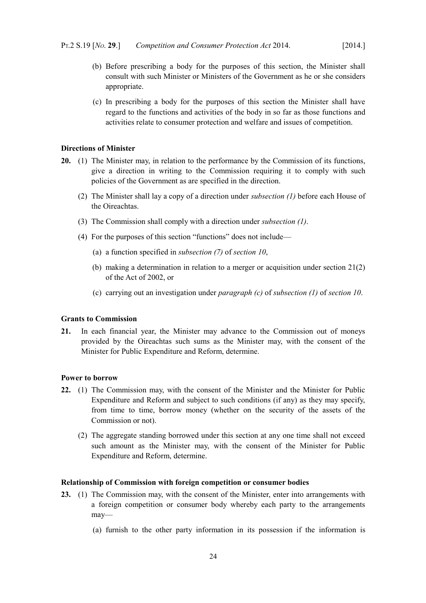- (b) Before prescribing a body for the purposes of this section, the Minister shall consult with such Minister or Ministers of the Government as he or she considers appropriate.
- (c) In prescribing a body for the purposes of this section the Minister shall have regard to the functions and activities of the body in so far as those functions and activities relate to consumer protection and welfare and issues of competition.

## <span id="page-25-3"></span>**Directions of Minister**

- <span id="page-25-5"></span>**20.** (1) The Minister may, in relation to the performance by the Commission of its functions, give a direction in writing to the Commission requiring it to comply with such policies of the Government as are specified in the direction.
	- (2) The Minister shall lay a copy of a direction under *subsection [\(1\)](#page-25-5)* before each House of the Oireachtas.
	- (3) The Commission shall comply with a direction under *subsection [\(1\)](#page-25-5)*.
	- (4) For the purposes of this section "functions" does not include—
		- (a) a function specified in *subsection [\(7\)](#page-14-2)* of *section [10](#page-11-10)*,
		- (b) making a determination in relation to a merger or acquisition under section 21(2) of the Act of 2002, or
		- (c) carrying out an investigation under *paragraph [\(c\)](#page-12-2)* of *subsection [\(1\)](#page-11-9)* of *section [10](#page-11-10)*.

## <span id="page-25-2"></span>**Grants to Commission**

**21.** In each financial year, the Minister may advance to the Commission out of moneys provided by the Oireachtas such sums as the Minister may, with the consent of the Minister for Public Expenditure and Reform, determine.

#### <span id="page-25-1"></span>**Power to borrow**

- <span id="page-25-4"></span>**22.** (1) The Commission may, with the consent of the Minister and the Minister for Public Expenditure and Reform and subject to such conditions (if any) as they may specify, from time to time, borrow money (whether on the security of the assets of the Commission or not).
	- (2) The aggregate standing borrowed under this section at any one time shall not exceed such amount as the Minister may, with the consent of the Minister for Public Expenditure and Reform, determine.

#### <span id="page-25-0"></span>**Relationship of Commission with foreign competition or consumer bodies**

- <span id="page-25-6"></span>**23.** (1) The Commission may, with the consent of the Minister, enter into arrangements with a foreign competition or consumer body whereby each party to the arrangements may—
	- (a) furnish to the other party information in its possession if the information is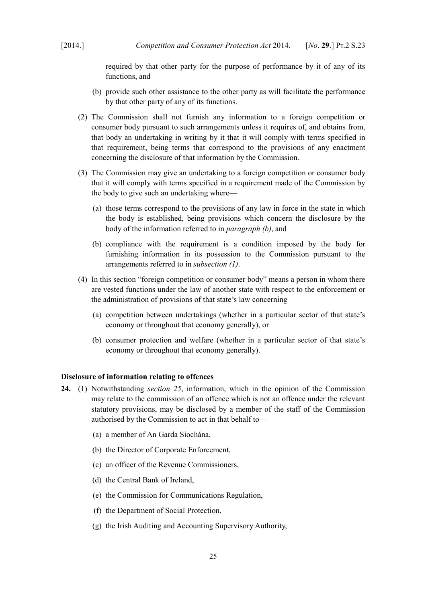required by that other party for the purpose of performance by it of any of its functions, and

- (b) provide such other assistance to the other party as will facilitate the performance by that other party of any of its functions.
- (2) The Commission shall not furnish any information to a foreign competition or consumer body pursuant to such arrangements unless it requires of, and obtains from, that body an undertaking in writing by it that it will comply with terms specified in that requirement, being terms that correspond to the provisions of any enactment concerning the disclosure of that information by the Commission.
- (3) The Commission may give an undertaking to a foreign competition or consumer body that it will comply with terms specified in a requirement made of the Commission by the body to give such an undertaking where—
	- (a) those terms correspond to the provisions of any law in force in the state in which the body is established, being provisions which concern the disclosure by the body of the information referred to in *paragraph [\(b\)](#page-26-1)*, and
	- (b) compliance with the requirement is a condition imposed by the body for furnishing information in its possession to the Commission pursuant to the arrangements referred to in *subsection [\(1\)](#page-25-6)*.
- <span id="page-26-1"></span>(4) In this section "foreign competition or consumer body" means a person in whom there are vested functions under the law of another state with respect to the enforcement or the administration of provisions of that state's law concerning—
	- (a) competition between undertakings (whether in a particular sector of that state's economy or throughout that economy generally), or
	- (b) consumer protection and welfare (whether in a particular sector of that state's economy or throughout that economy generally).

## <span id="page-26-0"></span>**Disclosure of information relating to offences**

- <span id="page-26-4"></span><span id="page-26-3"></span><span id="page-26-2"></span>**24.** (1) Notwithstanding *section [25](#page-27-1)*, information, which in the opinion of the Commission may relate to the commission of an offence which is not an offence under the relevant statutory provisions, may be disclosed by a member of the staff of the Commission authorised by the Commission to act in that behalf to—
	- (a) a member of An Garda Síochána,
	- (b) the Director of Corporate Enforcement,
	- (c) an officer of the Revenue Commissioners,
	- (d) the Central Bank of Ireland,
	- (e) the Commission for Communications Regulation,
	- (f) the Department of Social Protection,
	- (g) the Irish Auditing and Accounting Supervisory Authority,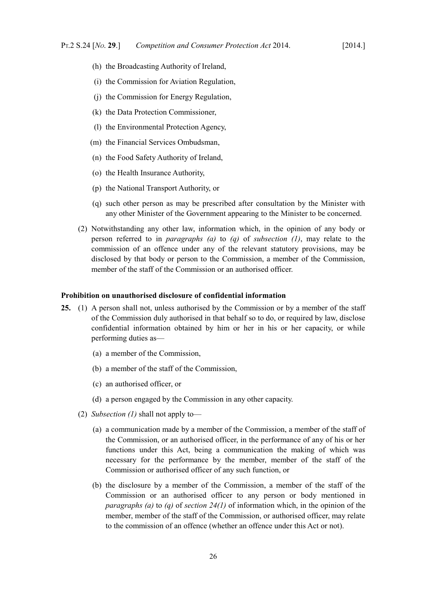- (h) the Broadcasting Authority of Ireland,
- (i) the Commission for Aviation Regulation,
- (j) the Commission for Energy Regulation,
- (k) the Data Protection Commissioner,
- (l) the Environmental Protection Agency,
- (m) the Financial Services Ombudsman,
- (n) the Food Safety Authority of Ireland,
- (o) the Health Insurance Authority,
- (p) the National Transport Authority, or
- <span id="page-27-2"></span>(q) such other person as may be prescribed after consultation by the Minister with any other Minister of the Government appearing to the Minister to be concerned.
- (2) Notwithstanding any other law, information which, in the opinion of any body or person referred to in *paragraphs [\(a\)](#page-26-4)* to *[\(q\)](#page-27-2)* of *subsection [\(1\)](#page-26-2)*, may relate to the commission of an offence under any of the relevant statutory provisions, may be disclosed by that body or person to the Commission, a member of the Commission, member of the staff of the Commission or an authorised officer.

#### <span id="page-27-0"></span>**Prohibition on unauthorised disclosure of confidential information**

- <span id="page-27-3"></span><span id="page-27-1"></span>**25.** (1) A person shall not, unless authorised by the Commission or by a member of the staff of the Commission duly authorised in that behalf so to do, or required by law, disclose confidential information obtained by him or her in his or her capacity, or while performing duties as—
	- (a) a member of the Commission,
	- (b) a member of the staff of the Commission,
	- (c) an authorised officer, or
	- (d) a person engaged by the Commission in any other capacity.
	- (2) *Subsection [\(1\)](#page-27-3)* shall not apply to—
		- (a) a communication made by a member of the Commission, a member of the staff of the Commission, or an authorised officer, in the performance of any of his or her functions under this Act, being a communication the making of which was necessary for the performance by the member, member of the staff of the Commission or authorised officer of any such function, or
		- (b) the disclosure by a member of the Commission, a member of the staff of the Commission or an authorised officer to any person or body mentioned in *paragraphs [\(a\)](#page-26-4)* to *[\(q\)](#page-27-2)* of *section [24](#page-26-3)[\(1\)](#page-26-2)* of information which, in the opinion of the member, member of the staff of the Commission, or authorised officer, may relate to the commission of an offence (whether an offence under this Act or not).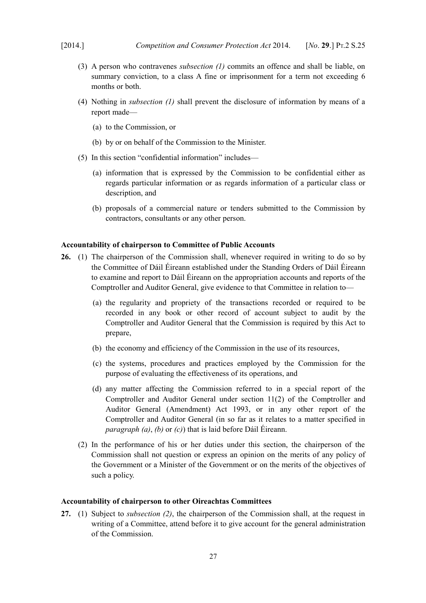- (3) A person who contravenes *subsection [\(1\)](#page-27-3)* commits an offence and shall be liable, on summary conviction, to a class A fine or imprisonment for a term not exceeding 6 months or both.
- (4) Nothing in *subsection [\(1\)](#page-27-3)* shall prevent the disclosure of information by means of a report made—
	- (a) to the Commission, or
	- (b) by or on behalf of the Commission to the Minister.
- (5) In this section "confidential information" includes—
	- (a) information that is expressed by the Commission to be confidential either as regards particular information or as regards information of a particular class or description, and
	- (b) proposals of a commercial nature or tenders submitted to the Commission by contractors, consultants or any other person.

#### <span id="page-28-1"></span>**Accountability of chairperson to Committee of Public Accounts**

- <span id="page-28-5"></span><span id="page-28-4"></span><span id="page-28-3"></span><span id="page-28-2"></span>**26.** (1) The chairperson of the Commission shall, whenever required in writing to do so by the Committee of Dáil Éireann established under the Standing Orders of Dáil Éireann to examine and report to Dáil Éireann on the appropriation accounts and reports of the Comptroller and Auditor General, give evidence to that Committee in relation to—
	- (a) the regularity and propriety of the transactions recorded or required to be recorded in any book or other record of account subject to audit by the Comptroller and Auditor General that the Commission is required by this Act to prepare,
	- (b) the economy and efficiency of the Commission in the use of its resources,
	- (c) the systems, procedures and practices employed by the Commission for the purpose of evaluating the effectiveness of its operations, and
	- (d) any matter affecting the Commission referred to in a special report of the Comptroller and Auditor General under section 11(2) of the [Comptroller and](http://www.irishstatutebook.ie/1993/en/act/pub/0008/index.html) [Auditor General \(Amendment\) Act 1993,](http://www.irishstatutebook.ie/1993/en/act/pub/0008/index.html) or in any other report of the Comptroller and Auditor General (in so far as it relates to a matter specified in *paragraph [\(a\)](#page-28-4)*, *[\(b\)](#page-28-3)* or *[\(c\)](#page-28-2)*) that is laid before Dáil Éireann.
	- (2) In the performance of his or her duties under this section, the chairperson of the Commission shall not question or express an opinion on the merits of any policy of the Government or a Minister of the Government or on the merits of the objectives of such a policy.

#### <span id="page-28-0"></span>**Accountability of chairperson to other Oireachtas Committees**

<span id="page-28-6"></span>**27.** (1) Subject to *subsection [\(2\)](#page-29-0)*, the chairperson of the Commission shall, at the request in writing of a Committee, attend before it to give account for the general administration of the Commission.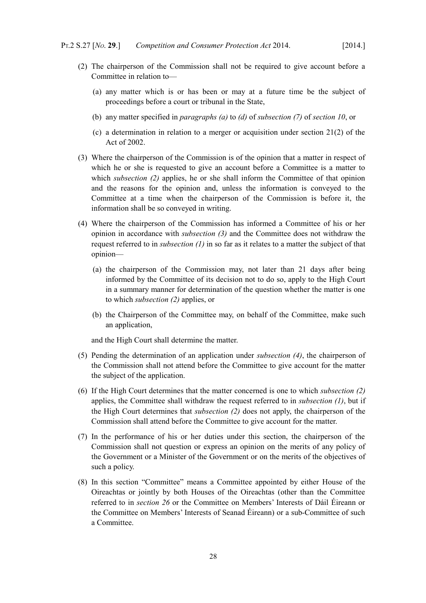- <span id="page-29-0"></span>(2) The chairperson of the Commission shall not be required to give account before a Committee in relation to—
	- (a) any matter which is or has been or may at a future time be the subject of proceedings before a court or tribunal in the State,
	- (b) any matter specified in *paragraphs [\(a\)](#page-14-3)* to *[\(d\)](#page-15-3)* of *subsection [\(7\)](#page-14-2)* of *section [10](#page-11-10)*, or
	- (c) a determination in relation to a merger or acquisition under section 21(2) of the Act of 2002.
- <span id="page-29-2"></span>(3) Where the chairperson of the Commission is of the opinion that a matter in respect of which he or she is requested to give an account before a Committee is a matter to which *subsection [\(2\)](#page-29-0)* applies, he or she shall inform the Committee of that opinion and the reasons for the opinion and, unless the information is conveyed to the Committee at a time when the chairperson of the Commission is before it, the information shall be so conveyed in writing.
- <span id="page-29-1"></span>(4) Where the chairperson of the Commission has informed a Committee of his or her opinion in accordance with *subsection [\(3\)](#page-29-2)* and the Committee does not withdraw the request referred to in *subsection [\(1\)](#page-28-6)* in so far as it relates to a matter the subject of that opinion—
	- (a) the chairperson of the Commission may, not later than 21 days after being informed by the Committee of its decision not to do so, apply to the High Court in a summary manner for determination of the question whether the matter is one to which *subsection [\(2\)](#page-29-0)* applies, or
	- (b) the Chairperson of the Committee may, on behalf of the Committee, make such an application,

and the High Court shall determine the matter.

- (5) Pending the determination of an application under *subsection [\(4\)](#page-29-1)*, the chairperson of the Commission shall not attend before the Committee to give account for the matter the subject of the application.
- (6) If the High Court determines that the matter concerned is one to which *subsection [\(2\)](#page-29-0)* applies, the Committee shall withdraw the request referred to in *subsection [\(1\)](#page-28-6)*, but if the High Court determines that *subsection [\(2\)](#page-29-0)* does not apply, the chairperson of the Commission shall attend before the Committee to give account for the matter.
- (7) In the performance of his or her duties under this section, the chairperson of the Commission shall not question or express an opinion on the merits of any policy of the Government or a Minister of the Government or on the merits of the objectives of such a policy.
- (8) In this section "Committee" means a Committee appointed by either House of the Oireachtas or jointly by both Houses of the Oireachtas (other than the Committee referred to in *section [26](#page-28-5)* or the Committee on Members' Interests of Dáil Éireann or the Committee on Members' Interests of Seanad Éireann) or a sub-Committee of such a Committee.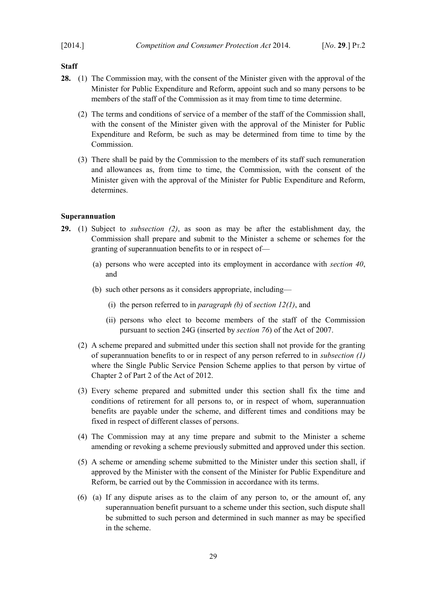## <span id="page-30-1"></span>**Staff**

- <span id="page-30-2"></span>**28.** (1) The Commission may, with the consent of the Minister given with the approval of the Minister for Public Expenditure and Reform, appoint such and so many persons to be members of the staff of the Commission as it may from time to time determine.
	- (2) The terms and conditions of service of a member of the staff of the Commission shall, with the consent of the Minister given with the approval of the Minister for Public Expenditure and Reform, be such as may be determined from time to time by the Commission.
	- (3) There shall be paid by the Commission to the members of its staff such remuneration and allowances as, from time to time, the Commission, with the consent of the Minister given with the approval of the Minister for Public Expenditure and Reform, determines.

#### <span id="page-30-0"></span>**Superannuation**

- <span id="page-30-6"></span><span id="page-30-5"></span><span id="page-30-4"></span><span id="page-30-3"></span>**29.** (1) Subject to *subsection [\(2\)](#page-30-4)*, as soon as may be after the establishment day, the Commission shall prepare and submit to the Minister a scheme or schemes for the granting of superannuation benefits to or in respect of—
	- (a) persons who were accepted into its employment in accordance with *section [40](#page-43-7)*, and
	- (b) such other persons as it considers appropriate, including—
		- (i) the person referred to in *paragraph [\(b\)](#page-16-10)* of *section [12](#page-16-9)[\(1\)](#page-16-5)*, and
		- (ii) persons who elect to become members of the staff of the Commission pursuant to section 24G (inserted by *section [76](#page-82-1)*) of the Act of 2007.
	- (2) A scheme prepared and submitted under this section shall not provide for the granting of superannuation benefits to or in respect of any person referred to in *subsection [\(1\)](#page-30-3)* where the Single Public Service Pension Scheme applies to that person by virtue of Chapter 2 of Part 2 of the Act of 2012.
	- (3) Every scheme prepared and submitted under this section shall fix the time and conditions of retirement for all persons to, or in respect of whom, superannuation benefits are payable under the scheme, and different times and conditions may be fixed in respect of different classes of persons.
	- (4) The Commission may at any time prepare and submit to the Minister a scheme amending or revoking a scheme previously submitted and approved under this section.
	- (5) A scheme or amending scheme submitted to the Minister under this section shall, if approved by the Minister with the consent of the Minister for Public Expenditure and Reform, be carried out by the Commission in accordance with its terms.
	- (6) (a) If any dispute arises as to the claim of any person to, or the amount of, any superannuation benefit pursuant to a scheme under this section, such dispute shall be submitted to such person and determined in such manner as may be specified in the scheme.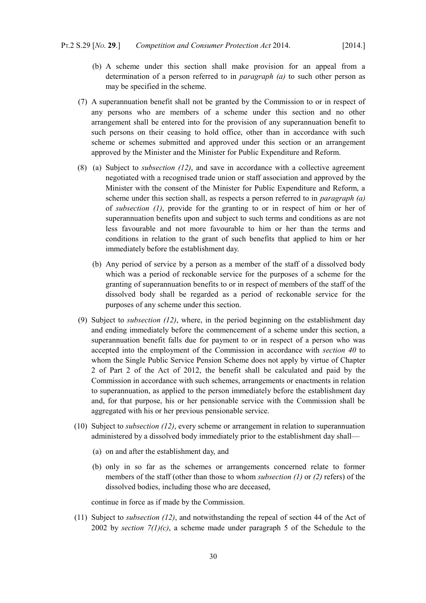- (b) A scheme under this section shall make provision for an appeal from a determination of a person referred to in *paragraph [\(a\)](#page-30-6)* to such other person as may be specified in the scheme.
- (7) A superannuation benefit shall not be granted by the Commission to or in respect of any persons who are members of a scheme under this section and no other arrangement shall be entered into for the provision of any superannuation benefit to such persons on their ceasing to hold office, other than in accordance with such scheme or schemes submitted and approved under this section or an arrangement approved by the Minister and the Minister for Public Expenditure and Reform.
- <span id="page-31-4"></span><span id="page-31-3"></span>(8) (a) Subject to *subsection [\(12\)](#page-32-2)*, and save in accordance with a collective agreement negotiated with a recognised trade union or staff association and approved by the Minister with the consent of the Minister for Public Expenditure and Reform, a scheme under this section shall, as respects a person referred to in *paragraph [\(a\)](#page-30-5)* of *subsection [\(1\)](#page-30-3)*, provide for the granting to or in respect of him or her of superannuation benefits upon and subject to such terms and conditions as are not less favourable and not more favourable to him or her than the terms and conditions in relation to the grant of such benefits that applied to him or her immediately before the establishment day.
	- (b) Any period of service by a person as a member of the staff of a dissolved body which was a period of reckonable service for the purposes of a scheme for the granting of superannuation benefits to or in respect of members of the staff of the dissolved body shall be regarded as a period of reckonable service for the purposes of any scheme under this section.
- <span id="page-31-2"></span>(9) Subject to *subsection [\(12\)](#page-32-2)*, where, in the period beginning on the establishment day and ending immediately before the commencement of a scheme under this section, a superannuation benefit falls due for payment to or in respect of a person who was accepted into the employment of the Commission in accordance with *section [40](#page-43-7)* to whom the Single Public Service Pension Scheme does not apply by virtue of Chapter 2 of Part 2 of the Act of 2012, the benefit shall be calculated and paid by the Commission in accordance with such schemes, arrangements or enactments in relation to superannuation, as applied to the person immediately before the establishment day and, for that purpose, his or her pensionable service with the Commission shall be aggregated with his or her previous pensionable service.
- <span id="page-31-1"></span>(10) Subject to *subsection [\(12\)](#page-32-2)*, every scheme or arrangement in relation to superannuation administered by a dissolved body immediately prior to the establishment day shall—
	- (a) on and after the establishment day, and
	- (b) only in so far as the schemes or arrangements concerned relate to former members of the staff (other than those to whom *subsection [\(1\)](#page-30-3)* or *[\(2\)](#page-30-4)* refers) of the dissolved bodies, including those who are deceased,

continue in force as if made by the Commission.

<span id="page-31-0"></span>(11) Subject to *subsection [\(12\)](#page-32-2)*, and notwithstanding the repeal of section 44 of the Act of 2002 by *section*  $7(1)(c)$  $7(1)(c)$  $7(1)(c)$ , a scheme made under paragraph 5 of the Schedule to the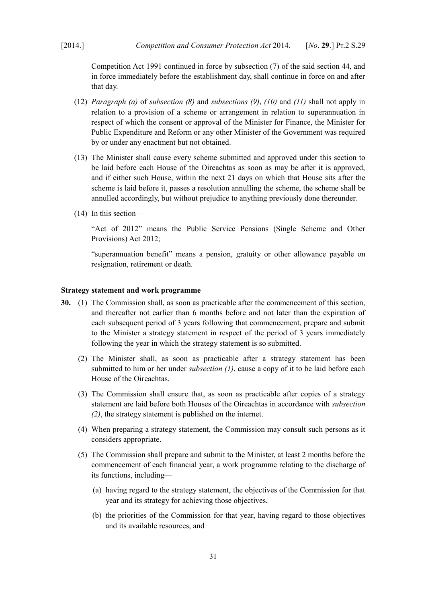[Competition Act 1991](http://www.irishstatutebook.ie/1991/en/act/pub/0024/index.html) continued in force by subsection (7) of the said section 44, and in force immediately before the establishment day, shall continue in force on and after that day.

- <span id="page-32-2"></span>(12) *Paragraph [\(a\)](#page-31-4)* of *subsection [\(8\)](#page-31-3)* and *subsections [\(9\)](#page-31-2)*, *[\(10\)](#page-31-1)* and *[\(11\)](#page-31-0)* shall not apply in relation to a provision of a scheme or arrangement in relation to superannuation in respect of which the consent or approval of the Minister for Finance, the Minister for Public Expenditure and Reform or any other Minister of the Government was required by or under any enactment but not obtained.
- (13) The Minister shall cause every scheme submitted and approved under this section to be laid before each House of the Oireachtas as soon as may be after it is approved, and if either such House, within the next 21 days on which that House sits after the scheme is laid before it, passes a resolution annulling the scheme, the scheme shall be annulled accordingly, but without prejudice to anything previously done thereunder.
- (14) In this section—

"Act of 2012" means the [Public Service Pensions \(Single Scheme and Other](http://www.irishstatutebook.ie/2012/en/act/pub/0037/index.html) [Provisions\) Act 2012;](http://www.irishstatutebook.ie/2012/en/act/pub/0037/index.html)

"superannuation benefit" means a pension, gratuity or other allowance payable on resignation, retirement or death.

## <span id="page-32-0"></span>**Strategy statement and work programme**

- <span id="page-32-4"></span><span id="page-32-3"></span><span id="page-32-1"></span>**30.** (1) The Commission shall, as soon as practicable after the commencement of this section, and thereafter not earlier than 6 months before and not later than the expiration of each subsequent period of 3 years following that commencement, prepare and submit to the Minister a strategy statement in respect of the period of 3 years immediately following the year in which the strategy statement is so submitted.
	- (2) The Minister shall, as soon as practicable after a strategy statement has been submitted to him or her under *subsection [\(1\)](#page-32-4)*, cause a copy of it to be laid before each House of the Oireachtas.
	- (3) The Commission shall ensure that, as soon as practicable after copies of a strategy statement are laid before both Houses of the Oireachtas in accordance with *subsection [\(2\)](#page-32-3)*, the strategy statement is published on the internet.
	- (4) When preparing a strategy statement, the Commission may consult such persons as it considers appropriate.
	- (5) The Commission shall prepare and submit to the Minister, at least 2 months before the commencement of each financial year, a work programme relating to the discharge of its functions, including—
		- (a) having regard to the strategy statement, the objectives of the Commission for that year and its strategy for achieving those objectives,
		- (b) the priorities of the Commission for that year, having regard to those objectives and its available resources, and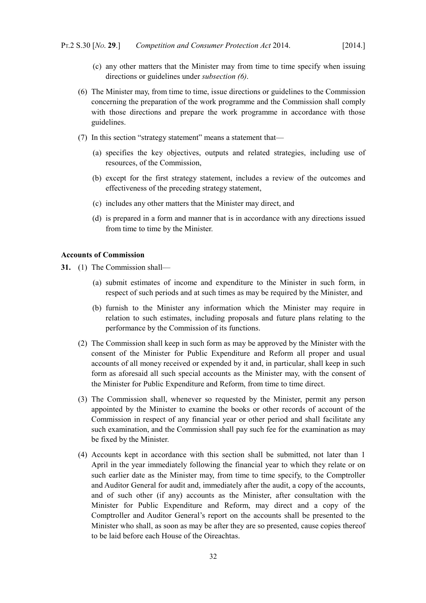- (c) any other matters that the Minister may from time to time specify when issuing directions or guidelines under *subsection [\(6\)](#page-33-1)*.
- <span id="page-33-1"></span>(6) The Minister may, from time to time, issue directions or guidelines to the Commission concerning the preparation of the work programme and the Commission shall comply with those directions and prepare the work programme in accordance with those guidelines.
- (7) In this section "strategy statement" means a statement that—
	- (a) specifies the key objectives, outputs and related strategies, including use of resources, of the Commission,
	- (b) except for the first strategy statement, includes a review of the outcomes and effectiveness of the preceding strategy statement,
	- (c) includes any other matters that the Minister may direct, and
	- (d) is prepared in a form and manner that is in accordance with any directions issued from time to time by the Minister.

## <span id="page-33-0"></span>**Accounts of Commission**

- **31.** (1) The Commission shall—
	- (a) submit estimates of income and expenditure to the Minister in such form, in respect of such periods and at such times as may be required by the Minister, and
	- (b) furnish to the Minister any information which the Minister may require in relation to such estimates, including proposals and future plans relating to the performance by the Commission of its functions.
	- (2) The Commission shall keep in such form as may be approved by the Minister with the consent of the Minister for Public Expenditure and Reform all proper and usual accounts of all money received or expended by it and, in particular, shall keep in such form as aforesaid all such special accounts as the Minister may, with the consent of the Minister for Public Expenditure and Reform, from time to time direct.
	- (3) The Commission shall, whenever so requested by the Minister, permit any person appointed by the Minister to examine the books or other records of account of the Commission in respect of any financial year or other period and shall facilitate any such examination, and the Commission shall pay such fee for the examination as may be fixed by the Minister.
	- (4) Accounts kept in accordance with this section shall be submitted, not later than 1 April in the year immediately following the financial year to which they relate or on such earlier date as the Minister may, from time to time specify, to the Comptroller and Auditor General for audit and, immediately after the audit, a copy of the accounts, and of such other (if any) accounts as the Minister, after consultation with the Minister for Public Expenditure and Reform, may direct and a copy of the Comptroller and Auditor General's report on the accounts shall be presented to the Minister who shall, as soon as may be after they are so presented, cause copies thereof to be laid before each House of the Oireachtas.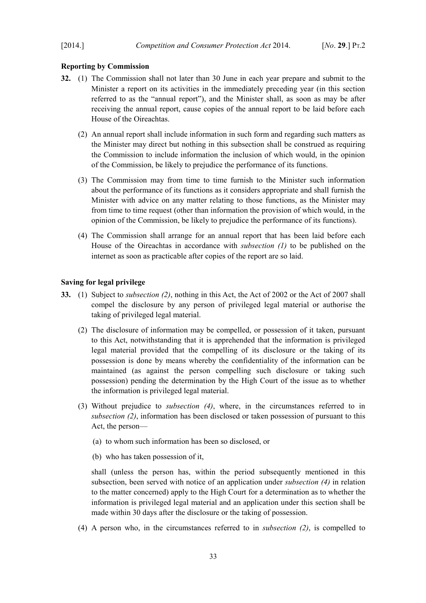# <span id="page-34-1"></span>**Reporting by Commission**

- <span id="page-34-5"></span><span id="page-34-2"></span>**32.** (1) The Commission shall not later than 30 June in each year prepare and submit to the Minister a report on its activities in the immediately preceding year (in this section referred to as the "annual report"), and the Minister shall, as soon as may be after receiving the annual report, cause copies of the annual report to be laid before each House of the Oireachtas.
	- (2) An annual report shall include information in such form and regarding such matters as the Minister may direct but nothing in this subsection shall be construed as requiring the Commission to include information the inclusion of which would, in the opinion of the Commission, be likely to prejudice the performance of its functions.
	- (3) The Commission may from time to time furnish to the Minister such information about the performance of its functions as it considers appropriate and shall furnish the Minister with advice on any matter relating to those functions, as the Minister may from time to time request (other than information the provision of which would, in the opinion of the Commission, be likely to prejudice the performance of its functions).
	- (4) The Commission shall arrange for an annual report that has been laid before each House of the Oireachtas in accordance with *subsection [\(1\)](#page-34-5)* to be published on the internet as soon as practicable after copies of the report are so laid.

## <span id="page-34-0"></span>**Saving for legal privilege**

- <span id="page-34-3"></span>**33.** (1) Subject to *subsection [\(2\)](#page-34-3)*, nothing in this Act, the Act of 2002 or the Act of 2007 shall compel the disclosure by any person of privileged legal material or authorise the taking of privileged legal material.
	- (2) The disclosure of information may be compelled, or possession of it taken, pursuant to this Act, notwithstanding that it is apprehended that the information is privileged legal material provided that the compelling of its disclosure or the taking of its possession is done by means whereby the confidentiality of the information can be maintained (as against the person compelling such disclosure or taking such possession) pending the determination by the High Court of the issue as to whether the information is privileged legal material.
	- (3) Without prejudice to *subsection [\(4\)](#page-34-4)*, where, in the circumstances referred to in *subsection [\(2\)](#page-34-3)*, information has been disclosed or taken possession of pursuant to this Act, the person—
		- (a) to whom such information has been so disclosed, or
		- (b) who has taken possession of it,

<span id="page-34-6"></span>shall (unless the person has, within the period subsequently mentioned in this subsection, been served with notice of an application under *subsection [\(4\)](#page-34-4)* in relation to the matter concerned) apply to the High Court for a determination as to whether the information is privileged legal material and an application under this section shall be made within 30 days after the disclosure or the taking of possession.

<span id="page-34-4"></span>(4) A person who, in the circumstances referred to in *subsection [\(2\)](#page-34-3)*, is compelled to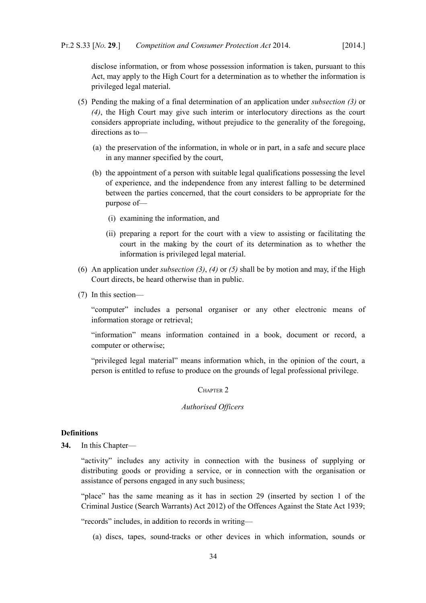disclose information, or from whose possession information is taken, pursuant to this Act, may apply to the High Court for a determination as to whether the information is privileged legal material.

- <span id="page-35-3"></span>(5) Pending the making of a final determination of an application under *subsection [\(3\)](#page-34-6)* or *[\(4\)](#page-34-4)*, the High Court may give such interim or interlocutory directions as the court considers appropriate including, without prejudice to the generality of the foregoing, directions as to—
	- (a) the preservation of the information, in whole or in part, in a safe and secure place in any manner specified by the court,
	- (b) the appointment of a person with suitable legal qualifications possessing the level of experience, and the independence from any interest falling to be determined between the parties concerned, that the court considers to be appropriate for the purpose of—
		- (i) examining the information, and
		- (ii) preparing a report for the court with a view to assisting or facilitating the court in the making by the court of its determination as to whether the information is privileged legal material.
- (6) An application under *subsection [\(3\)](#page-34-6)*, *[\(4\)](#page-34-4)* or *[\(5\)](#page-35-3)* shall be by motion and may, if the High Court directs, be heard otherwise than in public.
- (7) In this section—

"computer" includes a personal organiser or any other electronic means of information storage or retrieval;

"information" means information contained in a book, document or record, a computer or otherwise;

"privileged legal material" means information which, in the opinion of the court, a person is entitled to refuse to produce on the grounds of legal professional privilege.

# <span id="page-35-2"></span>CHAPTER 2

## <span id="page-35-1"></span>*Authorised Officers*

# <span id="page-35-0"></span>**Definitions**

**34.** In this Chapter—

"activity" includes any activity in connection with the business of supplying or distributing goods or providing a service, or in connection with the organisation or assistance of persons engaged in any such business;

"place" has the same meaning as it has in section 29 (inserted by section 1 of the [Criminal Justice \(Search Warrants\) Act 2012\)](http://www.irishstatutebook.ie/2012/en/act/pub/0033/index.html) of the [Offences Against the State Act 1939;](http://www.irishstatutebook.ie/1939/en/act/pub/0013/index.html)

"records" includes, in addition to records in writing—

(a) discs, tapes, sound-tracks or other devices in which information, sounds or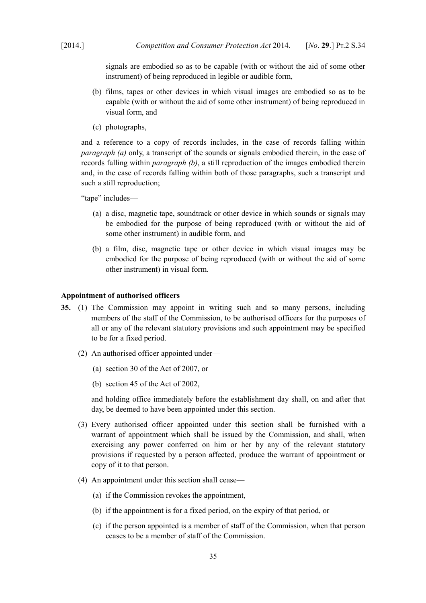signals are embodied so as to be capable (with or without the aid of some other instrument) of being reproduced in legible or audible form,

- <span id="page-36-0"></span>(b) films, tapes or other devices in which visual images are embodied so as to be capable (with or without the aid of some other instrument) of being reproduced in visual form, and
- (c) photographs,

and a reference to a copy of records includes, in the case of records falling within *paragraph [\(a\)](#page-35-0)* only, a transcript of the sounds or signals embodied therein, in the case of records falling within *paragraph [\(b\)](#page-36-0)*, a still reproduction of the images embodied therein and, in the case of records falling within both of those paragraphs, such a transcript and such a still reproduction;

"tape" includes—

- (a) a disc, magnetic tape, soundtrack or other device in which sounds or signals may be embodied for the purpose of being reproduced (with or without the aid of some other instrument) in audible form, and
- (b) a film, disc, magnetic tape or other device in which visual images may be embodied for the purpose of being reproduced (with or without the aid of some other instrument) in visual form.

### **Appointment of authorised officers**

- <span id="page-36-1"></span>**35.** (1) The Commission may appoint in writing such and so many persons, including members of the staff of the Commission, to be authorised officers for the purposes of all or any of the relevant statutory provisions and such appointment may be specified to be for a fixed period.
	- (2) An authorised officer appointed under—
		- (a) section 30 of the Act of 2007, or
		- (b) section 45 of the Act of 2002,

and holding office immediately before the establishment day shall, on and after that day, be deemed to have been appointed under this section.

- (3) Every authorised officer appointed under this section shall be furnished with a warrant of appointment which shall be issued by the Commission, and shall, when exercising any power conferred on him or her by any of the relevant statutory provisions if requested by a person affected, produce the warrant of appointment or copy of it to that person.
- (4) An appointment under this section shall cease—
	- (a) if the Commission revokes the appointment,
	- (b) if the appointment is for a fixed period, on the expiry of that period, or
	- (c) if the person appointed is a member of staff of the Commission, when that person ceases to be a member of staff of the Commission.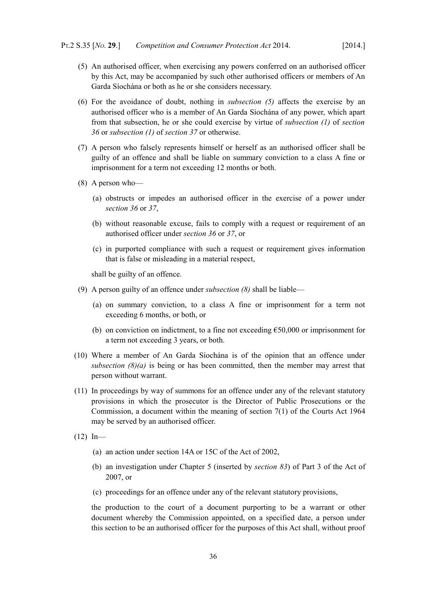- <span id="page-37-2"></span>(5) An authorised officer, when exercising any powers conferred on an authorised officer by this Act, may be accompanied by such other authorised officers or members of An Garda Síochána or both as he or she considers necessary.
- (6) For the avoidance of doubt, nothing in *subsection [\(5\)](#page-37-2)* affects the exercise by an authorised officer who is a member of An Garda Síochána of any power, which apart from that subsection, he or she could exercise by virtue of *subsection [\(1\)](#page-38-1)* of *section [36](#page-38-0)* or *subsection [\(1\)](#page-40-1)* of *section [37](#page-40-0)* or otherwise.
- (7) A person who falsely represents himself or herself as an authorised officer shall be guilty of an offence and shall be liable on summary conviction to a class A fine or imprisonment for a term not exceeding 12 months or both.
- <span id="page-37-1"></span><span id="page-37-0"></span>(8) A person who—
	- (a) obstructs or impedes an authorised officer in the exercise of a power under *section [36](#page-38-0)* or *[37](#page-40-0)*,
	- (b) without reasonable excuse, fails to comply with a request or requirement of an authorised officer under *section [36](#page-38-0)* or *[37](#page-40-0)*, or
	- (c) in purported compliance with such a request or requirement gives information that is false or misleading in a material respect,

shall be guilty of an offence.

- (9) A person guilty of an offence under *subsection [\(8\)](#page-37-1)* shall be liable—
	- (a) on summary conviction, to a class A fine or imprisonment for a term not exceeding 6 months, or both, or
	- (b) on conviction on indictment, to a fine not exceeding  $€50,000$  or imprisonment for a term not exceeding 3 years, or both.
- (10) Where a member of An Garda Síochána is of the opinion that an offence under *subsection [\(8\)](#page-37-1)[\(a\)](#page-37-0)* is being or has been committed, then the member may arrest that person without warrant.
- (11) In proceedings by way of summons for an offence under any of the relevant statutory provisions in which the prosecutor is the Director of Public Prosecutions or the Commission, a document within the meaning of section 7(1) of the [Courts Act 1964](http://www.irishstatutebook.ie/1964/en/act/pub/0011/index.html) may be served by an authorised officer.
- $(12)$  In—
	- (a) an action under section 14A or 15C of the Act of 2002,
	- (b) an investigation under Chapter 5 (inserted by *section [83](#page-87-0)*) of Part 3 of the Act of 2007, or
	- (c) proceedings for an offence under any of the relevant statutory provisions,

the production to the court of a document purporting to be a warrant or other document whereby the Commission appointed, on a specified date, a person under this section to be an authorised officer for the purposes of this Act shall, without proof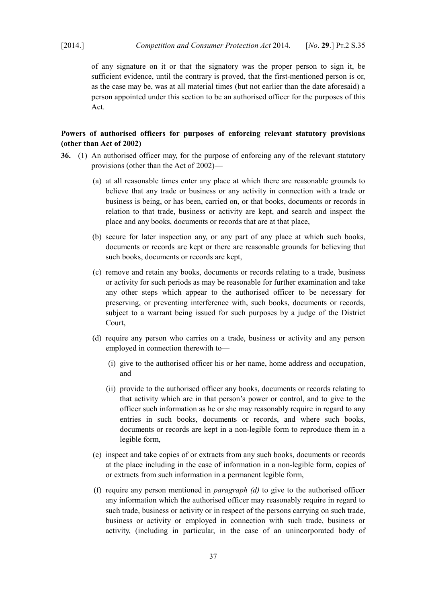of any signature on it or that the signatory was the proper person to sign it, be sufficient evidence, until the contrary is proved, that the first-mentioned person is or, as the case may be, was at all material times (but not earlier than the date aforesaid) a person appointed under this section to be an authorised officer for the purposes of this Act.

# **Powers of authorised officers for purposes of enforcing relevant statutory provisions (other than Act of 2002)**

- <span id="page-38-2"></span><span id="page-38-1"></span><span id="page-38-0"></span>**36.** (1) An authorised officer may, for the purpose of enforcing any of the relevant statutory provisions (other than the Act of 2002)—
	- (a) at all reasonable times enter any place at which there are reasonable grounds to believe that any trade or business or any activity in connection with a trade or business is being, or has been, carried on, or that books, documents or records in relation to that trade, business or activity are kept, and search and inspect the place and any books, documents or records that are at that place,
	- (b) secure for later inspection any, or any part of any place at which such books, documents or records are kept or there are reasonable grounds for believing that such books, documents or records are kept,
	- (c) remove and retain any books, documents or records relating to a trade, business or activity for such periods as may be reasonable for further examination and take any other steps which appear to the authorised officer to be necessary for preserving, or preventing interference with, such books, documents or records, subject to a warrant being issued for such purposes by a judge of the District Court,
	- (d) require any person who carries on a trade, business or activity and any person employed in connection therewith to—
		- (i) give to the authorised officer his or her name, home address and occupation, and
		- (ii) provide to the authorised officer any books, documents or records relating to that activity which are in that person's power or control, and to give to the officer such information as he or she may reasonably require in regard to any entries in such books, documents or records, and where such books, documents or records are kept in a non-legible form to reproduce them in a legible form,
	- (e) inspect and take copies of or extracts from any such books, documents or records at the place including in the case of information in a non-legible form, copies of or extracts from such information in a permanent legible form,
	- (f) require any person mentioned in *paragraph [\(d\)](#page-38-2)* to give to the authorised officer any information which the authorised officer may reasonably require in regard to such trade, business or activity or in respect of the persons carrying on such trade, business or activity or employed in connection with such trade, business or activity, (including in particular, in the case of an unincorporated body of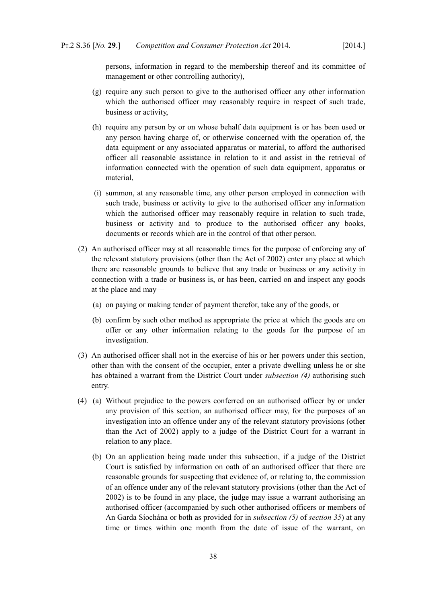persons, information in regard to the membership thereof and its committee of management or other controlling authority),

- (g) require any such person to give to the authorised officer any other information which the authorised officer may reasonably require in respect of such trade, business or activity,
- (h) require any person by or on whose behalf data equipment is or has been used or any person having charge of, or otherwise concerned with the operation of, the data equipment or any associated apparatus or material, to afford the authorised officer all reasonable assistance in relation to it and assist in the retrieval of information connected with the operation of such data equipment, apparatus or material,
- (i) summon, at any reasonable time, any other person employed in connection with such trade, business or activity to give to the authorised officer any information which the authorised officer may reasonably require in relation to such trade, business or activity and to produce to the authorised officer any books, documents or records which are in the control of that other person.
- (2) An authorised officer may at all reasonable times for the purpose of enforcing any of the relevant statutory provisions (other than the Act of 2002) enter any place at which there are reasonable grounds to believe that any trade or business or any activity in connection with a trade or business is, or has been, carried on and inspect any goods at the place and may—
	- (a) on paying or making tender of payment therefor, take any of the goods, or
	- (b) confirm by such other method as appropriate the price at which the goods are on offer or any other information relating to the goods for the purpose of an investigation.
- (3) An authorised officer shall not in the exercise of his or her powers under this section, other than with the consent of the occupier, enter a private dwelling unless he or she has obtained a warrant from the District Court under *subsection [\(4\)](#page-39-0)* authorising such entry.
- <span id="page-39-0"></span>(4) (a) Without prejudice to the powers conferred on an authorised officer by or under any provision of this section, an authorised officer may, for the purposes of an investigation into an offence under any of the relevant statutory provisions (other than the Act of 2002) apply to a judge of the District Court for a warrant in relation to any place.
	- (b) On an application being made under this subsection, if a judge of the District Court is satisfied by information on oath of an authorised officer that there are reasonable grounds for suspecting that evidence of, or relating to, the commission of an offence under any of the relevant statutory provisions (other than the Act of 2002) is to be found in any place, the judge may issue a warrant authorising an authorised officer (accompanied by such other authorised officers or members of An Garda Síochána or both as provided for in *subsection [\(5\)](#page-37-2)* of *section [35](#page-36-1)*) at any time or times within one month from the date of issue of the warrant, on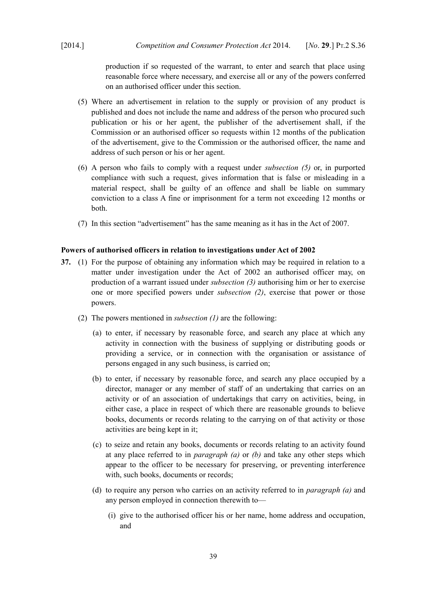production if so requested of the warrant, to enter and search that place using reasonable force where necessary, and exercise all or any of the powers conferred on an authorised officer under this section.

- <span id="page-40-5"></span>(5) Where an advertisement in relation to the supply or provision of any product is published and does not include the name and address of the person who procured such publication or his or her agent, the publisher of the advertisement shall, if the Commission or an authorised officer so requests within 12 months of the publication of the advertisement, give to the Commission or the authorised officer, the name and address of such person or his or her agent.
- (6) A person who fails to comply with a request under *subsection [\(5\)](#page-40-5)* or, in purported compliance with such a request, gives information that is false or misleading in a material respect, shall be guilty of an offence and shall be liable on summary conviction to a class A fine or imprisonment for a term not exceeding 12 months or both.
- (7) In this section "advertisement" has the same meaning as it has in the Act of 2007.

### **Powers of authorised officers in relation to investigations under Act of 2002**

- <span id="page-40-6"></span><span id="page-40-4"></span><span id="page-40-3"></span><span id="page-40-2"></span><span id="page-40-1"></span><span id="page-40-0"></span>**37.** (1) For the purpose of obtaining any information which may be required in relation to a matter under investigation under the Act of 2002 an authorised officer may, on production of a warrant issued under *subsection [\(3\)](#page-41-0)* authorising him or her to exercise one or more specified powers under *subsection [\(2\)](#page-40-4)*, exercise that power or those powers.
	- (2) The powers mentioned in *subsection [\(1\)](#page-40-1)* are the following:
		- (a) to enter, if necessary by reasonable force, and search any place at which any activity in connection with the business of supplying or distributing goods or providing a service, or in connection with the organisation or assistance of persons engaged in any such business, is carried on;
		- (b) to enter, if necessary by reasonable force, and search any place occupied by a director, manager or any member of staff of an undertaking that carries on an activity or of an association of undertakings that carry on activities, being, in either case, a place in respect of which there are reasonable grounds to believe books, documents or records relating to the carrying on of that activity or those activities are being kept in it;
		- (c) to seize and retain any books, documents or records relating to an activity found at any place referred to in *paragraph [\(a\)](#page-40-2)* or *[\(b\)](#page-40-3)* and take any other steps which appear to the officer to be necessary for preserving, or preventing interference with, such books, documents or records;
		- (d) to require any person who carries on an activity referred to in *paragraph [\(a\)](#page-40-2)* and any person employed in connection therewith to—
			- (i) give to the authorised officer his or her name, home address and occupation, and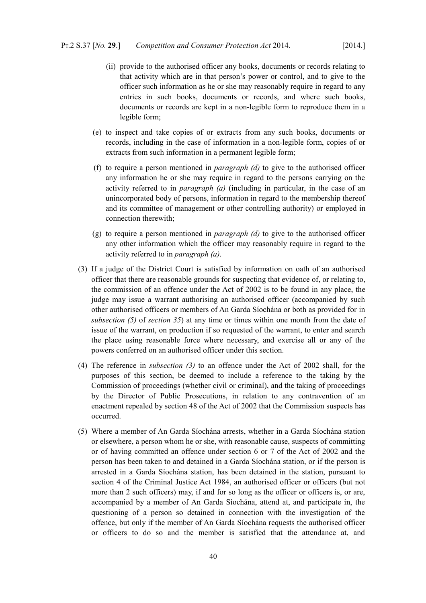- (ii) provide to the authorised officer any books, documents or records relating to that activity which are in that person's power or control, and to give to the officer such information as he or she may reasonably require in regard to any entries in such books, documents or records, and where such books, documents or records are kept in a non-legible form to reproduce them in a legible form;
- (e) to inspect and take copies of or extracts from any such books, documents or records, including in the case of information in a non-legible form, copies of or extracts from such information in a permanent legible form;
- (f) to require a person mentioned in *paragraph [\(d\)](#page-40-6)* to give to the authorised officer any information he or she may require in regard to the persons carrying on the activity referred to in *paragraph [\(a\)](#page-40-2)* (including in particular, in the case of an unincorporated body of persons, information in regard to the membership thereof and its committee of management or other controlling authority) or employed in connection therewith;
- (g) to require a person mentioned in *paragraph [\(d\)](#page-40-6)* to give to the authorised officer any other information which the officer may reasonably require in regard to the activity referred to in *paragraph [\(a\)](#page-40-2)*.
- <span id="page-41-0"></span>(3) If a judge of the District Court is satisfied by information on oath of an authorised officer that there are reasonable grounds for suspecting that evidence of, or relating to, the commission of an offence under the Act of 2002 is to be found in any place, the judge may issue a warrant authorising an authorised officer (accompanied by such other authorised officers or members of An Garda Síochána or both as provided for in *subsection [\(5\)](#page-37-2)* of *section [35](#page-36-1)*) at any time or times within one month from the date of issue of the warrant, on production if so requested of the warrant, to enter and search the place using reasonable force where necessary, and exercise all or any of the powers conferred on an authorised officer under this section.
- (4) The reference in *subsection [\(3\)](#page-41-0)* to an offence under the Act of 2002 shall, for the purposes of this section, be deemed to include a reference to the taking by the Commission of proceedings (whether civil or criminal), and the taking of proceedings by the Director of Public Prosecutions, in relation to any contravention of an enactment repealed by section 48 of the Act of 2002 that the Commission suspects has occurred.
- <span id="page-41-1"></span>(5) Where a member of An Garda Síochána arrests, whether in a Garda Síochána station or elsewhere, a person whom he or she, with reasonable cause, suspects of committing or of having committed an offence under section 6 or 7 of the Act of 2002 and the person has been taken to and detained in a Garda Síochána station, or if the person is arrested in a Garda Síochána station, has been detained in the station, pursuant to section 4 of the Criminal Justice Act 1984, an authorised officer or officers (but not more than 2 such officers) may, if and for so long as the officer or officers is, or are, accompanied by a member of An Garda Síochána, attend at, and participate in, the questioning of a person so detained in connection with the investigation of the offence, but only if the member of An Garda Síochána requests the authorised officer or officers to do so and the member is satisfied that the attendance at, and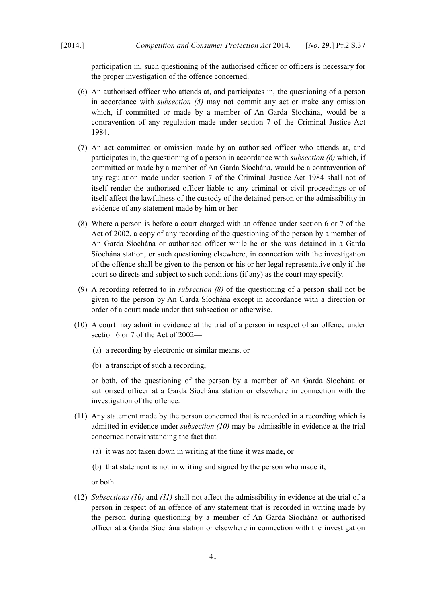participation in, such questioning of the authorised officer or officers is necessary for the proper investigation of the offence concerned.

- <span id="page-42-3"></span>(6) An authorised officer who attends at, and participates in, the questioning of a person in accordance with *subsection [\(5\)](#page-41-1)* may not commit any act or make any omission which, if committed or made by a member of An Garda Síochána, would be a contravention of any regulation made under section 7 of the [Criminal Justice Act](http://www.irishstatutebook.ie/1984/en/act/pub/0022/index.html) [1984.](http://www.irishstatutebook.ie/1984/en/act/pub/0022/index.html)
- (7) An act committed or omission made by an authorised officer who attends at, and participates in, the questioning of a person in accordance with *subsection [\(6\)](#page-42-3)* which, if committed or made by a member of An Garda Síochána, would be a contravention of any regulation made under section 7 of the [Criminal Justice Act 1984](http://www.irishstatutebook.ie/1984/en/act/pub/0022/index.html) shall not of itself render the authorised officer liable to any criminal or civil proceedings or of itself affect the lawfulness of the custody of the detained person or the admissibility in evidence of any statement made by him or her.
- <span id="page-42-2"></span>(8) Where a person is before a court charged with an offence under section 6 or 7 of the Act of 2002, a copy of any recording of the questioning of the person by a member of An Garda Síochána or authorised officer while he or she was detained in a Garda Síochána station, or such questioning elsewhere, in connection with the investigation of the offence shall be given to the person or his or her legal representative only if the court so directs and subject to such conditions (if any) as the court may specify.
- (9) A recording referred to in *subsection [\(8\)](#page-42-2)* of the questioning of a person shall not be given to the person by An Garda Síochána except in accordance with a direction or order of a court made under that subsection or otherwise.
- <span id="page-42-1"></span>(10) A court may admit in evidence at the trial of a person in respect of an offence under section 6 or 7 of the Act of 2002—
	- (a) a recording by electronic or similar means, or
	- (b) a transcript of such a recording,

or both, of the questioning of the person by a member of An Garda Síochána or authorised officer at a Garda Síochána station or elsewhere in connection with the investigation of the offence.

- <span id="page-42-0"></span>(11) Any statement made by the person concerned that is recorded in a recording which is admitted in evidence under *subsection [\(10\)](#page-42-1)* may be admissible in evidence at the trial concerned notwithstanding the fact that—
	- (a) it was not taken down in writing at the time it was made, or
	- (b) that statement is not in writing and signed by the person who made it,

or both.

(12) *Subsections [\(10\)](#page-42-1)* and *[\(11\)](#page-42-0)* shall not affect the admissibility in evidence at the trial of a person in respect of an offence of any statement that is recorded in writing made by the person during questioning by a member of An Garda Síochána or authorised officer at a Garda Síochána station or elsewhere in connection with the investigation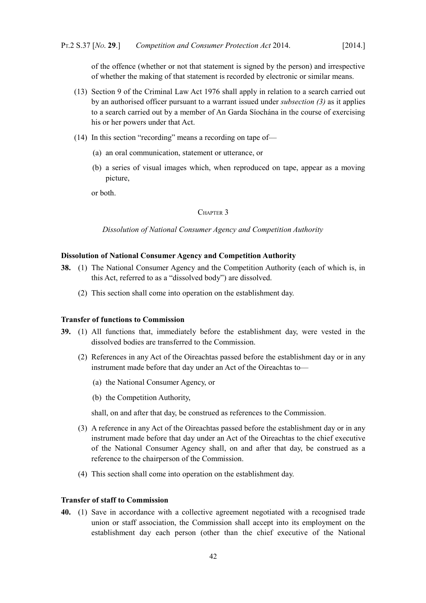of the offence (whether or not that statement is signed by the person) and irrespective of whether the making of that statement is recorded by electronic or similar means.

- (13) Section 9 of the [Criminal Law Act 1976](http://www.irishstatutebook.ie/1976/en/act/pub/0032/index.html) shall apply in relation to a search carried out by an authorised officer pursuant to a warrant issued under *subsection [\(3\)](#page-41-0)* as it applies to a search carried out by a member of An Garda Síochána in the course of exercising his or her powers under that Act.
- (14) In this section "recording" means a recording on tape of—
	- (a) an oral communication, statement or utterance, or
	- (b) a series of visual images which, when reproduced on tape, appear as a moving picture,

or both.

## CHAPTER 3

*Dissolution of National Consumer Agency and Competition Authority*

### **Dissolution of National Consumer Agency and Competition Authority**

- **38.** (1) The National Consumer Agency and the Competition Authority (each of which is, in this Act, referred to as a "dissolved body") are dissolved.
	- (2) This section shall come into operation on the establishment day.

#### **Transfer of functions to Commission**

- **39.** (1) All functions that, immediately before the establishment day, were vested in the dissolved bodies are transferred to the Commission.
	- (2) References in any Act of the Oireachtas passed before the establishment day or in any instrument made before that day under an Act of the Oireachtas to—
		- (a) the National Consumer Agency, or
		- (b) the Competition Authority,

shall, on and after that day, be construed as references to the Commission.

- (3) A reference in any Act of the Oireachtas passed before the establishment day or in any instrument made before that day under an Act of the Oireachtas to the chief executive of the National Consumer Agency shall, on and after that day, be construed as a reference to the chairperson of the Commission.
- (4) This section shall come into operation on the establishment day.

## **Transfer of staff to Commission**

<span id="page-43-0"></span>**40.** (1) Save in accordance with a collective agreement negotiated with a recognised trade union or staff association, the Commission shall accept into its employment on the establishment day each person (other than the chief executive of the National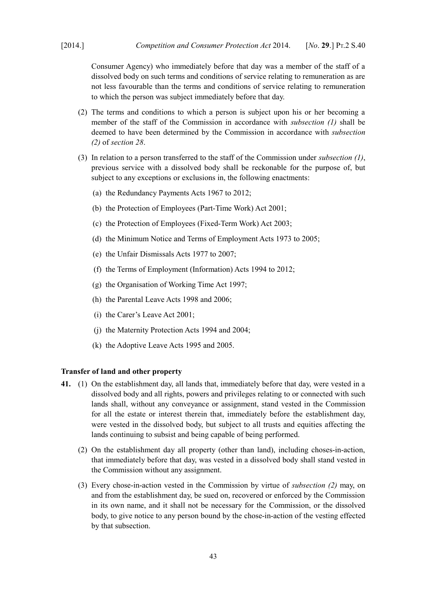Consumer Agency) who immediately before that day was a member of the staff of a dissolved body on such terms and conditions of service relating to remuneration as are not less favourable than the terms and conditions of service relating to remuneration to which the person was subject immediately before that day.

- (2) The terms and conditions to which a person is subject upon his or her becoming a member of the staff of the Commission in accordance with *subsection [\(1\)](#page-43-0)* shall be deemed to have been determined by the Commission in accordance with *subsection [\(2\)](#page-30-1)* of *section [28](#page-30-0)*.
- (3) In relation to a person transferred to the staff of the Commission under *subsection [\(1\)](#page-43-0)*, previous service with a dissolved body shall be reckonable for the purpose of, but subject to any exceptions or exclusions in, the following enactments:
	- (a) the Redundancy Payments Acts 1967 to 2012;
	- (b) the [Protection of Employees \(Part-Time Work\) Act 2001;](http://www.irishstatutebook.ie/2001/en/act/pub/0045/index.html)
	- (c) the [Protection of Employees \(Fixed-Term Work\) Act 2003;](http://www.irishstatutebook.ie/2003/en/act/pub/0029/index.html)
	- (d) the Minimum Notice and Terms of Employment Acts 1973 to 2005;
	- (e) the Unfair Dismissals Acts 1977 to 2007;
	- (f) the Terms of Employment (Information) Acts 1994 to 2012;
	- (g) the [Organisation of Working Time Act 1997;](http://www.irishstatutebook.ie/1997/en/act/pub/0020/index.html)
	- (h) the Parental Leave Acts 1998 and 2006;
	- (i) the [Carer's Leave Act 2001;](http://www.irishstatutebook.ie/2001/en/act/pub/0019/index.html)
	- (j) the Maternity Protection Acts 1994 and 2004;
	- (k) the Adoptive Leave Acts 1995 and 2005.

## **Transfer of land and other property**

- <span id="page-44-1"></span><span id="page-44-0"></span>**41.** (1) On the establishment day, all lands that, immediately before that day, were vested in a dissolved body and all rights, powers and privileges relating to or connected with such lands shall, without any conveyance or assignment, stand vested in the Commission for all the estate or interest therein that, immediately before the establishment day, were vested in the dissolved body, but subject to all trusts and equities affecting the lands continuing to subsist and being capable of being performed.
	- (2) On the establishment day all property (other than land), including choses-in-action, that immediately before that day, was vested in a dissolved body shall stand vested in the Commission without any assignment.
	- (3) Every chose-in-action vested in the Commission by virtue of *subsection [\(2\)](#page-44-0)* may, on and from the establishment day, be sued on, recovered or enforced by the Commission in its own name, and it shall not be necessary for the Commission, or the dissolved body, to give notice to any person bound by the chose-in-action of the vesting effected by that subsection.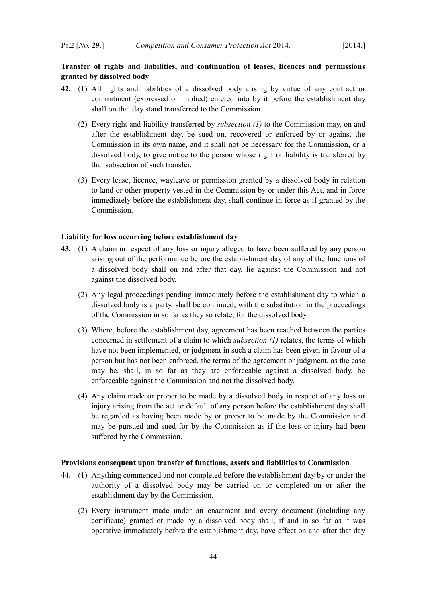# **Transfer of rights and liabilities, and continuation of leases, licences and permissions granted by dissolved body**

- <span id="page-45-2"></span><span id="page-45-1"></span>**42.** (1) All rights and liabilities of a dissolved body arising by virtue of any contract or commitment (expressed or implied) entered into by it before the establishment day shall on that day stand transferred to the Commission.
	- (2) Every right and liability transferred by *subsection [\(1\)](#page-45-1)* to the Commission may, on and after the establishment day, be sued on, recovered or enforced by or against the Commission in its own name, and it shall not be necessary for the Commission, or a dissolved body, to give notice to the person whose right or liability is transferred by that subsection of such transfer.
	- (3) Every lease, licence, wayleave or permission granted by a dissolved body in relation to land or other property vested in the Commission by or under this Act, and in force immediately before the establishment day, shall continue in force as if granted by the Commission.

#### **Liability for loss occurring before establishment day**

- <span id="page-45-0"></span>**43.** (1) A claim in respect of any loss or injury alleged to have been suffered by any person arising out of the performance before the establishment day of any of the functions of a dissolved body shall on and after that day, lie against the Commission and not against the dissolved body.
	- (2) Any legal proceedings pending immediately before the establishment day to which a dissolved body is a party, shall be continued, with the substitution in the proceedings of the Commission in so far as they so relate, for the dissolved body.
	- (3) Where, before the establishment day, agreement has been reached between the parties concerned in settlement of a claim to which *subsection [\(1\)](#page-45-0)* relates, the terms of which have not been implemented, or judgment in such a claim has been given in favour of a person but has not been enforced, the terms of the agreement or judgment, as the case may be, shall, in so far as they are enforceable against a dissolved body, be enforceable against the Commission and not the dissolved body.
	- (4) Any claim made or proper to be made by a dissolved body in respect of any loss or injury arising from the act or default of any person before the establishment day shall be regarded as having been made by or proper to be made by the Commission and may be pursued and sued for by the Commission as if the loss or injury had been suffered by the Commission.

## **Provisions consequent upon transfer of functions, assets and liabilities to Commission**

- **44.** (1) Anything commenced and not completed before the establishment day by or under the authority of a dissolved body may be carried on or completed on or after the establishment day by the Commission.
	- (2) Every instrument made under an enactment and every document (including any certificate) granted or made by a dissolved body shall, if and in so far as it was operative immediately before the establishment day, have effect on and after that day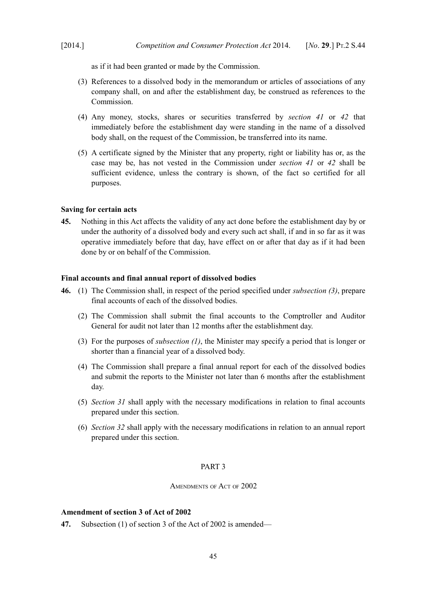as if it had been granted or made by the Commission.

- (3) References to a dissolved body in the memorandum or articles of associations of any company shall, on and after the establishment day, be construed as references to the Commission.
- (4) Any money, stocks, shares or securities transferred by *section [41](#page-44-1)* or *[42](#page-45-2)* that immediately before the establishment day were standing in the name of a dissolved body shall, on the request of the Commission, be transferred into its name.
- (5) A certificate signed by the Minister that any property, right or liability has or, as the case may be, has not vested in the Commission under *section [41](#page-44-1)* or *[42](#page-45-2)* shall be sufficient evidence, unless the contrary is shown, of the fact so certified for all purposes.

### **Saving for certain acts**

**45.** Nothing in this Act affects the validity of any act done before the establishment day by or under the authority of a dissolved body and every such act shall, if and in so far as it was operative immediately before that day, have effect on or after that day as if it had been done by or on behalf of the Commission.

### **Final accounts and final annual report of dissolved bodies**

- <span id="page-46-1"></span><span id="page-46-0"></span>**46.** (1) The Commission shall, in respect of the period specified under *subsection [\(3\)](#page-46-1)*, prepare final accounts of each of the dissolved bodies.
	- (2) The Commission shall submit the final accounts to the Comptroller and Auditor General for audit not later than 12 months after the establishment day.
	- (3) For the purposes of *subsection [\(1\)](#page-46-0)*, the Minister may specify a period that is longer or shorter than a financial year of a dissolved body.
	- (4) The Commission shall prepare a final annual report for each of the dissolved bodies and submit the reports to the Minister not later than 6 months after the establishment day.
	- (5) *Section [31](#page-33-0)* shall apply with the necessary modifications in relation to final accounts prepared under this section.
	- (6) *Section [32](#page-34-0)* shall apply with the necessary modifications in relation to an annual report prepared under this section.

## PART 3

AMENDMENTS OF ACT OF 2002

## **Amendment of section 3 of Act of 2002**

**47.** Subsection (1) of section 3 of the Act of 2002 is amended—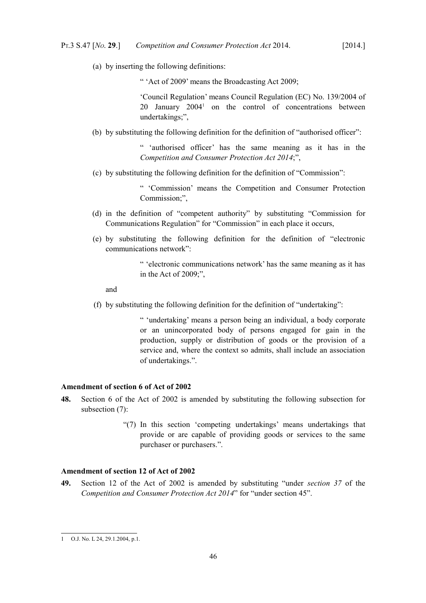(a) by inserting the following definitions:

" 'Act of 2009' means the [Broadcasting Act 2009;](http://www.irishstatutebook.ie/2009/en/act/pub/0018/index.html)

'Council Regulation' means Council Regulation (EC) No. 139/2004 of 20 January 2004<sup>[1](#page-47-0)</sup> on the control of concentrations between undertakings;",

(b) by substituting the following definition for the definition of "authorised officer":

" 'authorised officer' has the same meaning as it has in the *Competition and Consumer Protection Act 2014*;",

(c) by substituting the following definition for the definition of "Commission":

" 'Commission' means the Competition and Consumer Protection Commission;",

- (d) in the definition of "competent authority" by substituting "Commission for Communications Regulation" for "Commission" in each place it occurs,
- (e) by substituting the following definition for the definition of "electronic communications network":

" 'electronic communications network' has the same meaning as it has in the Act of 2009;",

and

(f) by substituting the following definition for the definition of "undertaking":

" 'undertaking' means a person being an individual, a body corporate or an unincorporated body of persons engaged for gain in the production, supply or distribution of goods or the provision of a service and, where the context so admits, shall include an association of undertakings.".

## **Amendment of section 6 of Act of 2002**

- **48.** Section 6 of the Act of 2002 is amended by substituting the following subsection for subsection (7):
	- "(7) In this section 'competing undertakings' means undertakings that provide or are capable of providing goods or services to the same purchaser or purchasers.".

## **Amendment of section 12 of Act of 2002**

**49.** Section 12 of the Act of 2002 is amended by substituting "under *section [37](#page-40-0)* of the *Competition and Consumer Protection Act 2014*" for "under section 45".

<span id="page-47-0"></span><sup>1</sup> O.J. No. L 24, 29.1.2004, p.1.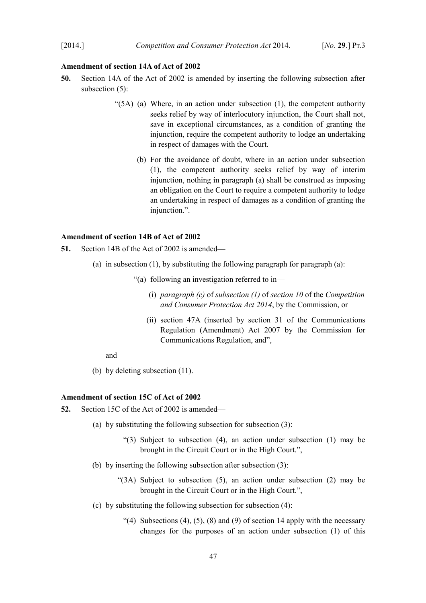### **Amendment of section 14A of Act of 2002**

- **50.** Section 14A of the Act of 2002 is amended by inserting the following subsection after subsection  $(5)$ :
	- " $(5A)$  (a) Where, in an action under subsection (1), the competent authority seeks relief by way of interlocutory injunction, the Court shall not, save in exceptional circumstances, as a condition of granting the injunction, require the competent authority to lodge an undertaking in respect of damages with the Court.
		- (b) For the avoidance of doubt, where in an action under subsection (1), the competent authority seeks relief by way of interim injunction, nothing in paragraph (a) shall be construed as imposing an obligation on the Court to require a competent authority to lodge an undertaking in respect of damages as a condition of granting the injunction.".

### **Amendment of section 14B of Act of 2002**

- **51.** Section 14B of the Act of 2002 is amended—
	- (a) in subsection (1), by substituting the following paragraph for paragraph (a):
		- "(a) following an investigation referred to in—
			- (i) *paragraph [\(c\)](#page-12-0)* of *subsection [\(1\)](#page-11-1)* of *section [10](#page-11-0)* of the *Competition and Consumer Protection Act 2014*, by the Commission, or
			- (ii) section 47A (inserted by section 31 of the [Communications](http://www.irishstatutebook.ie/2007/en/act/pub/0022/index.html) [Regulation \(Amendment\) Act 2007](http://www.irishstatutebook.ie/2007/en/act/pub/0022/index.html) by the Commission for Communications Regulation, and",

and

(b) by deleting subsection (11).

## **Amendment of section 15C of Act of 2002**

- **52.** Section 15C of the Act of 2002 is amended—
	- (a) by substituting the following subsection for subsection (3):
		- "(3) Subject to subsection (4), an action under subsection (1) may be brought in the Circuit Court or in the High Court.",
	- (b) by inserting the following subsection after subsection (3):
		- "(3A) Subject to subsection (5), an action under subsection (2) may be brought in the Circuit Court or in the High Court.",
	- (c) by substituting the following subsection for subsection (4):
		- "(4) Subsections (4), (5), (8) and (9) of section 14 apply with the necessary changes for the purposes of an action under subsection (1) of this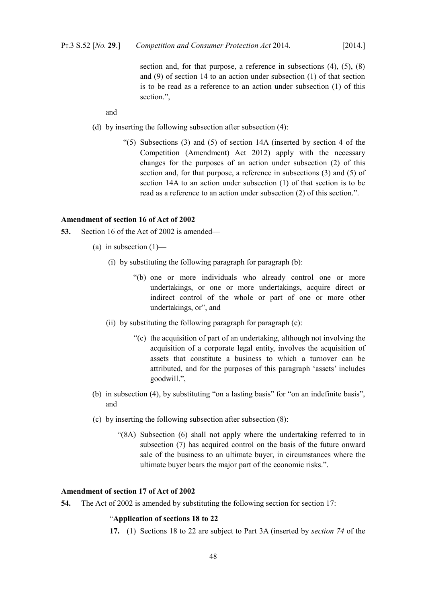section and, for that purpose, a reference in subsections (4), (5), (8) and (9) of section 14 to an action under subsection (1) of that section is to be read as a reference to an action under subsection (1) of this section.",

and

- (d) by inserting the following subsection after subsection (4):
	- " $(5)$  Subsections  $(3)$  and  $(5)$  of section 14A (inserted by section 4 of the [Competition \(Amendment\) Act 2012\)](http://www.irishstatutebook.ie/2012/en/act/pub/0018/index.html) apply with the necessary changes for the purposes of an action under subsection (2) of this section and, for that purpose, a reference in subsections (3) and (5) of section 14A to an action under subsection (1) of that section is to be read as a reference to an action under subsection (2) of this section.".

## **Amendment of section 16 of Act of 2002**

- **53.** Section 16 of the Act of 2002 is amended—
	- (a) in subsection  $(1)$ 
		- (i) by substituting the following paragraph for paragraph (b):
			- "(b) one or more individuals who already control one or more undertakings, or one or more undertakings, acquire direct or indirect control of the whole or part of one or more other undertakings, or", and
		- (ii) by substituting the following paragraph for paragraph (c):
			- "(c) the acquisition of part of an undertaking, although not involving the acquisition of a corporate legal entity, involves the acquisition of assets that constitute a business to which a turnover can be attributed, and for the purposes of this paragraph 'assets' includes goodwill.",
	- (b) in subsection (4), by substituting "on a lasting basis" for "on an indefinite basis", and
	- (c) by inserting the following subsection after subsection (8):
		- "(8A) Subsection (6) shall not apply where the undertaking referred to in subsection (7) has acquired control on the basis of the future onward sale of the business to an ultimate buyer, in circumstances where the ultimate buyer bears the major part of the economic risks.".

## **Amendment of section 17 of Act of 2002**

**54.** The Act of 2002 is amended by substituting the following section for section 17:

## "**Application of sections 18 to 22**

**17.** (1) Sections 18 to 22 are subject to Part 3A (inserted by *section [74](#page-57-0)* of the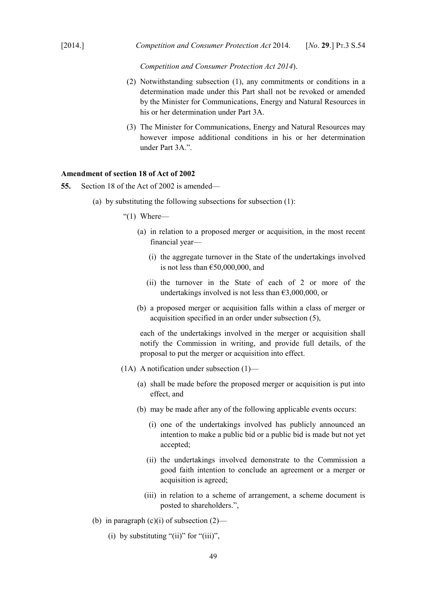*Competition and Consumer Protection Act 2014*).

- (2) Notwithstanding subsection (1), any commitments or conditions in a determination made under this Part shall not be revoked or amended by the Minister for Communications, Energy and Natural Resources in his or her determination under Part 3A.
- (3) The Minister for Communications, Energy and Natural Resources may however impose additional conditions in his or her determination under Part 3A.".

#### **Amendment of section 18 of Act of 2002**

- **55.** Section 18 of the Act of 2002 is amended—
	- (a) by substituting the following subsections for subsection (1):

"(1) Where—

- (a) in relation to a proposed merger or acquisition, in the most recent financial year—
	- (i) the aggregate turnover in the State of the undertakings involved is not less than  $£50,000,000,$  and
	- (ii) the turnover in the State of each of 2 or more of the undertakings involved is not less than  $\epsilon$ 3,000,000, or
- (b) a proposed merger or acquisition falls within a class of merger or acquisition specified in an order under subsection (5),

each of the undertakings involved in the merger or acquisition shall notify the Commission in writing, and provide full details, of the proposal to put the merger or acquisition into effect.

- (1A) A notification under subsection (1)—
	- (a) shall be made before the proposed merger or acquisition is put into effect, and
	- (b) may be made after any of the following applicable events occurs:
		- (i) one of the undertakings involved has publicly announced an intention to make a public bid or a public bid is made but not yet accepted;
		- (ii) the undertakings involved demonstrate to the Commission a good faith intention to conclude an agreement or a merger or acquisition is agreed;
		- (iii) in relation to a scheme of arrangement, a scheme document is posted to shareholders.",
- (b) in paragraph  $(c)(i)$  of subsection  $(2)$ 
	- (i) by substituting "(ii)" for "(iii)",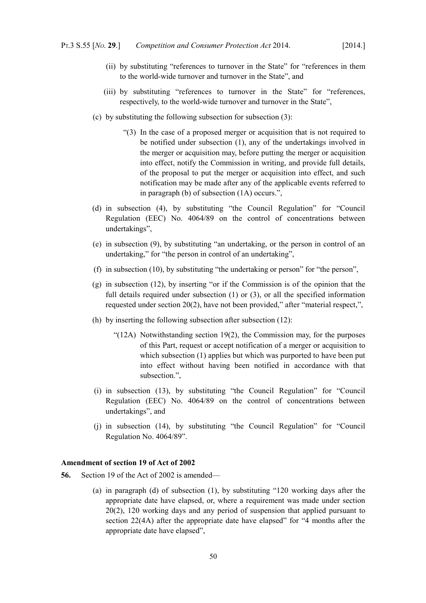- (ii) by substituting "references to turnover in the State" for "references in them to the world-wide turnover and turnover in the State", and
- (iii) by substituting "references to turnover in the State" for "references, respectively, to the world-wide turnover and turnover in the State",
- (c) by substituting the following subsection for subsection (3):
	- "(3) In the case of a proposed merger or acquisition that is not required to be notified under subsection (1), any of the undertakings involved in the merger or acquisition may, before putting the merger or acquisition into effect, notify the Commission in writing, and provide full details, of the proposal to put the merger or acquisition into effect, and such notification may be made after any of the applicable events referred to in paragraph (b) of subsection (1A) occurs.",
- (d) in subsection (4), by substituting "the Council Regulation" for "Council Regulation (EEC) No. 4064/89 on the control of concentrations between undertakings",
- (e) in subsection (9), by substituting "an undertaking, or the person in control of an undertaking," for "the person in control of an undertaking",
- (f) in subsection (10), by substituting "the undertaking or person" for "the person",
- (g) in subsection (12), by inserting "or if the Commission is of the opinion that the full details required under subsection (1) or (3), or all the specified information requested under section 20(2), have not been provided," after "material respect,",
- (h) by inserting the following subsection after subsection (12):
	- "(12A) Notwithstanding section 19(2), the Commission may, for the purposes of this Part, request or accept notification of a merger or acquisition to which subsection (1) applies but which was purported to have been put into effect without having been notified in accordance with that subsection.",
- (i) in subsection (13), by substituting "the Council Regulation" for "Council Regulation (EEC) No. 4064/89 on the control of concentrations between undertakings", and
- (j) in subsection (14), by substituting "the Council Regulation" for "Council Regulation No. 4064/89".

# **Amendment of section 19 of Act of 2002**

- **56.** Section 19 of the Act of 2002 is amended—
	- (a) in paragraph (d) of subsection (1), by substituting "120 working days after the appropriate date have elapsed, or, where a requirement was made under section 20(2), 120 working days and any period of suspension that applied pursuant to section 22(4A) after the appropriate date have elapsed" for "4 months after the appropriate date have elapsed",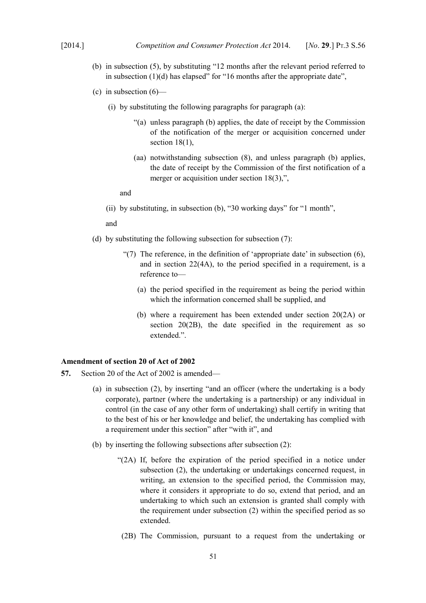- (b) in subsection (5), by substituting "12 months after the relevant period referred to in subsection  $(1)(d)$  has elapsed" for "16 months after the appropriate date".
- (c) in subsection  $(6)$ 
	- (i) by substituting the following paragraphs for paragraph (a):
		- "(a) unless paragraph (b) applies, the date of receipt by the Commission of the notification of the merger or acquisition concerned under section 18(1),
		- (aa) notwithstanding subsection (8), and unless paragraph (b) applies, the date of receipt by the Commission of the first notification of a merger or acquisition under section 18(3),",

and

(ii) by substituting, in subsection (b), "30 working days" for "1 month",

and

- (d) by substituting the following subsection for subsection (7):
	- "(7) The reference, in the definition of 'appropriate date' in subsection  $(6)$ , and in section 22(4A), to the period specified in a requirement, is a reference to—
		- (a) the period specified in the requirement as being the period within which the information concerned shall be supplied, and
		- (b) where a requirement has been extended under section 20(2A) or section 20(2B), the date specified in the requirement as so extended.".

#### **Amendment of section 20 of Act of 2002**

- **57.** Section 20 of the Act of 2002 is amended—
	- (a) in subsection (2), by inserting "and an officer (where the undertaking is a body corporate), partner (where the undertaking is a partnership) or any individual in control (in the case of any other form of undertaking) shall certify in writing that to the best of his or her knowledge and belief, the undertaking has complied with a requirement under this section" after "with it", and
	- (b) by inserting the following subsections after subsection (2):
		- "(2A) If, before the expiration of the period specified in a notice under subsection (2), the undertaking or undertakings concerned request, in writing, an extension to the specified period, the Commission may, where it considers it appropriate to do so, extend that period, and an undertaking to which such an extension is granted shall comply with the requirement under subsection (2) within the specified period as so extended.
		- (2B) The Commission, pursuant to a request from the undertaking or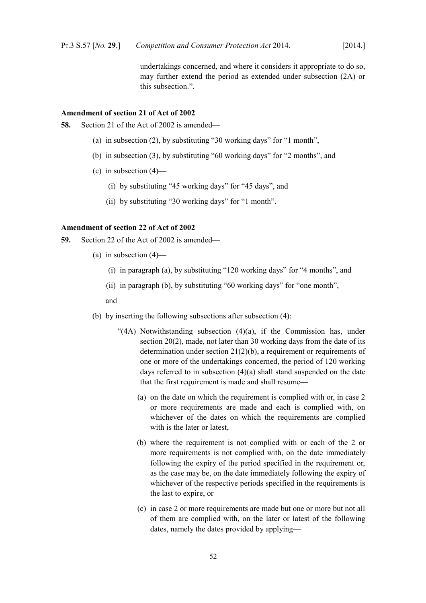undertakings concerned, and where it considers it appropriate to do so, may further extend the period as extended under subsection (2A) or this subsection.".

### **Amendment of section 21 of Act of 2002**

- **58.** Section 21 of the Act of 2002 is amended—
	- (a) in subsection (2), by substituting "30 working days" for "1 month",
	- (b) in subsection (3), by substituting "60 working days" for "2 months", and
	- (c) in subsection  $(4)$ 
		- (i) by substituting "45 working days" for "45 days", and
		- (ii) by substituting "30 working days" for "1 month".

## **Amendment of section 22 of Act of 2002**

- **59.** Section 22 of the Act of 2002 is amended—
	- (a) in subsection (4)—
		- (i) in paragraph (a), by substituting "120 working days" for "4 months", and
		- (ii) in paragraph (b), by substituting "60 working days" for "one month",

and

- (b) by inserting the following subsections after subsection (4):
	- "(4A) Notwithstanding subsection (4)(a), if the Commission has, under section 20(2), made, not later than 30 working days from the date of its determination under section 21(2)(b), a requirement or requirements of one or more of the undertakings concerned, the period of 120 working days referred to in subsection (4)(a) shall stand suspended on the date that the first requirement is made and shall resume—
		- (a) on the date on which the requirement is complied with or, in case 2 or more requirements are made and each is complied with, on whichever of the dates on which the requirements are complied with is the later or latest,
		- (b) where the requirement is not complied with or each of the 2 or more requirements is not complied with, on the date immediately following the expiry of the period specified in the requirement or, as the case may be, on the date immediately following the expiry of whichever of the respective periods specified in the requirements is the last to expire, or
		- (c) in case 2 or more requirements are made but one or more but not all of them are complied with, on the later or latest of the following dates, namely the dates provided by applying—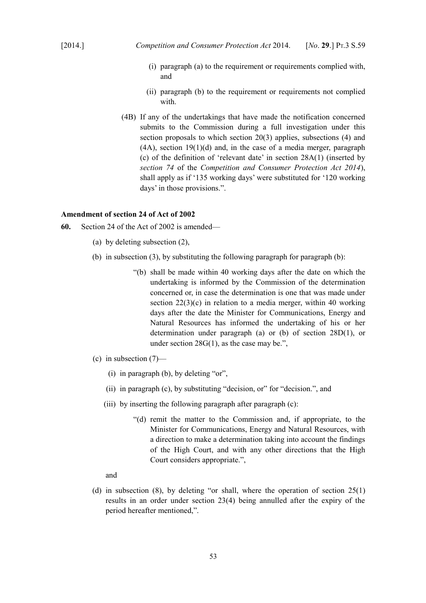- (i) paragraph (a) to the requirement or requirements complied with, and
- (ii) paragraph (b) to the requirement or requirements not complied with.
- (4B) If any of the undertakings that have made the notification concerned submits to the Commission during a full investigation under this section proposals to which section 20(3) applies, subsections (4) and  $(4A)$ , section 19 $(1)(d)$  and, in the case of a media merger, paragraph (c) of the definition of 'relevant date' in section 28A(1) (inserted by *section [74](#page-57-0)* of the *Competition and Consumer Protection Act 2014*), shall apply as if '135 working days' were substituted for '120 working days' in those provisions.".

### **Amendment of section 24 of Act of 2002**

- **60.** Section 24 of the Act of 2002 is amended—
	- (a) by deleting subsection (2),
	- (b) in subsection (3), by substituting the following paragraph for paragraph (b):
		- "(b) shall be made within 40 working days after the date on which the undertaking is informed by the Commission of the determination concerned or, in case the determination is one that was made under section 22(3)(c) in relation to a media merger, within 40 working days after the date the Minister for Communications, Energy and Natural Resources has informed the undertaking of his or her determination under paragraph (a) or (b) of section 28D(1), or under section 28G(1), as the case may be.",
	- (c) in subsection (7)—
		- (i) in paragraph (b), by deleting "or",
		- (ii) in paragraph (c), by substituting "decision, or" for "decision.", and
		- (iii) by inserting the following paragraph after paragraph (c):
			- "(d) remit the matter to the Commission and, if appropriate, to the Minister for Communications, Energy and Natural Resources, with a direction to make a determination taking into account the findings of the High Court, and with any other directions that the High Court considers appropriate.",

and

(d) in subsection (8), by deleting "or shall, where the operation of section  $25(1)$ results in an order under section 23(4) being annulled after the expiry of the period hereafter mentioned,".

53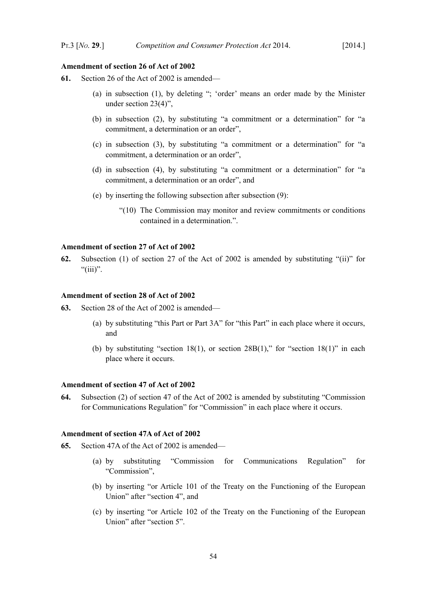#### **Amendment of section 26 of Act of 2002**

- **61.** Section 26 of the Act of 2002 is amended—
	- (a) in subsection (1), by deleting "; 'order' means an order made by the Minister under section 23(4)",
	- (b) in subsection (2), by substituting "a commitment or a determination" for "a commitment, a determination or an order",
	- (c) in subsection (3), by substituting "a commitment or a determination" for "a commitment, a determination or an order",
	- (d) in subsection (4), by substituting "a commitment or a determination" for "a commitment, a determination or an order", and
	- (e) by inserting the following subsection after subsection (9):
		- "(10) The Commission may monitor and review commitments or conditions contained in a determination.".

#### **Amendment of section 27 of Act of 2002**

**62.** Subsection (1) of section 27 of the Act of 2002 is amended by substituting "(ii)" for " $(iii)$ ".

#### **Amendment of section 28 of Act of 2002**

- **63.** Section 28 of the Act of 2002 is amended—
	- (a) by substituting "this Part or Part 3A" for "this Part" in each place where it occurs, and
	- (b) by substituting "section 18(1), or section 28B(1)," for "section 18(1)" in each place where it occurs.

#### **Amendment of section 47 of Act of 2002**

**64.** Subsection (2) of section 47 of the Act of 2002 is amended by substituting "Commission for Communications Regulation" for "Commission" in each place where it occurs.

#### **Amendment of section 47A of Act of 2002**

- **65.** Section 47A of the Act of 2002 is amended—
	- (a) by substituting "Commission for Communications Regulation" for "Commission",
	- (b) by inserting "or Article 101 of the Treaty on the Functioning of the European Union" after "section 4", and
	- (c) by inserting "or Article 102 of the Treaty on the Functioning of the European Union" after "section 5".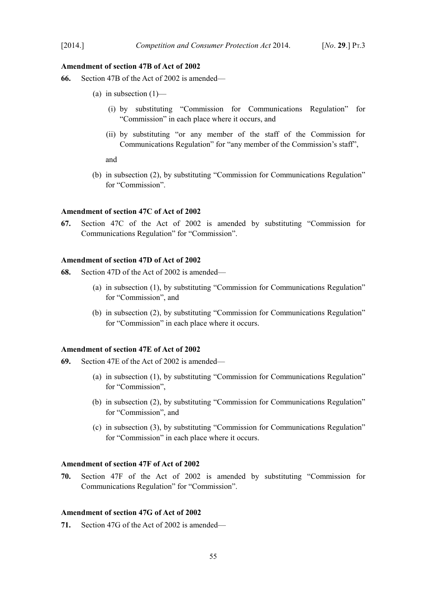### **Amendment of section 47B of Act of 2002**

- **66.** Section 47B of the Act of 2002 is amended—
	- (a) in subsection  $(1)$ 
		- (i) by substituting "Commission for Communications Regulation" for "Commission" in each place where it occurs, and
		- (ii) by substituting "or any member of the staff of the Commission for Communications Regulation" for "any member of the Commission's staff",

and

(b) in subsection (2), by substituting "Commission for Communications Regulation" for "Commission".

# **Amendment of section 47C of Act of 2002**

**67.** Section 47C of the Act of 2002 is amended by substituting "Commission for Communications Regulation" for "Commission".

## **Amendment of section 47D of Act of 2002**

- **68.** Section 47D of the Act of 2002 is amended—
	- (a) in subsection (1), by substituting "Commission for Communications Regulation" for "Commission", and
	- (b) in subsection (2), by substituting "Commission for Communications Regulation" for "Commission" in each place where it occurs.

### **Amendment of section 47E of Act of 2002**

- **69.** Section 47E of the Act of 2002 is amended—
	- (a) in subsection (1), by substituting "Commission for Communications Regulation" for "Commission",
	- (b) in subsection (2), by substituting "Commission for Communications Regulation" for "Commission", and
	- (c) in subsection (3), by substituting "Commission for Communications Regulation" for "Commission" in each place where it occurs.

#### **Amendment of section 47F of Act of 2002**

**70.** Section 47F of the Act of 2002 is amended by substituting "Commission for Communications Regulation" for "Commission".

### **Amendment of section 47G of Act of 2002**

**71.** Section 47G of the Act of 2002 is amended—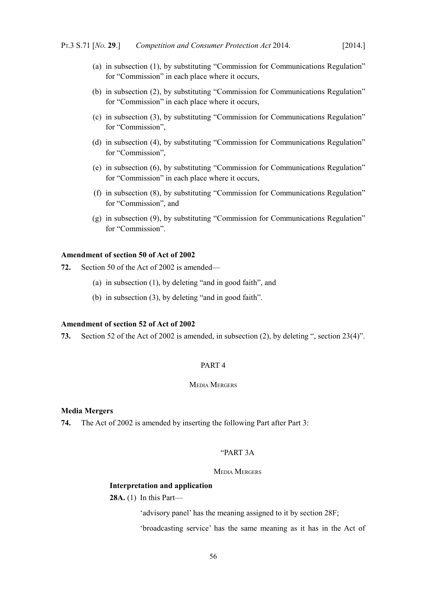- (a) in subsection (1), by substituting "Commission for Communications Regulation" for "Commission" in each place where it occurs,
- (b) in subsection (2), by substituting "Commission for Communications Regulation" for "Commission" in each place where it occurs,
- (c) in subsection (3), by substituting "Commission for Communications Regulation" for "Commission",
- (d) in subsection (4), by substituting "Commission for Communications Regulation" for "Commission",
- (e) in subsection (6), by substituting "Commission for Communications Regulation" for "Commission" in each place where it occurs,
- (f) in subsection (8), by substituting "Commission for Communications Regulation" for "Commission", and
- (g) in subsection (9), by substituting "Commission for Communications Regulation" for "Commission".

## **Amendment of section 50 of Act of 2002**

**72.** Section 50 of the Act of 2002 is amended—

- (a) in subsection (1), by deleting "and in good faith", and
- (b) in subsection (3), by deleting "and in good faith".

## **Amendment of section 52 of Act of 2002**

**73.** Section 52 of the Act of 2002 is amended, in subsection (2), by deleting ", section 23(4)".

## PART 4

#### MEDIA MERGERS

## **Media Mergers**

<span id="page-57-0"></span>**74.** The Act of 2002 is amended by inserting the following Part after Part 3:

## "PART 3A

### MEDIA MERGERS

#### **Interpretation and application**

**28A.** (1) In this Part—

'advisory panel' has the meaning assigned to it by section 28F;

'broadcasting service' has the same meaning as it has in the Act of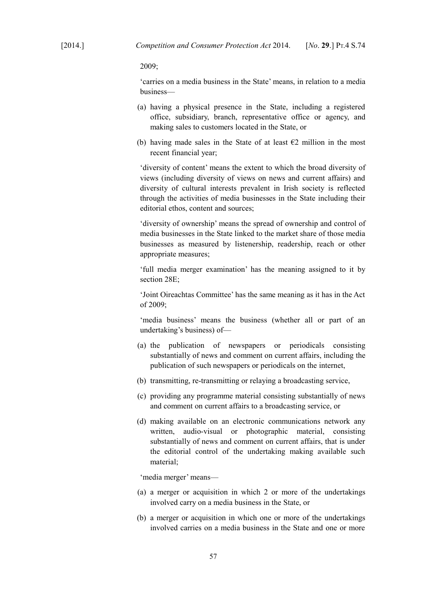2009;

'carries on a media business in the State' means, in relation to a media business—

- (a) having a physical presence in the State, including a registered office, subsidiary, branch, representative office or agency, and making sales to customers located in the State, or
- (b) having made sales in the State of at least  $\epsilon$ 2 million in the most recent financial year;

'diversity of content' means the extent to which the broad diversity of views (including diversity of views on news and current affairs) and diversity of cultural interests prevalent in Irish society is reflected through the activities of media businesses in the State including their editorial ethos, content and sources;

'diversity of ownership' means the spread of ownership and control of media businesses in the State linked to the market share of those media businesses as measured by listenership, readership, reach or other appropriate measures;

'full media merger examination' has the meaning assigned to it by section 28E;

'Joint Oireachtas Committee' has the same meaning as it has in the Act of 2009;

'media business' means the business (whether all or part of an undertaking's business) of—

- (a) the publication of newspapers or periodicals consisting substantially of news and comment on current affairs, including the publication of such newspapers or periodicals on the internet,
- (b) transmitting, re-transmitting or relaying a broadcasting service,
- (c) providing any programme material consisting substantially of news and comment on current affairs to a broadcasting service, or
- (d) making available on an electronic communications network any written, audio-visual or photographic material, consisting substantially of news and comment on current affairs, that is under the editorial control of the undertaking making available such material;

'media merger' means—

- (a) a merger or acquisition in which 2 or more of the undertakings involved carry on a media business in the State, or
- (b) a merger or acquisition in which one or more of the undertakings involved carries on a media business in the State and one or more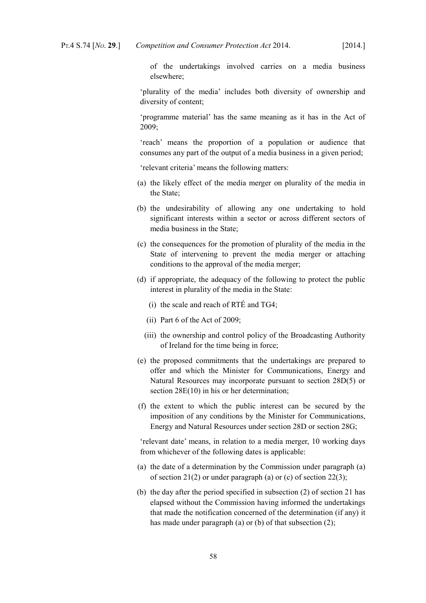of the undertakings involved carries on a media business elsewhere;

'plurality of the media' includes both diversity of ownership and diversity of content;

'programme material' has the same meaning as it has in the Act of 2009;

'reach' means the proportion of a population or audience that consumes any part of the output of a media business in a given period;

'relevant criteria' means the following matters:

- (a) the likely effect of the media merger on plurality of the media in the State;
- (b) the undesirability of allowing any one undertaking to hold significant interests within a sector or across different sectors of media business in the State;
- (c) the consequences for the promotion of plurality of the media in the State of intervening to prevent the media merger or attaching conditions to the approval of the media merger;
- (d) if appropriate, the adequacy of the following to protect the public interest in plurality of the media in the State:
	- (i) the scale and reach of RTÉ and TG4;
	- (ii) Part 6 of the Act of 2009;
	- (iii) the ownership and control policy of the Broadcasting Authority of Ireland for the time being in force;
- (e) the proposed commitments that the undertakings are prepared to offer and which the Minister for Communications, Energy and Natural Resources may incorporate pursuant to section 28D(5) or section 28E(10) in his or her determination;
- (f) the extent to which the public interest can be secured by the imposition of any conditions by the Minister for Communications, Energy and Natural Resources under section 28D or section 28G;

'relevant date' means, in relation to a media merger, 10 working days from whichever of the following dates is applicable:

- (a) the date of a determination by the Commission under paragraph (a) of section 21(2) or under paragraph (a) or (c) of section 22(3);
- (b) the day after the period specified in subsection (2) of section 21 has elapsed without the Commission having informed the undertakings that made the notification concerned of the determination (if any) it has made under paragraph (a) or (b) of that subsection (2):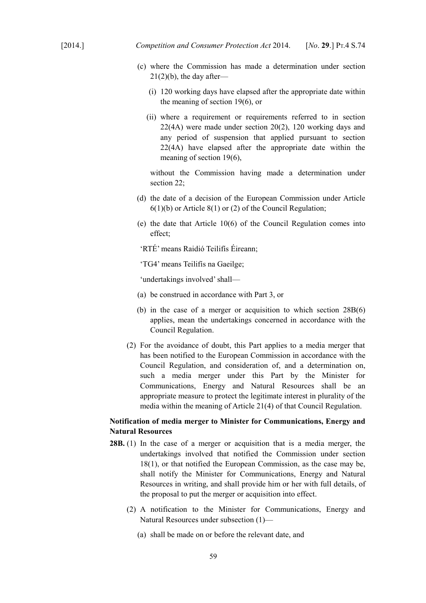- (c) where the Commission has made a determination under section  $21(2)(b)$ , the day after—
	- (i) 120 working days have elapsed after the appropriate date within the meaning of section 19(6), or
	- (ii) where a requirement or requirements referred to in section 22(4A) were made under section 20(2), 120 working days and any period of suspension that applied pursuant to section 22(4A) have elapsed after the appropriate date within the meaning of section 19(6),

without the Commission having made a determination under section 22;

- (d) the date of a decision of the European Commission under Article 6(1)(b) or Article 8(1) or (2) of the Council Regulation;
- (e) the date that Article 10(6) of the Council Regulation comes into effect;

'RTÉ' means Raidió Teilifís Éireann;

'TG4' means Teilifís na Gaeilge;

'undertakings involved' shall—

- (a) be construed in accordance with Part 3, or
- (b) in the case of a merger or acquisition to which section 28B(6) applies, mean the undertakings concerned in accordance with the Council Regulation.
- (2) For the avoidance of doubt, this Part applies to a media merger that has been notified to the European Commission in accordance with the Council Regulation, and consideration of, and a determination on, such a media merger under this Part by the Minister for Communications, Energy and Natural Resources shall be an appropriate measure to protect the legitimate interest in plurality of the media within the meaning of Article 21(4) of that Council Regulation.

# **Notification of media merger to Minister for Communications, Energy and Natural Resources**

- **28B.** (1) In the case of a merger or acquisition that is a media merger, the undertakings involved that notified the Commission under section 18(1), or that notified the European Commission, as the case may be, shall notify the Minister for Communications, Energy and Natural Resources in writing, and shall provide him or her with full details, of the proposal to put the merger or acquisition into effect.
	- (2) A notification to the Minister for Communications, Energy and Natural Resources under subsection (1)—
		- (a) shall be made on or before the relevant date, and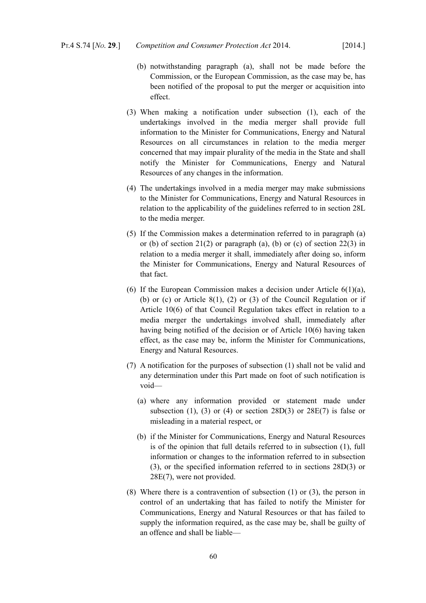- (b) notwithstanding paragraph (a), shall not be made before the Commission, or the European Commission, as the case may be, has been notified of the proposal to put the merger or acquisition into effect.
- (3) When making a notification under subsection (1), each of the undertakings involved in the media merger shall provide full information to the Minister for Communications, Energy and Natural Resources on all circumstances in relation to the media merger concerned that may impair plurality of the media in the State and shall notify the Minister for Communications, Energy and Natural Resources of any changes in the information.
- (4) The undertakings involved in a media merger may make submissions to the Minister for Communications, Energy and Natural Resources in relation to the applicability of the guidelines referred to in section 28L to the media merger.
- (5) If the Commission makes a determination referred to in paragraph (a) or (b) of section 21(2) or paragraph (a), (b) or (c) of section 22(3) in relation to a media merger it shall, immediately after doing so, inform the Minister for Communications, Energy and Natural Resources of that fact.
- (6) If the European Commission makes a decision under Article  $6(1)(a)$ , (b) or (c) or Article  $8(1)$ , (2) or (3) of the Council Regulation or if Article 10(6) of that Council Regulation takes effect in relation to a media merger the undertakings involved shall, immediately after having being notified of the decision or of Article 10(6) having taken effect, as the case may be, inform the Minister for Communications, Energy and Natural Resources.
- (7) A notification for the purposes of subsection (1) shall not be valid and any determination under this Part made on foot of such notification is void—
	- (a) where any information provided or statement made under subsection (1), (3) or (4) or section  $28D(3)$  or  $28E(7)$  is false or misleading in a material respect, or
	- (b) if the Minister for Communications, Energy and Natural Resources is of the opinion that full details referred to in subsection (1), full information or changes to the information referred to in subsection (3), or the specified information referred to in sections 28D(3) or 28E(7), were not provided.
- (8) Where there is a contravention of subsection (1) or (3), the person in control of an undertaking that has failed to notify the Minister for Communications, Energy and Natural Resources or that has failed to supply the information required, as the case may be, shall be guilty of an offence and shall be liable—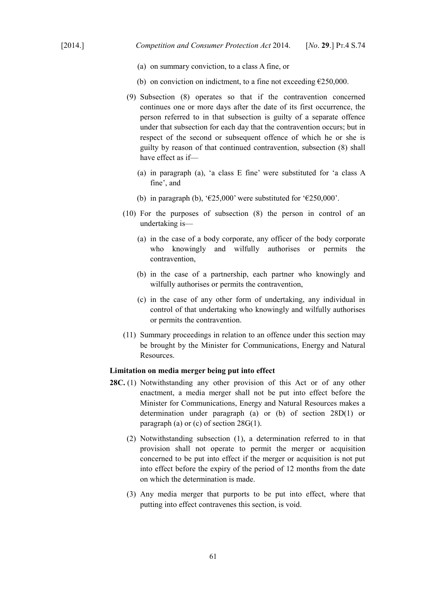- (a) on summary conviction, to a class A fine, or
- (b) on conviction on indictment, to a fine not exceeding  $E$ 250,000.
- (9) Subsection (8) operates so that if the contravention concerned continues one or more days after the date of its first occurrence, the person referred to in that subsection is guilty of a separate offence under that subsection for each day that the contravention occurs; but in respect of the second or subsequent offence of which he or she is guilty by reason of that continued contravention, subsection (8) shall have effect as if—
	- (a) in paragraph (a), 'a class E fine' were substituted for 'a class A fine', and
	- (b) in paragraph (b), ' $\epsilon$ 25,000' were substituted for ' $\epsilon$ 250,000'.
- (10) For the purposes of subsection (8) the person in control of an undertaking is—
	- (a) in the case of a body corporate, any officer of the body corporate who knowingly and wilfully authorises or permits the contravention,
	- (b) in the case of a partnership, each partner who knowingly and wilfully authorises or permits the contravention,
	- (c) in the case of any other form of undertaking, any individual in control of that undertaking who knowingly and wilfully authorises or permits the contravention.
- (11) Summary proceedings in relation to an offence under this section may be brought by the Minister for Communications, Energy and Natural Resources.

### **Limitation on media merger being put into effect**

- **28C.** (1) Notwithstanding any other provision of this Act or of any other enactment, a media merger shall not be put into effect before the Minister for Communications, Energy and Natural Resources makes a determination under paragraph (a) or (b) of section 28D(1) or paragraph (a) or (c) of section 28G(1).
	- (2) Notwithstanding subsection (1), a determination referred to in that provision shall not operate to permit the merger or acquisition concerned to be put into effect if the merger or acquisition is not put into effect before the expiry of the period of 12 months from the date on which the determination is made.
	- (3) Any media merger that purports to be put into effect, where that putting into effect contravenes this section, is void.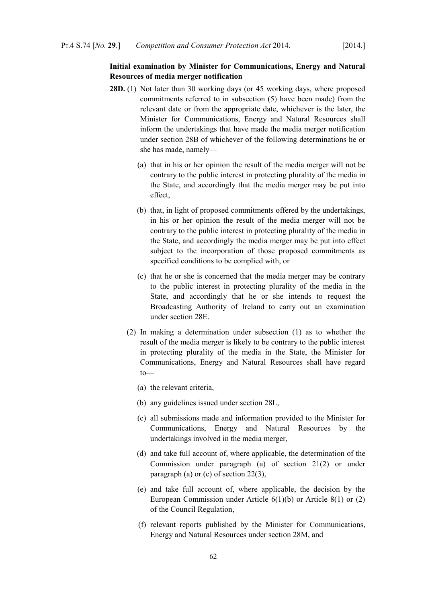# **Initial examination by Minister for Communications, Energy and Natural Resources of media merger notification**

- **28D.** (1) Not later than 30 working days (or 45 working days, where proposed commitments referred to in subsection (5) have been made) from the relevant date or from the appropriate date, whichever is the later, the Minister for Communications, Energy and Natural Resources shall inform the undertakings that have made the media merger notification under section 28B of whichever of the following determinations he or she has made, namely—
	- (a) that in his or her opinion the result of the media merger will not be contrary to the public interest in protecting plurality of the media in the State, and accordingly that the media merger may be put into effect,
	- (b) that, in light of proposed commitments offered by the undertakings, in his or her opinion the result of the media merger will not be contrary to the public interest in protecting plurality of the media in the State, and accordingly the media merger may be put into effect subject to the incorporation of those proposed commitments as specified conditions to be complied with, or
	- (c) that he or she is concerned that the media merger may be contrary to the public interest in protecting plurality of the media in the State, and accordingly that he or she intends to request the Broadcasting Authority of Ireland to carry out an examination under section 28E.
	- (2) In making a determination under subsection (1) as to whether the result of the media merger is likely to be contrary to the public interest in protecting plurality of the media in the State, the Minister for Communications, Energy and Natural Resources shall have regard to—
		- (a) the relevant criteria,
		- (b) any guidelines issued under section 28L,
		- (c) all submissions made and information provided to the Minister for Communications, Energy and Natural Resources by the undertakings involved in the media merger,
		- (d) and take full account of, where applicable, the determination of the Commission under paragraph (a) of section 21(2) or under paragraph (a) or (c) of section 22(3),
		- (e) and take full account of, where applicable, the decision by the European Commission under Article 6(1)(b) or Article 8(1) or (2) of the Council Regulation,
		- (f) relevant reports published by the Minister for Communications, Energy and Natural Resources under section 28M, and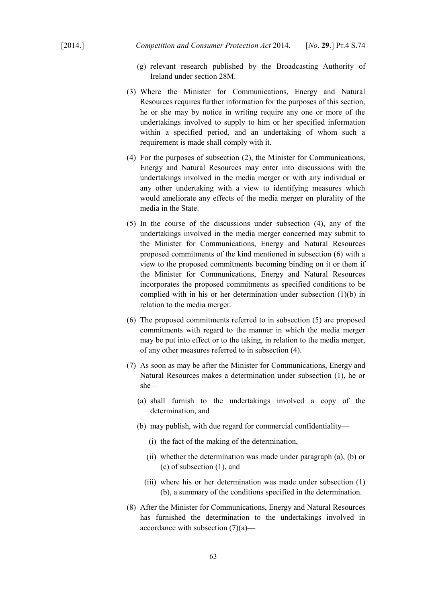- (g) relevant research published by the Broadcasting Authority of Ireland under section 28M.
- (3) Where the Minister for Communications, Energy and Natural Resources requires further information for the purposes of this section, he or she may by notice in writing require any one or more of the undertakings involved to supply to him or her specified information within a specified period, and an undertaking of whom such a requirement is made shall comply with it.
- (4) For the purposes of subsection (2), the Minister for Communications, Energy and Natural Resources may enter into discussions with the undertakings involved in the media merger or with any individual or any other undertaking with a view to identifying measures which would ameliorate any effects of the media merger on plurality of the media in the State.
- (5) In the course of the discussions under subsection (4), any of the undertakings involved in the media merger concerned may submit to the Minister for Communications, Energy and Natural Resources proposed commitments of the kind mentioned in subsection (6) with a view to the proposed commitments becoming binding on it or them if the Minister for Communications, Energy and Natural Resources incorporates the proposed commitments as specified conditions to be complied with in his or her determination under subsection (1)(b) in relation to the media merger.
- (6) The proposed commitments referred to in subsection (5) are proposed commitments with regard to the manner in which the media merger may be put into effect or to the taking, in relation to the media merger, of any other measures referred to in subsection (4).
- (7) As soon as may be after the Minister for Communications, Energy and Natural Resources makes a determination under subsection (1), he or she—
	- (a) shall furnish to the undertakings involved a copy of the determination, and
	- (b) may publish, with due regard for commercial confidentiality—
		- (i) the fact of the making of the determination,
		- (ii) whether the determination was made under paragraph (a), (b) or (c) of subsection (1), and
		- (iii) where his or her determination was made under subsection (1) (b), a summary of the conditions specified in the determination.
- (8) After the Minister for Communications, Energy and Natural Resources has furnished the determination to the undertakings involved in accordance with subsection  $(7)(a)$ —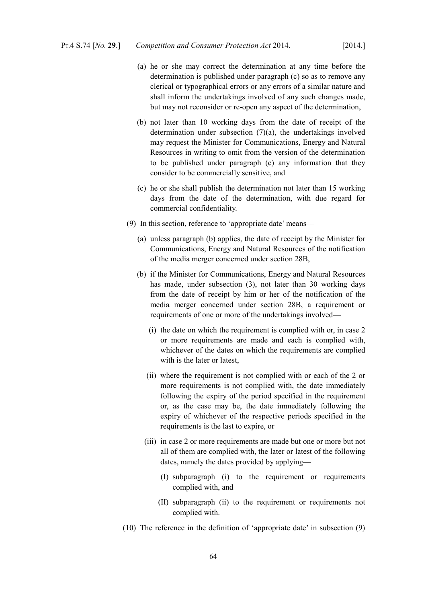- (a) he or she may correct the determination at any time before the determination is published under paragraph (c) so as to remove any clerical or typographical errors or any errors of a similar nature and shall inform the undertakings involved of any such changes made, but may not reconsider or re-open any aspect of the determination,
- (b) not later than 10 working days from the date of receipt of the determination under subsection (7)(a), the undertakings involved may request the Minister for Communications, Energy and Natural Resources in writing to omit from the version of the determination to be published under paragraph (c) any information that they consider to be commercially sensitive, and
- (c) he or she shall publish the determination not later than 15 working days from the date of the determination, with due regard for commercial confidentiality.
- (9) In this section, reference to 'appropriate date' means—
	- (a) unless paragraph (b) applies, the date of receipt by the Minister for Communications, Energy and Natural Resources of the notification of the media merger concerned under section 28B,
	- (b) if the Minister for Communications, Energy and Natural Resources has made, under subsection (3), not later than 30 working days from the date of receipt by him or her of the notification of the media merger concerned under section 28B, a requirement or requirements of one or more of the undertakings involved—
		- (i) the date on which the requirement is complied with or, in case 2 or more requirements are made and each is complied with, whichever of the dates on which the requirements are complied with is the later or latest,
		- (ii) where the requirement is not complied with or each of the 2 or more requirements is not complied with, the date immediately following the expiry of the period specified in the requirement or, as the case may be, the date immediately following the expiry of whichever of the respective periods specified in the requirements is the last to expire, or
		- (iii) in case 2 or more requirements are made but one or more but not all of them are complied with, the later or latest of the following dates, namely the dates provided by applying—
			- (I) subparagraph (i) to the requirement or requirements complied with, and
			- (II) subparagraph (ii) to the requirement or requirements not complied with.
- (10) The reference in the definition of 'appropriate date' in subsection (9)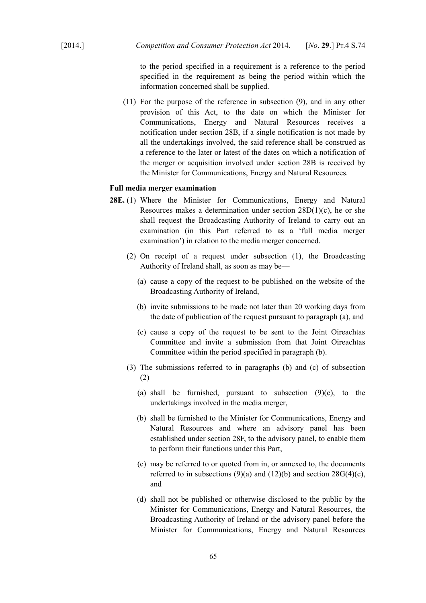to the period specified in a requirement is a reference to the period specified in the requirement as being the period within which the information concerned shall be supplied.

(11) For the purpose of the reference in subsection (9), and in any other provision of this Act, to the date on which the Minister for Communications, Energy and Natural Resources receives a notification under section 28B, if a single notification is not made by all the undertakings involved, the said reference shall be construed as a reference to the later or latest of the dates on which a notification of the merger or acquisition involved under section 28B is received by the Minister for Communications, Energy and Natural Resources.

## **Full media merger examination**

- **28E.** (1) Where the Minister for Communications, Energy and Natural Resources makes a determination under section  $28D(1)(c)$ , he or she shall request the Broadcasting Authority of Ireland to carry out an examination (in this Part referred to as a 'full media merger examination') in relation to the media merger concerned.
	- (2) On receipt of a request under subsection (1), the Broadcasting Authority of Ireland shall, as soon as may be—
		- (a) cause a copy of the request to be published on the website of the Broadcasting Authority of Ireland,
		- (b) invite submissions to be made not later than 20 working days from the date of publication of the request pursuant to paragraph (a), and
		- (c) cause a copy of the request to be sent to the Joint Oireachtas Committee and invite a submission from that Joint Oireachtas Committee within the period specified in paragraph (b).
	- (3) The submissions referred to in paragraphs (b) and (c) of subsection  $(2)$ —
		- (a) shall be furnished, pursuant to subsection  $(9)(c)$ , to the undertakings involved in the media merger,
		- (b) shall be furnished to the Minister for Communications, Energy and Natural Resources and where an advisory panel has been established under section 28F, to the advisory panel, to enable them to perform their functions under this Part,
		- (c) may be referred to or quoted from in, or annexed to, the documents referred to in subsections  $(9)(a)$  and  $(12)(b)$  and section  $28G(4)(c)$ , and
		- (d) shall not be published or otherwise disclosed to the public by the Minister for Communications, Energy and Natural Resources, the Broadcasting Authority of Ireland or the advisory panel before the Minister for Communications, Energy and Natural Resources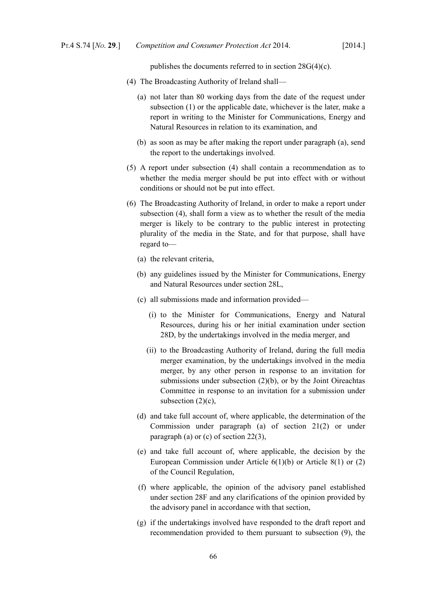publishes the documents referred to in section 28G(4)(c).

- (4) The Broadcasting Authority of Ireland shall—
	- (a) not later than 80 working days from the date of the request under subsection (1) or the applicable date, whichever is the later, make a report in writing to the Minister for Communications, Energy and Natural Resources in relation to its examination, and
	- (b) as soon as may be after making the report under paragraph (a), send the report to the undertakings involved.
- (5) A report under subsection (4) shall contain a recommendation as to whether the media merger should be put into effect with or without conditions or should not be put into effect.
- (6) The Broadcasting Authority of Ireland, in order to make a report under subsection (4), shall form a view as to whether the result of the media merger is likely to be contrary to the public interest in protecting plurality of the media in the State, and for that purpose, shall have regard to—
	- (a) the relevant criteria,
	- (b) any guidelines issued by the Minister for Communications, Energy and Natural Resources under section 28L,
	- (c) all submissions made and information provided—
		- (i) to the Minister for Communications, Energy and Natural Resources, during his or her initial examination under section 28D, by the undertakings involved in the media merger, and
		- (ii) to the Broadcasting Authority of Ireland, during the full media merger examination, by the undertakings involved in the media merger, by any other person in response to an invitation for submissions under subsection (2)(b), or by the Joint Oireachtas Committee in response to an invitation for a submission under subsection  $(2)(c)$ ,
	- (d) and take full account of, where applicable, the determination of the Commission under paragraph (a) of section 21(2) or under paragraph (a) or (c) of section 22(3),
	- (e) and take full account of, where applicable, the decision by the European Commission under Article 6(1)(b) or Article 8(1) or (2) of the Council Regulation,
	- (f) where applicable, the opinion of the advisory panel established under section 28F and any clarifications of the opinion provided by the advisory panel in accordance with that section,
	- (g) if the undertakings involved have responded to the draft report and recommendation provided to them pursuant to subsection (9), the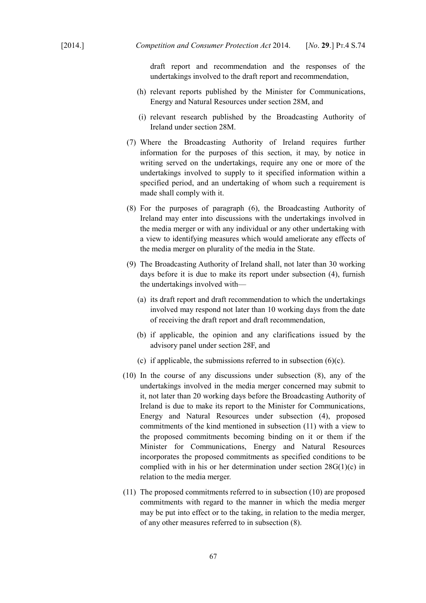draft report and recommendation and the responses of the undertakings involved to the draft report and recommendation,

- (h) relevant reports published by the Minister for Communications, Energy and Natural Resources under section 28M, and
- (i) relevant research published by the Broadcasting Authority of Ireland under section 28M.
- (7) Where the Broadcasting Authority of Ireland requires further information for the purposes of this section, it may, by notice in writing served on the undertakings, require any one or more of the undertakings involved to supply to it specified information within a specified period, and an undertaking of whom such a requirement is made shall comply with it.
- (8) For the purposes of paragraph (6), the Broadcasting Authority of Ireland may enter into discussions with the undertakings involved in the media merger or with any individual or any other undertaking with a view to identifying measures which would ameliorate any effects of the media merger on plurality of the media in the State.
- (9) The Broadcasting Authority of Ireland shall, not later than 30 working days before it is due to make its report under subsection (4), furnish the undertakings involved with—
	- (a) its draft report and draft recommendation to which the undertakings involved may respond not later than 10 working days from the date of receiving the draft report and draft recommendation,
	- (b) if applicable, the opinion and any clarifications issued by the advisory panel under section 28F, and
	- (c) if applicable, the submissions referred to in subsection  $(6)(c)$ .
- (10) In the course of any discussions under subsection (8), any of the undertakings involved in the media merger concerned may submit to it, not later than 20 working days before the Broadcasting Authority of Ireland is due to make its report to the Minister for Communications, Energy and Natural Resources under subsection (4), proposed commitments of the kind mentioned in subsection (11) with a view to the proposed commitments becoming binding on it or them if the Minister for Communications, Energy and Natural Resources incorporates the proposed commitments as specified conditions to be complied with in his or her determination under section 28G(1)(c) in relation to the media merger.
- (11) The proposed commitments referred to in subsection (10) are proposed commitments with regard to the manner in which the media merger may be put into effect or to the taking, in relation to the media merger, of any other measures referred to in subsection (8).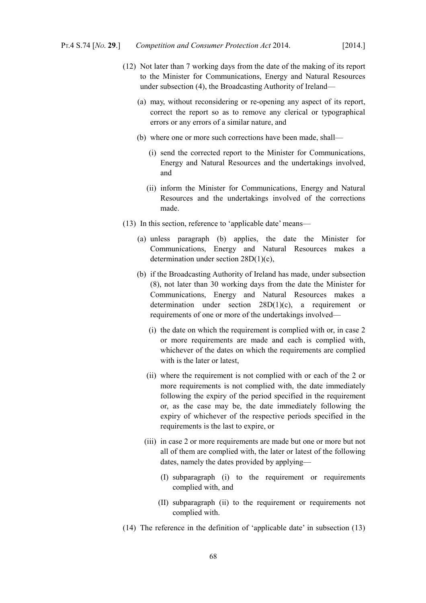- (12) Not later than 7 working days from the date of the making of its report to the Minister for Communications, Energy and Natural Resources under subsection (4), the Broadcasting Authority of Ireland—
	- (a) may, without reconsidering or re-opening any aspect of its report, correct the report so as to remove any clerical or typographical errors or any errors of a similar nature, and
	- (b) where one or more such corrections have been made, shall—
		- (i) send the corrected report to the Minister for Communications, Energy and Natural Resources and the undertakings involved, and
		- (ii) inform the Minister for Communications, Energy and Natural Resources and the undertakings involved of the corrections made.
- (13) In this section, reference to 'applicable date' means—
	- (a) unless paragraph (b) applies, the date the Minister for Communications, Energy and Natural Resources makes a determination under section 28D(1)(c),
	- (b) if the Broadcasting Authority of Ireland has made, under subsection (8), not later than 30 working days from the date the Minister for Communications, Energy and Natural Resources makes a determination under section 28D(1)(c), a requirement or requirements of one or more of the undertakings involved—
		- (i) the date on which the requirement is complied with or, in case 2 or more requirements are made and each is complied with, whichever of the dates on which the requirements are complied with is the later or latest,
		- (ii) where the requirement is not complied with or each of the 2 or more requirements is not complied with, the date immediately following the expiry of the period specified in the requirement or, as the case may be, the date immediately following the expiry of whichever of the respective periods specified in the requirements is the last to expire, or
		- (iii) in case 2 or more requirements are made but one or more but not all of them are complied with, the later or latest of the following dates, namely the dates provided by applying—
			- (I) subparagraph (i) to the requirement or requirements complied with, and
			- (II) subparagraph (ii) to the requirement or requirements not complied with.
- (14) The reference in the definition of 'applicable date' in subsection (13)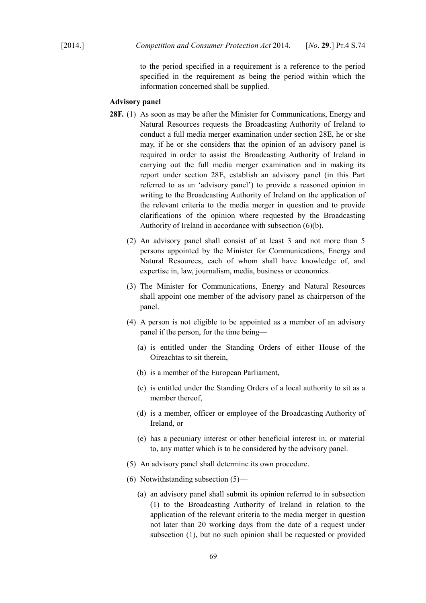to the period specified in a requirement is a reference to the period specified in the requirement as being the period within which the information concerned shall be supplied.

### **Advisory panel**

- **28F.** (1) As soon as may be after the Minister for Communications, Energy and Natural Resources requests the Broadcasting Authority of Ireland to conduct a full media merger examination under section 28E, he or she may, if he or she considers that the opinion of an advisory panel is required in order to assist the Broadcasting Authority of Ireland in carrying out the full media merger examination and in making its report under section 28E, establish an advisory panel (in this Part referred to as an 'advisory panel') to provide a reasoned opinion in writing to the Broadcasting Authority of Ireland on the application of the relevant criteria to the media merger in question and to provide clarifications of the opinion where requested by the Broadcasting Authority of Ireland in accordance with subsection (6)(b).
	- (2) An advisory panel shall consist of at least 3 and not more than 5 persons appointed by the Minister for Communications, Energy and Natural Resources, each of whom shall have knowledge of, and expertise in, law, journalism, media, business or economics.
	- (3) The Minister for Communications, Energy and Natural Resources shall appoint one member of the advisory panel as chairperson of the panel.
	- (4) A person is not eligible to be appointed as a member of an advisory panel if the person, for the time being—
		- (a) is entitled under the Standing Orders of either House of the Oireachtas to sit therein,
		- (b) is a member of the European Parliament,
		- (c) is entitled under the Standing Orders of a local authority to sit as a member thereof,
		- (d) is a member, officer or employee of the Broadcasting Authority of Ireland, or
		- (e) has a pecuniary interest or other beneficial interest in, or material to, any matter which is to be considered by the advisory panel.
	- (5) An advisory panel shall determine its own procedure.
	- (6) Notwithstanding subsection (5)—
		- (a) an advisory panel shall submit its opinion referred to in subsection (1) to the Broadcasting Authority of Ireland in relation to the application of the relevant criteria to the media merger in question not later than 20 working days from the date of a request under subsection (1), but no such opinion shall be requested or provided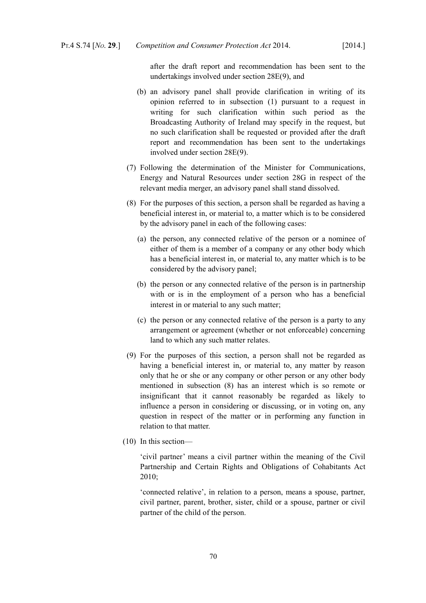after the draft report and recommendation has been sent to the undertakings involved under section 28E(9), and

- (b) an advisory panel shall provide clarification in writing of its opinion referred to in subsection (1) pursuant to a request in writing for such clarification within such period as the Broadcasting Authority of Ireland may specify in the request, but no such clarification shall be requested or provided after the draft report and recommendation has been sent to the undertakings involved under section 28E(9).
- (7) Following the determination of the Minister for Communications, Energy and Natural Resources under section 28G in respect of the relevant media merger, an advisory panel shall stand dissolved.
- (8) For the purposes of this section, a person shall be regarded as having a beneficial interest in, or material to, a matter which is to be considered by the advisory panel in each of the following cases:
	- (a) the person, any connected relative of the person or a nominee of either of them is a member of a company or any other body which has a beneficial interest in, or material to, any matter which is to be considered by the advisory panel;
	- (b) the person or any connected relative of the person is in partnership with or is in the employment of a person who has a beneficial interest in or material to any such matter;
	- (c) the person or any connected relative of the person is a party to any arrangement or agreement (whether or not enforceable) concerning land to which any such matter relates.
- (9) For the purposes of this section, a person shall not be regarded as having a beneficial interest in, or material to, any matter by reason only that he or she or any company or other person or any other body mentioned in subsection (8) has an interest which is so remote or insignificant that it cannot reasonably be regarded as likely to influence a person in considering or discussing, or in voting on, any question in respect of the matter or in performing any function in relation to that matter.
- (10) In this section—

'civil partner' means a civil partner within the meaning of the [Civil](http://www.irishstatutebook.ie/2010/en/act/pub/0024/index.html) [Partnership and Certain Rights and Obligations of Cohabitants Act](http://www.irishstatutebook.ie/2010/en/act/pub/0024/index.html) [2010;](http://www.irishstatutebook.ie/2010/en/act/pub/0024/index.html)

'connected relative', in relation to a person, means a spouse, partner, civil partner, parent, brother, sister, child or a spouse, partner or civil partner of the child of the person.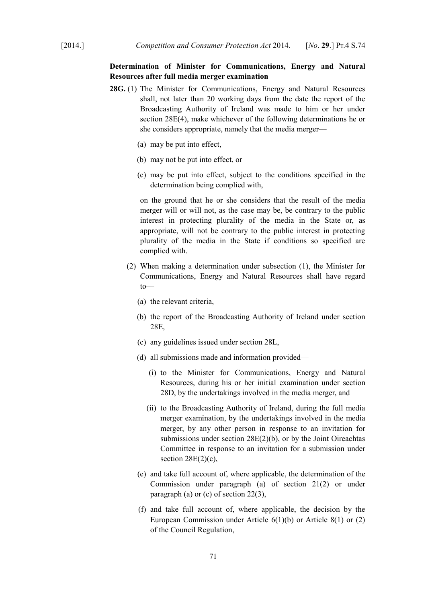# **Determination of Minister for Communications, Energy and Natural Resources after full media merger examination**

- **28G.** (1) The Minister for Communications, Energy and Natural Resources shall, not later than 20 working days from the date the report of the Broadcasting Authority of Ireland was made to him or her under section 28E(4), make whichever of the following determinations he or she considers appropriate, namely that the media merger—
	- (a) may be put into effect,
	- (b) may not be put into effect, or
	- (c) may be put into effect, subject to the conditions specified in the determination being complied with,

on the ground that he or she considers that the result of the media merger will or will not, as the case may be, be contrary to the public interest in protecting plurality of the media in the State or, as appropriate, will not be contrary to the public interest in protecting plurality of the media in the State if conditions so specified are complied with.

- (2) When making a determination under subsection (1), the Minister for Communications, Energy and Natural Resources shall have regard to—
	- (a) the relevant criteria,
	- (b) the report of the Broadcasting Authority of Ireland under section 28E,
	- (c) any guidelines issued under section 28L,
	- (d) all submissions made and information provided—
		- (i) to the Minister for Communications, Energy and Natural Resources, during his or her initial examination under section 28D, by the undertakings involved in the media merger, and
		- (ii) to the Broadcasting Authority of Ireland, during the full media merger examination, by the undertakings involved in the media merger, by any other person in response to an invitation for submissions under section 28E(2)(b), or by the Joint Oireachtas Committee in response to an invitation for a submission under section  $28E(2)(c)$ ,
	- (e) and take full account of, where applicable, the determination of the Commission under paragraph (a) of section 21(2) or under paragraph (a) or (c) of section 22(3),
	- (f) and take full account of, where applicable, the decision by the European Commission under Article 6(1)(b) or Article 8(1) or (2) of the Council Regulation,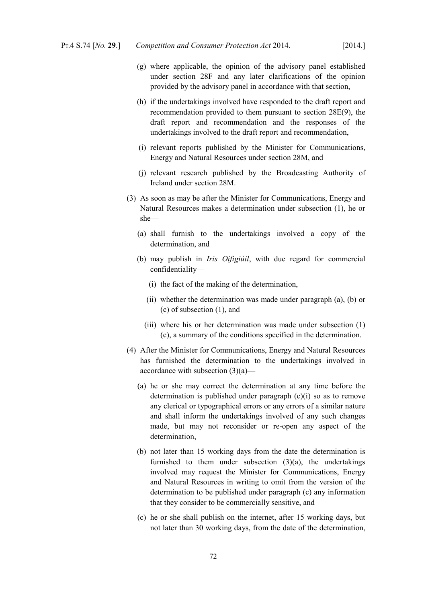- (g) where applicable, the opinion of the advisory panel established under section 28F and any later clarifications of the opinion provided by the advisory panel in accordance with that section,
- (h) if the undertakings involved have responded to the draft report and recommendation provided to them pursuant to section 28E(9), the draft report and recommendation and the responses of the undertakings involved to the draft report and recommendation,
- (i) relevant reports published by the Minister for Communications, Energy and Natural Resources under section 28M, and
- (j) relevant research published by the Broadcasting Authority of Ireland under section 28M.
- (3) As soon as may be after the Minister for Communications, Energy and Natural Resources makes a determination under subsection (1), he or she—
	- (a) shall furnish to the undertakings involved a copy of the determination, and
	- (b) may publish in *Iris Oifigiúil*, with due regard for commercial confidentiality—
		- (i) the fact of the making of the determination,
		- (ii) whether the determination was made under paragraph (a), (b) or (c) of subsection (1), and
		- (iii) where his or her determination was made under subsection (1) (c), a summary of the conditions specified in the determination.
- (4) After the Minister for Communications, Energy and Natural Resources has furnished the determination to the undertakings involved in accordance with subsection (3)(a)—
	- (a) he or she may correct the determination at any time before the determination is published under paragraph  $(c)(i)$  so as to remove any clerical or typographical errors or any errors of a similar nature and shall inform the undertakings involved of any such changes made, but may not reconsider or re-open any aspect of the determination,
	- (b) not later than 15 working days from the date the determination is furnished to them under subsection (3)(a), the undertakings involved may request the Minister for Communications, Energy and Natural Resources in writing to omit from the version of the determination to be published under paragraph (c) any information that they consider to be commercially sensitive, and
	- (c) he or she shall publish on the internet, after 15 working days, but not later than 30 working days, from the date of the determination,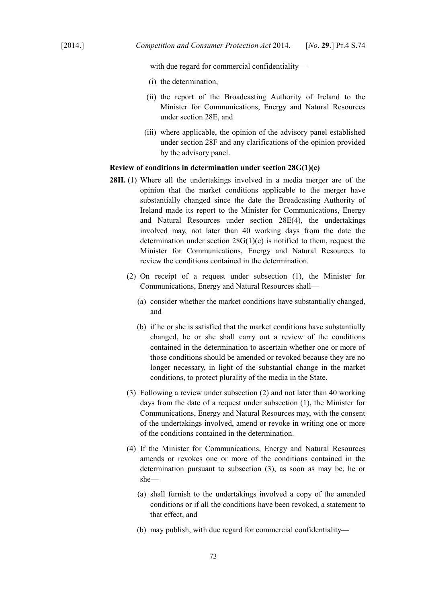with due regard for commercial confidentiality—

- (i) the determination,
- (ii) the report of the Broadcasting Authority of Ireland to the Minister for Communications, Energy and Natural Resources under section 28E, and
- (iii) where applicable, the opinion of the advisory panel established under section 28F and any clarifications of the opinion provided by the advisory panel.

### **Review of conditions in determination under section 28G(1)(c)**

- **28H.** (1) Where all the undertakings involved in a media merger are of the opinion that the market conditions applicable to the merger have substantially changed since the date the Broadcasting Authority of Ireland made its report to the Minister for Communications, Energy and Natural Resources under section 28E(4), the undertakings involved may, not later than 40 working days from the date the determination under section 28G(1)(c) is notified to them, request the Minister for Communications, Energy and Natural Resources to review the conditions contained in the determination.
	- (2) On receipt of a request under subsection (1), the Minister for Communications, Energy and Natural Resources shall—
		- (a) consider whether the market conditions have substantially changed, and
		- (b) if he or she is satisfied that the market conditions have substantially changed, he or she shall carry out a review of the conditions contained in the determination to ascertain whether one or more of those conditions should be amended or revoked because they are no longer necessary, in light of the substantial change in the market conditions, to protect plurality of the media in the State.
	- (3) Following a review under subsection (2) and not later than 40 working days from the date of a request under subsection (1), the Minister for Communications, Energy and Natural Resources may, with the consent of the undertakings involved, amend or revoke in writing one or more of the conditions contained in the determination.
	- (4) If the Minister for Communications, Energy and Natural Resources amends or revokes one or more of the conditions contained in the determination pursuant to subsection (3), as soon as may be, he or she—
		- (a) shall furnish to the undertakings involved a copy of the amended conditions or if all the conditions have been revoked, a statement to that effect, and
		- (b) may publish, with due regard for commercial confidentiality—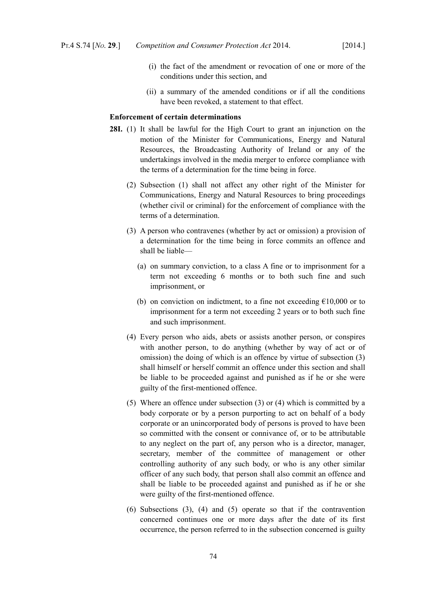- (i) the fact of the amendment or revocation of one or more of the conditions under this section, and
- (ii) a summary of the amended conditions or if all the conditions have been revoked, a statement to that effect.

### **Enforcement of certain determinations**

- **28I.** (1) It shall be lawful for the High Court to grant an injunction on the motion of the Minister for Communications, Energy and Natural Resources, the Broadcasting Authority of Ireland or any of the undertakings involved in the media merger to enforce compliance with the terms of a determination for the time being in force.
	- (2) Subsection (1) shall not affect any other right of the Minister for Communications, Energy and Natural Resources to bring proceedings (whether civil or criminal) for the enforcement of compliance with the terms of a determination.
	- (3) A person who contravenes (whether by act or omission) a provision of a determination for the time being in force commits an offence and shall be liable—
		- (a) on summary conviction, to a class A fine or to imprisonment for a term not exceeding 6 months or to both such fine and such imprisonment, or
		- (b) on conviction on indictment, to a fine not exceeding  $£10,000$  or to imprisonment for a term not exceeding 2 years or to both such fine and such imprisonment.
	- (4) Every person who aids, abets or assists another person, or conspires with another person, to do anything (whether by way of act or of omission) the doing of which is an offence by virtue of subsection (3) shall himself or herself commit an offence under this section and shall be liable to be proceeded against and punished as if he or she were guilty of the first-mentioned offence.
	- (5) Where an offence under subsection (3) or (4) which is committed by a body corporate or by a person purporting to act on behalf of a body corporate or an unincorporated body of persons is proved to have been so committed with the consent or connivance of, or to be attributable to any neglect on the part of, any person who is a director, manager, secretary, member of the committee of management or other controlling authority of any such body, or who is any other similar officer of any such body, that person shall also commit an offence and shall be liable to be proceeded against and punished as if he or she were guilty of the first-mentioned offence.
	- (6) Subsections (3), (4) and (5) operate so that if the contravention concerned continues one or more days after the date of its first occurrence, the person referred to in the subsection concerned is guilty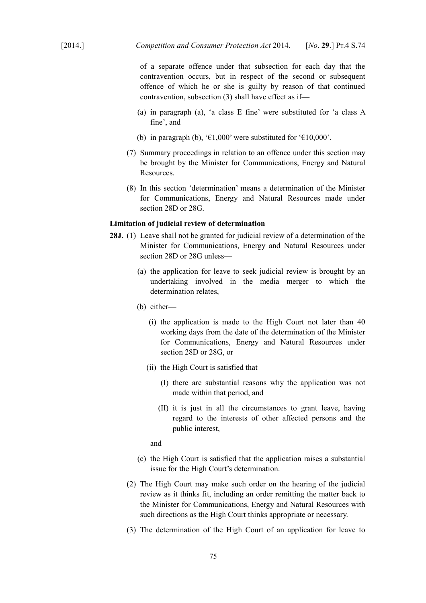of a separate offence under that subsection for each day that the contravention occurs, but in respect of the second or subsequent offence of which he or she is guilty by reason of that continued contravention, subsection (3) shall have effect as if—

- (a) in paragraph (a), 'a class E fine' were substituted for 'a class A fine', and
- (b) in paragraph (b), ' $\epsilon$ 1,000' were substituted for ' $\epsilon$ 10,000'.
- (7) Summary proceedings in relation to an offence under this section may be brought by the Minister for Communications, Energy and Natural Resources.
- (8) In this section 'determination' means a determination of the Minister for Communications, Energy and Natural Resources made under section 28D or 28G.

# **Limitation of judicial review of determination**

- **28J.** (1) Leave shall not be granted for judicial review of a determination of the Minister for Communications, Energy and Natural Resources under section 28D or 28G unless—
	- (a) the application for leave to seek judicial review is brought by an undertaking involved in the media merger to which the determination relates,
	- (b) either—
		- (i) the application is made to the High Court not later than 40 working days from the date of the determination of the Minister for Communications, Energy and Natural Resources under section 28D or 28G, or
		- (ii) the High Court is satisfied that—
			- (I) there are substantial reasons why the application was not made within that period, and
			- (II) it is just in all the circumstances to grant leave, having regard to the interests of other affected persons and the public interest,

and

- (c) the High Court is satisfied that the application raises a substantial issue for the High Court's determination.
- (2) The High Court may make such order on the hearing of the judicial review as it thinks fit, including an order remitting the matter back to the Minister for Communications, Energy and Natural Resources with such directions as the High Court thinks appropriate or necessary.
- (3) The determination of the High Court of an application for leave to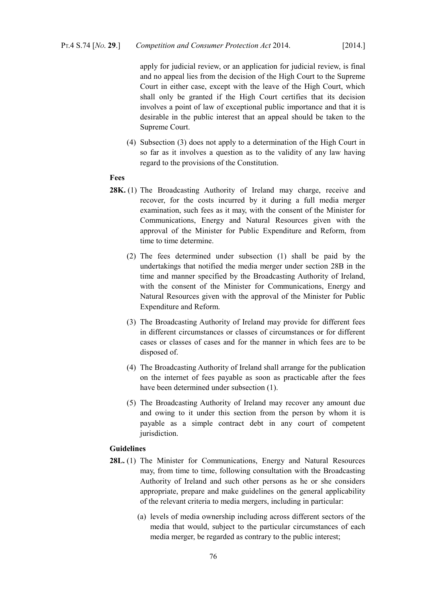apply for judicial review, or an application for judicial review, is final and no appeal lies from the decision of the High Court to the Supreme Court in either case, except with the leave of the High Court, which shall only be granted if the High Court certifies that its decision involves a point of law of exceptional public importance and that it is desirable in the public interest that an appeal should be taken to the Supreme Court.

(4) Subsection (3) does not apply to a determination of the High Court in so far as it involves a question as to the validity of any law having regard to the provisions of the Constitution.

# **Fees**

- **28K.** (1) The Broadcasting Authority of Ireland may charge, receive and recover, for the costs incurred by it during a full media merger examination, such fees as it may, with the consent of the Minister for Communications, Energy and Natural Resources given with the approval of the Minister for Public Expenditure and Reform, from time to time determine.
	- (2) The fees determined under subsection (1) shall be paid by the undertakings that notified the media merger under section 28B in the time and manner specified by the Broadcasting Authority of Ireland, with the consent of the Minister for Communications, Energy and Natural Resources given with the approval of the Minister for Public Expenditure and Reform.
	- (3) The Broadcasting Authority of Ireland may provide for different fees in different circumstances or classes of circumstances or for different cases or classes of cases and for the manner in which fees are to be disposed of.
	- (4) The Broadcasting Authority of Ireland shall arrange for the publication on the internet of fees payable as soon as practicable after the fees have been determined under subsection (1).
	- (5) The Broadcasting Authority of Ireland may recover any amount due and owing to it under this section from the person by whom it is payable as a simple contract debt in any court of competent jurisdiction.

# **Guidelines**

- **28L.** (1) The Minister for Communications, Energy and Natural Resources may, from time to time, following consultation with the Broadcasting Authority of Ireland and such other persons as he or she considers appropriate, prepare and make guidelines on the general applicability of the relevant criteria to media mergers, including in particular:
	- (a) levels of media ownership including across different sectors of the media that would, subject to the particular circumstances of each media merger, be regarded as contrary to the public interest;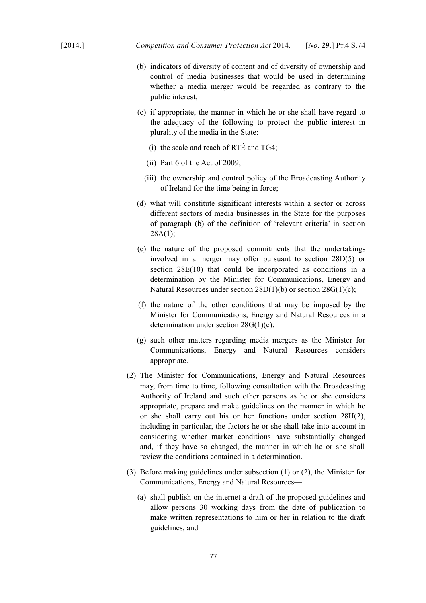- (b) indicators of diversity of content and of diversity of ownership and control of media businesses that would be used in determining whether a media merger would be regarded as contrary to the public interest;
- (c) if appropriate, the manner in which he or she shall have regard to the adequacy of the following to protect the public interest in plurality of the media in the State:
	- (i) the scale and reach of RTÉ and TG4;
	- (ii) Part 6 of the Act of 2009;
	- (iii) the ownership and control policy of the Broadcasting Authority of Ireland for the time being in force;
- (d) what will constitute significant interests within a sector or across different sectors of media businesses in the State for the purposes of paragraph (b) of the definition of 'relevant criteria' in section  $28A(1)$ ;
- (e) the nature of the proposed commitments that the undertakings involved in a merger may offer pursuant to section 28D(5) or section  $28E(10)$  that could be incorporated as conditions in a determination by the Minister for Communications, Energy and Natural Resources under section 28D(1)(b) or section 28G(1)(c);
- (f) the nature of the other conditions that may be imposed by the Minister for Communications, Energy and Natural Resources in a determination under section 28G(1)(c);
- (g) such other matters regarding media mergers as the Minister for Communications, Energy and Natural Resources considers appropriate.
- (2) The Minister for Communications, Energy and Natural Resources may, from time to time, following consultation with the Broadcasting Authority of Ireland and such other persons as he or she considers appropriate, prepare and make guidelines on the manner in which he or she shall carry out his or her functions under section 28H(2), including in particular, the factors he or she shall take into account in considering whether market conditions have substantially changed and, if they have so changed, the manner in which he or she shall review the conditions contained in a determination.
- (3) Before making guidelines under subsection (1) or (2), the Minister for Communications, Energy and Natural Resources—
	- (a) shall publish on the internet a draft of the proposed guidelines and allow persons 30 working days from the date of publication to make written representations to him or her in relation to the draft guidelines, and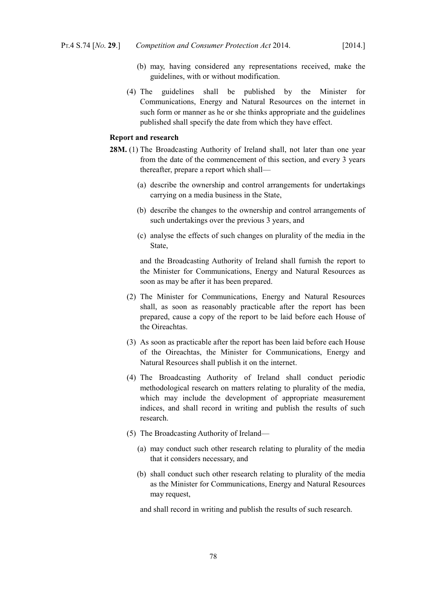- (b) may, having considered any representations received, make the guidelines, with or without modification.
- (4) The guidelines shall be published by the Minister for Communications, Energy and Natural Resources on the internet in such form or manner as he or she thinks appropriate and the guidelines published shall specify the date from which they have effect.

# **Report and research**

- **28M.** (1) The Broadcasting Authority of Ireland shall, not later than one year from the date of the commencement of this section, and every 3 years thereafter, prepare a report which shall—
	- (a) describe the ownership and control arrangements for undertakings carrying on a media business in the State,
	- (b) describe the changes to the ownership and control arrangements of such undertakings over the previous 3 years, and
	- (c) analyse the effects of such changes on plurality of the media in the State,

and the Broadcasting Authority of Ireland shall furnish the report to the Minister for Communications, Energy and Natural Resources as soon as may be after it has been prepared.

- (2) The Minister for Communications, Energy and Natural Resources shall, as soon as reasonably practicable after the report has been prepared, cause a copy of the report to be laid before each House of the Oireachtas.
- (3) As soon as practicable after the report has been laid before each House of the Oireachtas, the Minister for Communications, Energy and Natural Resources shall publish it on the internet.
- (4) The Broadcasting Authority of Ireland shall conduct periodic methodological research on matters relating to plurality of the media, which may include the development of appropriate measurement indices, and shall record in writing and publish the results of such research.
- (5) The Broadcasting Authority of Ireland—
	- (a) may conduct such other research relating to plurality of the media that it considers necessary, and
	- (b) shall conduct such other research relating to plurality of the media as the Minister for Communications, Energy and Natural Resources may request,

and shall record in writing and publish the results of such research.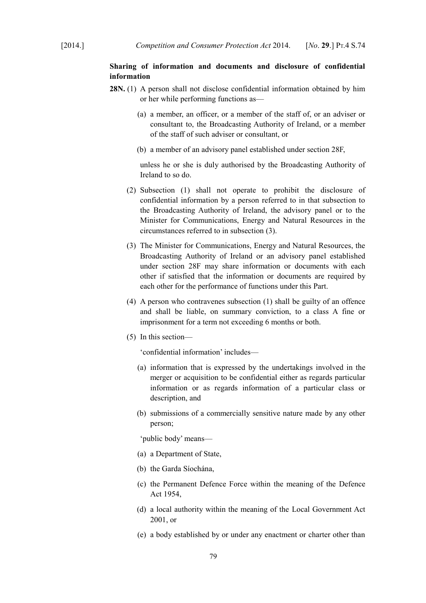# **Sharing of information and documents and disclosure of confidential information**

- **28N.** (1) A person shall not disclose confidential information obtained by him or her while performing functions as—
	- (a) a member, an officer, or a member of the staff of, or an adviser or consultant to, the Broadcasting Authority of Ireland, or a member of the staff of such adviser or consultant, or
	- (b) a member of an advisory panel established under section 28F,

unless he or she is duly authorised by the Broadcasting Authority of Ireland to so do.

- (2) Subsection (1) shall not operate to prohibit the disclosure of confidential information by a person referred to in that subsection to the Broadcasting Authority of Ireland, the advisory panel or to the Minister for Communications, Energy and Natural Resources in the circumstances referred to in subsection (3).
- (3) The Minister for Communications, Energy and Natural Resources, the Broadcasting Authority of Ireland or an advisory panel established under section 28F may share information or documents with each other if satisfied that the information or documents are required by each other for the performance of functions under this Part.
- (4) A person who contravenes subsection (1) shall be guilty of an offence and shall be liable, on summary conviction, to a class A fine or imprisonment for a term not exceeding 6 months or both.
- (5) In this section—

'confidential information' includes—

- (a) information that is expressed by the undertakings involved in the merger or acquisition to be confidential either as regards particular information or as regards information of a particular class or description, and
- (b) submissions of a commercially sensitive nature made by any other person;

'public body' means—

- (a) a Department of State,
- (b) the Garda Síochána,
- (c) the Permanent Defence Force within the meaning of the [Defence](http://www.irishstatutebook.ie/1954/en/act/pub/0018/index.html) [Act 1954,](http://www.irishstatutebook.ie/1954/en/act/pub/0018/index.html)
- (d) a local authority within the meaning of the [Local Government Act](http://www.irishstatutebook.ie/2001/en/act/pub/0037/index.html) [2001,](http://www.irishstatutebook.ie/2001/en/act/pub/0037/index.html) or
- (e) a body established by or under any enactment or charter other than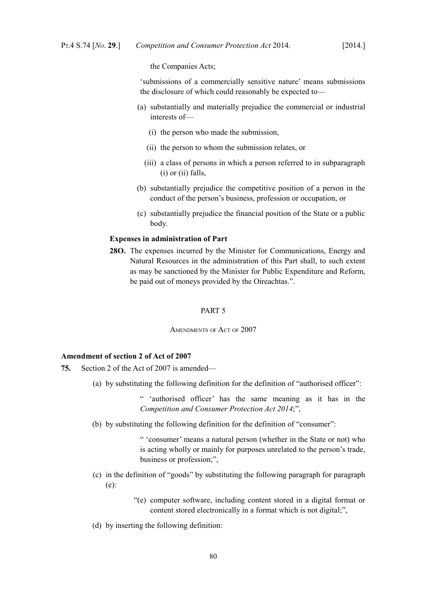the Companies Acts;

'submissions of a commercially sensitive nature' means submissions the disclosure of which could reasonably be expected to—

- (a) substantially and materially prejudice the commercial or industrial interests of—
	- (i) the person who made the submission,
	- (ii) the person to whom the submission relates, or
	- (iii) a class of persons in which a person referred to in subparagraph (i) or (ii) falls,
- (b) substantially prejudice the competitive position of a person in the conduct of the person's business, profession or occupation, or
- (c) substantially prejudice the financial position of the State or a public body.

## **Expenses in administration of Part**

**28O.** The expenses incurred by the Minister for Communications, Energy and Natural Resources in the administration of this Part shall, to such extent as may be sanctioned by the Minister for Public Expenditure and Reform, be paid out of moneys provided by the Oireachtas.".

#### PART 5

AMENDMENTS OF ACT OF 2007

# **Amendment of section 2 of Act of 2007**

- **75.** Section 2 of the Act of 2007 is amended—
	- (a) by substituting the following definition for the definition of "authorised officer":

" 'authorised officer' has the same meaning as it has in the *Competition and Consumer Protection Act 2014*;",

(b) by substituting the following definition for the definition of "consumer":

" 'consumer' means a natural person (whether in the State or not) who is acting wholly or mainly for purposes unrelated to the person's trade, business or profession;",

- (c) in the definition of "goods" by substituting the following paragraph for paragraph (e):
	- "(e) computer software, including content stored in a digital format or content stored electronically in a format which is not digital;",
- (d) by inserting the following definition: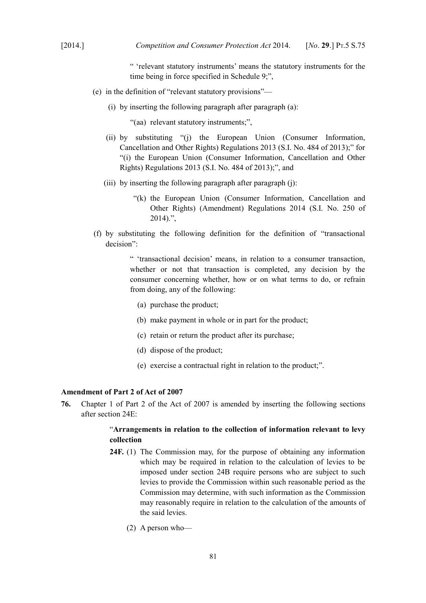" 'relevant statutory instruments' means the statutory instruments for the time being in force specified in Schedule 9;",

- (e) in the definition of "relevant statutory provisions"—
	- (i) by inserting the following paragraph after paragraph (a):

"(aa) relevant statutory instruments;",

- (ii) by substituting "(j) the European Union (Consumer Information, Cancellation and Other Rights) Regulations 2013 (S.I. No. 484 of 2013);" for "(i) the European Union (Consumer Information, Cancellation and Other Rights) Regulations 2013 (S.I. No. 484 of 2013);", and
- (iii) by inserting the following paragraph after paragraph (j):
	- "(k) the European Union (Consumer Information, Cancellation and Other Rights) (Amendment) Regulations 2014 (S.I. No. 250 of  $2014$ ).",
- (f) by substituting the following definition for the definition of "transactional decision":

" 'transactional decision' means, in relation to a consumer transaction, whether or not that transaction is completed, any decision by the consumer concerning whether, how or on what terms to do, or refrain from doing, any of the following:

- (a) purchase the product;
- (b) make payment in whole or in part for the product;
- (c) retain or return the product after its purchase;
- (d) dispose of the product;
- (e) exercise a contractual right in relation to the product;".

## **Amendment of Part 2 of Act of 2007**

**76.** Chapter 1 of Part 2 of the Act of 2007 is amended by inserting the following sections after section 24E:

# "**Arrangements in relation to the collection of information relevant to levy collection**

- **24F.** (1) The Commission may, for the purpose of obtaining any information which may be required in relation to the calculation of levies to be imposed under section 24B require persons who are subject to such levies to provide the Commission within such reasonable period as the Commission may determine, with such information as the Commission may reasonably require in relation to the calculation of the amounts of the said levies.
	- (2) A person who—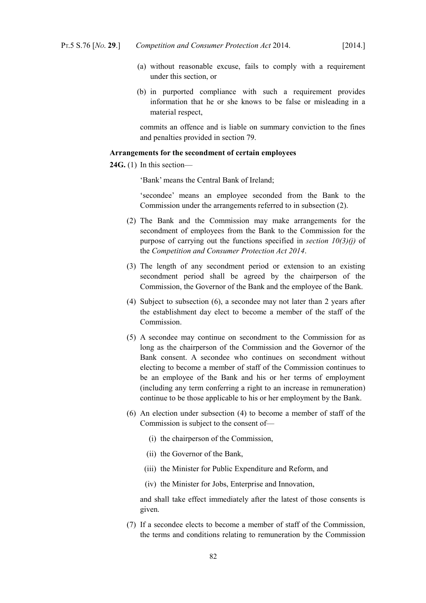- (a) without reasonable excuse, fails to comply with a requirement under this section, or
- (b) in purported compliance with such a requirement provides information that he or she knows to be false or misleading in a material respect,

commits an offence and is liable on summary conviction to the fines and penalties provided in section 79.

#### **Arrangements for the secondment of certain employees**

**24G.** (1) In this section—

'Bank' means the Central Bank of Ireland;

'secondee' means an employee seconded from the Bank to the Commission under the arrangements referred to in subsection (2).

- (2) The Bank and the Commission may make arrangements for the secondment of employees from the Bank to the Commission for the purpose of carrying out the functions specified in *section [10](#page-11-0)[\(3\)](#page-12-0)[\(j\)](#page-13-0)* of the *Competition and Consumer Protection Act 2014*.
- (3) The length of any secondment period or extension to an existing secondment period shall be agreed by the chairperson of the Commission, the Governor of the Bank and the employee of the Bank.
- (4) Subject to subsection (6), a secondee may not later than 2 years after the establishment day elect to become a member of the staff of the Commission.
- (5) A secondee may continue on secondment to the Commission for as long as the chairperson of the Commission and the Governor of the Bank consent. A secondee who continues on secondment without electing to become a member of staff of the Commission continues to be an employee of the Bank and his or her terms of employment (including any term conferring a right to an increase in remuneration) continue to be those applicable to his or her employment by the Bank.
- (6) An election under subsection (4) to become a member of staff of the Commission is subject to the consent of—
	- (i) the chairperson of the Commission,
	- (ii) the Governor of the Bank,
	- (iii) the Minister for Public Expenditure and Reform, and
	- (iv) the Minister for Jobs, Enterprise and Innovation,

and shall take effect immediately after the latest of those consents is given.

(7) If a secondee elects to become a member of staff of the Commission, the terms and conditions relating to remuneration by the Commission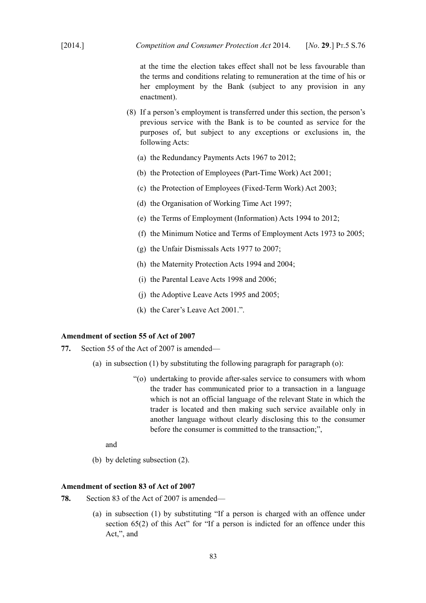at the time the election takes effect shall not be less favourable than the terms and conditions relating to remuneration at the time of his or her employment by the Bank (subject to any provision in any enactment).

- (8) If a person's employment is transferred under this section, the person's previous service with the Bank is to be counted as service for the purposes of, but subject to any exceptions or exclusions in, the following Acts:
	- (a) the Redundancy Payments Acts 1967 to 2012;
	- (b) the [Protection of Employees \(Part-Time Work\) Act 2001;](http://www.irishstatutebook.ie/2001/en/act/pub/0045/index.html)
	- (c) the [Protection of Employees \(Fixed-Term Work\) Act 2003;](http://www.irishstatutebook.ie/2003/en/act/pub/0029/index.html)
	- (d) the [Organisation of Working Time Act 1997;](http://www.irishstatutebook.ie/1997/en/act/pub/0020/index.html)
	- (e) the Terms of Employment (Information) Acts 1994 to 2012;
	- (f) the Minimum Notice and Terms of Employment Acts 1973 to 2005;
	- (g) the Unfair Dismissals Acts 1977 to 2007;
	- (h) the Maternity Protection Acts 1994 and 2004;
	- (i) the Parental Leave Acts 1998 and 2006;
	- (j) the Adoptive Leave Acts 1995 and 2005;
	- (k) the [Carer's Leave Act 2001.](http://www.irishstatutebook.ie/2001/en/act/pub/0019/index.html)".

# **Amendment of section 55 of Act of 2007**

- **77.** Section 55 of the Act of 2007 is amended—
	- (a) in subsection (1) by substituting the following paragraph for paragraph (o):
		- "(o) undertaking to provide after-sales service to consumers with whom the trader has communicated prior to a transaction in a language which is not an official language of the relevant State in which the trader is located and then making such service available only in another language without clearly disclosing this to the consumer before the consumer is committed to the transaction;",

and

(b) by deleting subsection (2).

## **Amendment of section 83 of Act of 2007**

- **78.** Section 83 of the Act of 2007 is amended—
	- (a) in subsection (1) by substituting "If a person is charged with an offence under section 65(2) of this Act" for "If a person is indicted for an offence under this Act,", and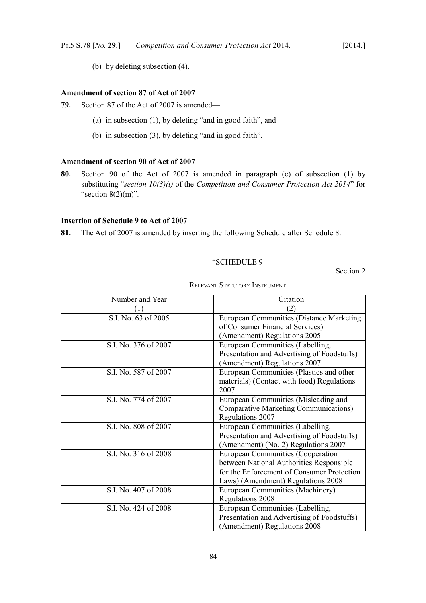(b) by deleting subsection (4).

# **Amendment of section 87 of Act of 2007**

- **79.** Section 87 of the Act of 2007 is amended—
	- (a) in subsection (1), by deleting "and in good faith", and
	- (b) in subsection (3), by deleting "and in good faith".

# **Amendment of section 90 of Act of 2007**

**80.** Section 90 of the Act of 2007 is amended in paragraph (c) of subsection (1) by substituting "*section [10](#page-11-0)[\(3\)](#page-12-0)[\(i\)](#page-13-1)* of the *Competition and Consumer Protection Act 2014*" for "section 8(2)(m)"*.*

# **Insertion of Schedule 9 to Act of 2007**

**81.** The Act of 2007 is amended by inserting the following Schedule after Schedule 8:

## "SCHEDULE 9

Section 2

| Number and Year      | Citation                                        |  |
|----------------------|-------------------------------------------------|--|
| (1)                  | (2)                                             |  |
| S.I. No. 63 of 2005  | <b>European Communities (Distance Marketing</b> |  |
|                      | of Consumer Financial Services)                 |  |
|                      | (Amendment) Regulations 2005                    |  |
| S.I. No. 376 of 2007 | European Communities (Labelling,                |  |
|                      | Presentation and Advertising of Foodstuffs)     |  |
|                      | (Amendment) Regulations 2007                    |  |
| S.I. No. 587 of 2007 | European Communities (Plastics and other        |  |
|                      | materials) (Contact with food) Regulations      |  |
|                      | 2007                                            |  |
| S.I. No. 774 of 2007 | European Communities (Misleading and            |  |
|                      | <b>Comparative Marketing Communications)</b>    |  |
|                      | Regulations 2007                                |  |
| S.I. No. 808 of 2007 | European Communities (Labelling,                |  |
|                      | Presentation and Advertising of Foodstuffs)     |  |
|                      | (Amendment) (No. 2) Regulations 2007            |  |
| S.I. No. 316 of 2008 | European Communities (Cooperation               |  |
|                      | between National Authorities Responsible        |  |
|                      | for the Enforcement of Consumer Protection      |  |
|                      | Laws) (Amendment) Regulations 2008              |  |
| S.I. No. 407 of 2008 | European Communities (Machinery)                |  |
|                      | Regulations 2008                                |  |
| S.I. No. 424 of 2008 | European Communities (Labelling,                |  |
|                      | Presentation and Advertising of Foodstuffs)     |  |
|                      | (Amendment) Regulations 2008                    |  |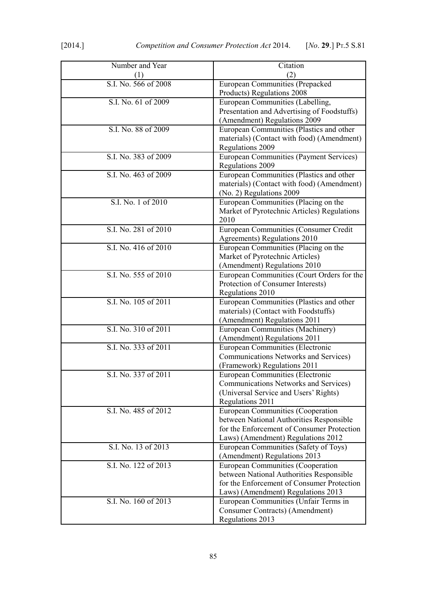| Number and Year<br>(1) | Citation<br>(2)                                                                                                                                                   |  |
|------------------------|-------------------------------------------------------------------------------------------------------------------------------------------------------------------|--|
| S.I. No. 566 of 2008   | European Communities (Prepacked<br>Products) Regulations 2008                                                                                                     |  |
| S.I. No. 61 of 2009    | European Communities (Labelling,<br>Presentation and Advertising of Foodstuffs)<br>(Amendment) Regulations 2009                                                   |  |
| S.I. No. 88 of 2009    | European Communities (Plastics and other<br>materials) (Contact with food) (Amendment)<br><b>Regulations 2009</b>                                                 |  |
| S.I. No. 383 of 2009   | European Communities (Payment Services)<br>Regulations 2009                                                                                                       |  |
| S.I. No. 463 of 2009   | European Communities (Plastics and other<br>materials) (Contact with food) (Amendment)<br>(No. 2) Regulations 2009                                                |  |
| S.I. No. 1 of 2010     | European Communities (Placing on the<br>Market of Pyrotechnic Articles) Regulations<br>2010                                                                       |  |
| S.I. No. 281 of 2010   | European Communities (Consumer Credit<br>Agreements) Regulations 2010                                                                                             |  |
| S.I. No. 416 of 2010   | European Communities (Placing on the<br>Market of Pyrotechnic Articles)<br>(Amendment) Regulations 2010                                                           |  |
| S.I. No. 555 of 2010   | European Communities (Court Orders for the<br>Protection of Consumer Interests)<br>Regulations 2010                                                               |  |
| S.I. No. 105 of 2011   | European Communities (Plastics and other<br>materials) (Contact with Foodstuffs)<br>(Amendment) Regulations 2011                                                  |  |
| S.I. No. 310 of 2011   | European Communities (Machinery)<br>(Amendment) Regulations 2011                                                                                                  |  |
| S.I. No. 333 of 2011   | <b>European Communities (Electronic</b><br>Communications Networks and Services)<br>(Framework) Regulations 2011                                                  |  |
| S.I. No. 337 of 2011   | European Communities (Electronic<br>Communications Networks and Services)<br>(Universal Service and Users' Rights)<br>Regulations 2011                            |  |
| S.I. No. 485 of 2012   | European Communities (Cooperation<br>between National Authorities Responsible<br>for the Enforcement of Consumer Protection<br>Laws) (Amendment) Regulations 2012 |  |
| S.I. No. 13 of 2013    | European Communities (Safety of Toys)<br>(Amendment) Regulations 2013                                                                                             |  |
| S.I. No. 122 of 2013   | European Communities (Cooperation<br>between National Authorities Responsible<br>for the Enforcement of Consumer Protection<br>Laws) (Amendment) Regulations 2013 |  |
| S.I. No. 160 of 2013   | European Communities (Unfair Terms in<br>Consumer Contracts) (Amendment)<br>Regulations 2013                                                                      |  |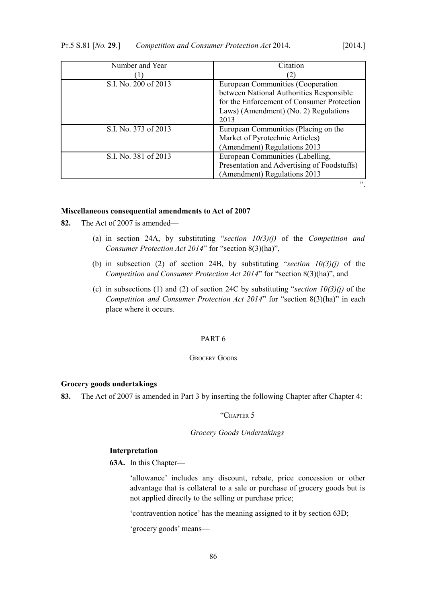| Number and Year      | Citation                                    |  |
|----------------------|---------------------------------------------|--|
|                      |                                             |  |
| S.I. No. 200 of 2013 | European Communities (Cooperation           |  |
|                      | between National Authorities Responsible    |  |
|                      | for the Enforcement of Consumer Protection  |  |
|                      | Laws) (Amendment) (No. 2) Regulations       |  |
|                      | 2013                                        |  |
| S.I. No. 373 of 2013 | European Communities (Placing on the        |  |
|                      | Market of Pyrotechnic Articles)             |  |
|                      | (Amendment) Regulations 2013                |  |
| S.I. No. 381 of 2013 | European Communities (Labelling,            |  |
|                      | Presentation and Advertising of Foodstuffs) |  |
|                      | (Amendment) Regulations 2013                |  |
|                      | 22                                          |  |

#### **Miscellaneous consequential amendments to Act of 2007**

- **82.** The Act of 2007 is amended—
	- (a) in section 24A, by substituting "*section [10](#page-11-0)[\(3\)](#page-12-0)[\(j\)](#page-13-0)* of the *Competition and Consumer Protection Act 2014*" for "section 8(3)(ha)",
	- (b) in subsection (2) of section 24B, by substituting "section  $10(3)(j)$  $10(3)(j)$  $10(3)(j)$  of the *Competition and Consumer Protection Act 2014*" for "section 8(3)(ha)", and
	- (c) in subsections (1) and (2) of section 24C by substituting "*section [10](#page-11-0)[\(3\)](#page-12-0)[\(j\)](#page-13-0)* of the *Competition and Consumer Protection Act 2014*" for "section 8(3)(ha)" in each place where it occurs.

# PART 6

# GROCERY GOODS

### **Grocery goods undertakings**

<span id="page-87-0"></span>**83.** The Act of 2007 is amended in Part 3 by inserting the following Chapter after Chapter 4:

# "CHAPTER 5

## *Grocery Goods Undertakings*

## **Interpretation**

**63A.** In this Chapter—

'allowance' includes any discount, rebate, price concession or other advantage that is collateral to a sale or purchase of grocery goods but is not applied directly to the selling or purchase price;

'contravention notice' has the meaning assigned to it by section 63D;

'grocery goods' means—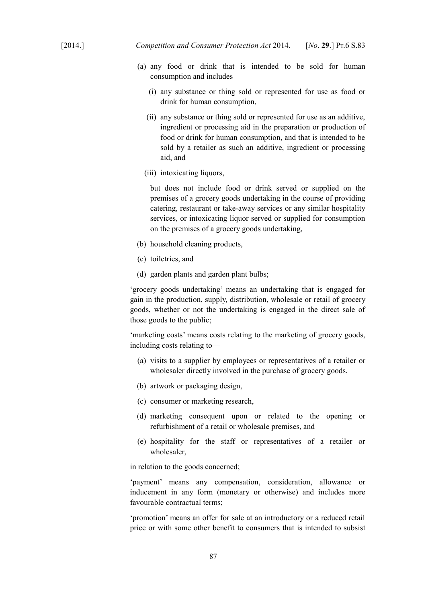- (a) any food or drink that is intended to be sold for human consumption and includes—
	- (i) any substance or thing sold or represented for use as food or drink for human consumption,
	- (ii) any substance or thing sold or represented for use as an additive, ingredient or processing aid in the preparation or production of food or drink for human consumption, and that is intended to be sold by a retailer as such an additive, ingredient or processing aid, and
	- (iii) intoxicating liquors,

but does not include food or drink served or supplied on the premises of a grocery goods undertaking in the course of providing catering, restaurant or take-away services or any similar hospitality services, or intoxicating liquor served or supplied for consumption on the premises of a grocery goods undertaking,

- (b) household cleaning products,
- (c) toiletries, and
- (d) garden plants and garden plant bulbs;

'grocery goods undertaking' means an undertaking that is engaged for gain in the production, supply, distribution, wholesale or retail of grocery goods, whether or not the undertaking is engaged in the direct sale of those goods to the public;

'marketing costs' means costs relating to the marketing of grocery goods, including costs relating to—

- (a) visits to a supplier by employees or representatives of a retailer or wholesaler directly involved in the purchase of grocery goods,
- (b) artwork or packaging design,
- (c) consumer or marketing research,
- (d) marketing consequent upon or related to the opening or refurbishment of a retail or wholesale premises, and
- (e) hospitality for the staff or representatives of a retailer or wholesaler,

in relation to the goods concerned;

'payment' means any compensation, consideration, allowance or inducement in any form (monetary or otherwise) and includes more favourable contractual terms;

'promotion' means an offer for sale at an introductory or a reduced retail price or with some other benefit to consumers that is intended to subsist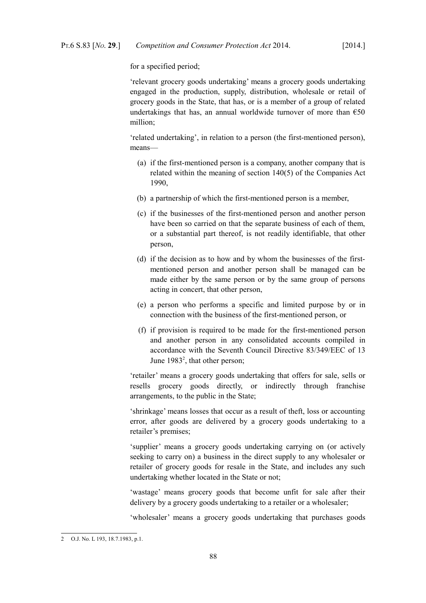for a specified period;

'relevant grocery goods undertaking' means a grocery goods undertaking engaged in the production, supply, distribution, wholesale or retail of grocery goods in the State, that has, or is a member of a group of related undertakings that has, an annual worldwide turnover of more than  $\epsilon$ 50 million;

'related undertaking', in relation to a person (the first-mentioned person), means—

- (a) if the first-mentioned person is a company, another company that is related within the meaning of section 140(5) of the [Companies Act](http://www.irishstatutebook.ie/1990/en/act/pub/0033/index.html) [1990,](http://www.irishstatutebook.ie/1990/en/act/pub/0033/index.html)
- (b) a partnership of which the first-mentioned person is a member,
- (c) if the businesses of the first-mentioned person and another person have been so carried on that the separate business of each of them, or a substantial part thereof, is not readily identifiable, that other person,
- (d) if the decision as to how and by whom the businesses of the firstmentioned person and another person shall be managed can be made either by the same person or by the same group of persons acting in concert, that other person,
- (e) a person who performs a specific and limited purpose by or in connection with the business of the first-mentioned person, or
- (f) if provision is required to be made for the first-mentioned person and another person in any consolidated accounts compiled in accordance with the Seventh Council Directive 83/349/EEC of 13 June 1983<sup>[2](#page-89-0)</sup>, that other person;

'retailer' means a grocery goods undertaking that offers for sale, sells or resells grocery goods directly, or indirectly through franchise arrangements, to the public in the State;

'shrinkage' means losses that occur as a result of theft, loss or accounting error, after goods are delivered by a grocery goods undertaking to a retailer's premises;

'supplier' means a grocery goods undertaking carrying on (or actively seeking to carry on) a business in the direct supply to any wholesaler or retailer of grocery goods for resale in the State, and includes any such undertaking whether located in the State or not;

'wastage' means grocery goods that become unfit for sale after their delivery by a grocery goods undertaking to a retailer or a wholesaler;

'wholesaler' means a grocery goods undertaking that purchases goods

<span id="page-89-0"></span><sup>2</sup> O.J. No. L 193, 18.7.1983, p.1.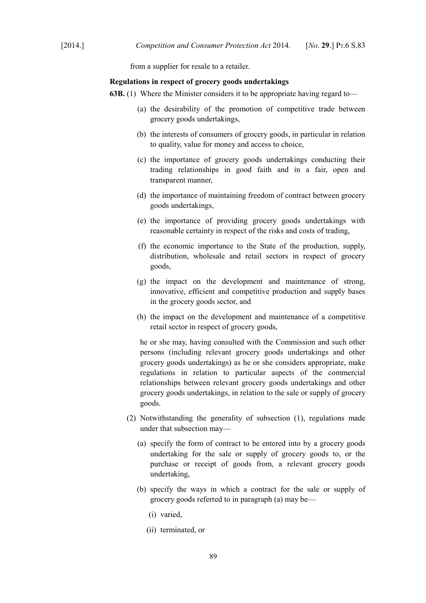from a supplier for resale to a retailer.

#### **Regulations in respect of grocery goods undertakings**

- **63B.** (1) Where the Minister considers it to be appropriate having regard to—
	- (a) the desirability of the promotion of competitive trade between grocery goods undertakings,
	- (b) the interests of consumers of grocery goods, in particular in relation to quality, value for money and access to choice,
	- (c) the importance of grocery goods undertakings conducting their trading relationships in good faith and in a fair, open and transparent manner,
	- (d) the importance of maintaining freedom of contract between grocery goods undertakings,
	- (e) the importance of providing grocery goods undertakings with reasonable certainty in respect of the risks and costs of trading,
	- (f) the economic importance to the State of the production, supply, distribution, wholesale and retail sectors in respect of grocery goods,
	- (g) the impact on the development and maintenance of strong, innovative, efficient and competitive production and supply bases in the grocery goods sector, and
	- (h) the impact on the development and maintenance of a competitive retail sector in respect of grocery goods,

he or she may, having consulted with the Commission and such other persons (including relevant grocery goods undertakings and other grocery goods undertakings) as he or she considers appropriate, make regulations in relation to particular aspects of the commercial relationships between relevant grocery goods undertakings and other grocery goods undertakings, in relation to the sale or supply of grocery goods.

- (2) Notwithstanding the generality of subsection (1), regulations made under that subsection may—
	- (a) specify the form of contract to be entered into by a grocery goods undertaking for the sale or supply of grocery goods to, or the purchase or receipt of goods from, a relevant grocery goods undertaking,
	- (b) specify the ways in which a contract for the sale or supply of grocery goods referred to in paragraph (a) may be—
		- (i) varied,
		- (ii) terminated, or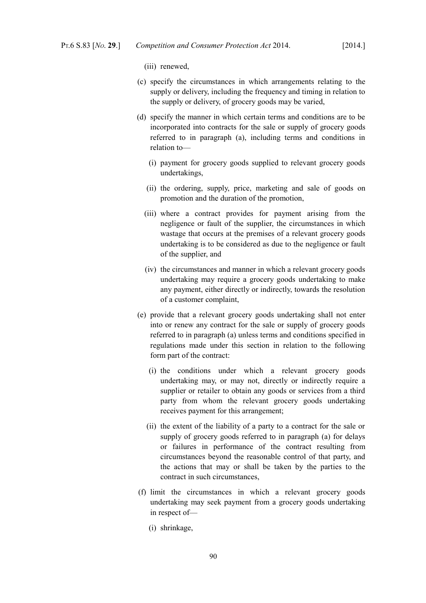(iii) renewed,

- (c) specify the circumstances in which arrangements relating to the supply or delivery, including the frequency and timing in relation to the supply or delivery, of grocery goods may be varied,
- (d) specify the manner in which certain terms and conditions are to be incorporated into contracts for the sale or supply of grocery goods referred to in paragraph (a), including terms and conditions in relation to—
	- (i) payment for grocery goods supplied to relevant grocery goods undertakings,
	- (ii) the ordering, supply, price, marketing and sale of goods on promotion and the duration of the promotion,
	- (iii) where a contract provides for payment arising from the negligence or fault of the supplier, the circumstances in which wastage that occurs at the premises of a relevant grocery goods undertaking is to be considered as due to the negligence or fault of the supplier, and
	- (iv) the circumstances and manner in which a relevant grocery goods undertaking may require a grocery goods undertaking to make any payment, either directly or indirectly, towards the resolution of a customer complaint,
- (e) provide that a relevant grocery goods undertaking shall not enter into or renew any contract for the sale or supply of grocery goods referred to in paragraph (a) unless terms and conditions specified in regulations made under this section in relation to the following form part of the contract:
	- (i) the conditions under which a relevant grocery goods undertaking may, or may not, directly or indirectly require a supplier or retailer to obtain any goods or services from a third party from whom the relevant grocery goods undertaking receives payment for this arrangement;
	- (ii) the extent of the liability of a party to a contract for the sale or supply of grocery goods referred to in paragraph (a) for delays or failures in performance of the contract resulting from circumstances beyond the reasonable control of that party, and the actions that may or shall be taken by the parties to the contract in such circumstances,
- (f) limit the circumstances in which a relevant grocery goods undertaking may seek payment from a grocery goods undertaking in respect of—
	- (i) shrinkage,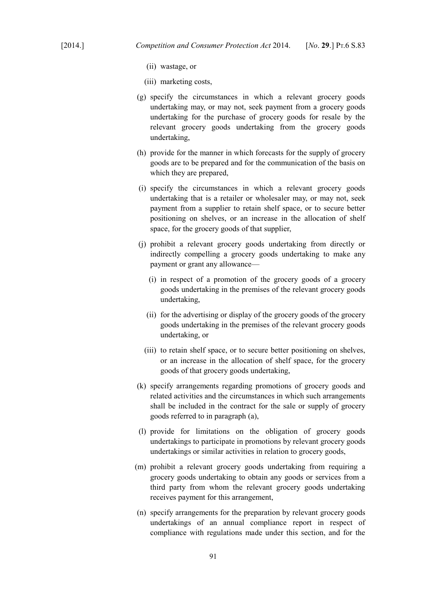- (ii) wastage, or
- (iii) marketing costs,
- (g) specify the circumstances in which a relevant grocery goods undertaking may, or may not, seek payment from a grocery goods undertaking for the purchase of grocery goods for resale by the relevant grocery goods undertaking from the grocery goods undertaking,
- (h) provide for the manner in which forecasts for the supply of grocery goods are to be prepared and for the communication of the basis on which they are prepared,
- (i) specify the circumstances in which a relevant grocery goods undertaking that is a retailer or wholesaler may, or may not, seek payment from a supplier to retain shelf space, or to secure better positioning on shelves, or an increase in the allocation of shelf space, for the grocery goods of that supplier,
- (j) prohibit a relevant grocery goods undertaking from directly or indirectly compelling a grocery goods undertaking to make any payment or grant any allowance—
	- (i) in respect of a promotion of the grocery goods of a grocery goods undertaking in the premises of the relevant grocery goods undertaking,
	- (ii) for the advertising or display of the grocery goods of the grocery goods undertaking in the premises of the relevant grocery goods undertaking, or
	- (iii) to retain shelf space, or to secure better positioning on shelves, or an increase in the allocation of shelf space, for the grocery goods of that grocery goods undertaking,
- (k) specify arrangements regarding promotions of grocery goods and related activities and the circumstances in which such arrangements shall be included in the contract for the sale or supply of grocery goods referred to in paragraph (a),
- (l) provide for limitations on the obligation of grocery goods undertakings to participate in promotions by relevant grocery goods undertakings or similar activities in relation to grocery goods,
- (m) prohibit a relevant grocery goods undertaking from requiring a grocery goods undertaking to obtain any goods or services from a third party from whom the relevant grocery goods undertaking receives payment for this arrangement,
- (n) specify arrangements for the preparation by relevant grocery goods undertakings of an annual compliance report in respect of compliance with regulations made under this section, and for the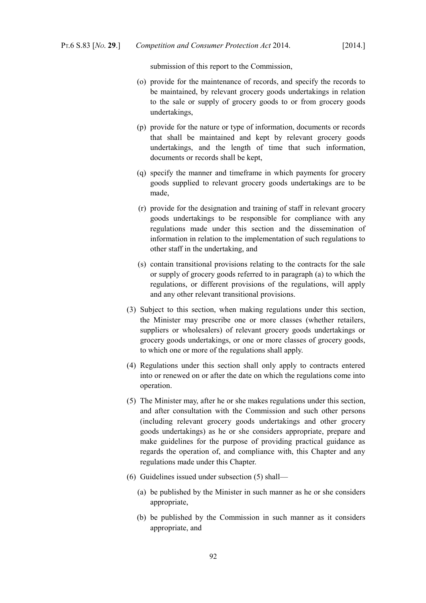submission of this report to the Commission,

- (o) provide for the maintenance of records, and specify the records to be maintained, by relevant grocery goods undertakings in relation to the sale or supply of grocery goods to or from grocery goods undertakings,
- (p) provide for the nature or type of information, documents or records that shall be maintained and kept by relevant grocery goods undertakings, and the length of time that such information, documents or records shall be kept,
- (q) specify the manner and timeframe in which payments for grocery goods supplied to relevant grocery goods undertakings are to be made,
- (r) provide for the designation and training of staff in relevant grocery goods undertakings to be responsible for compliance with any regulations made under this section and the dissemination of information in relation to the implementation of such regulations to other staff in the undertaking, and
- (s) contain transitional provisions relating to the contracts for the sale or supply of grocery goods referred to in paragraph (a) to which the regulations, or different provisions of the regulations, will apply and any other relevant transitional provisions.
- (3) Subject to this section, when making regulations under this section, the Minister may prescribe one or more classes (whether retailers, suppliers or wholesalers) of relevant grocery goods undertakings or grocery goods undertakings, or one or more classes of grocery goods, to which one or more of the regulations shall apply.
- (4) Regulations under this section shall only apply to contracts entered into or renewed on or after the date on which the regulations come into operation.
- (5) The Minister may, after he or she makes regulations under this section, and after consultation with the Commission and such other persons (including relevant grocery goods undertakings and other grocery goods undertakings) as he or she considers appropriate, prepare and make guidelines for the purpose of providing practical guidance as regards the operation of, and compliance with, this Chapter and any regulations made under this Chapter.
- (6) Guidelines issued under subsection (5) shall—
	- (a) be published by the Minister in such manner as he or she considers appropriate,
	- (b) be published by the Commission in such manner as it considers appropriate, and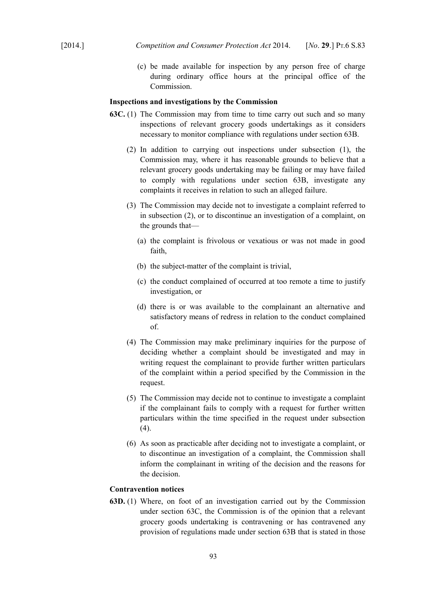(c) be made available for inspection by any person free of charge during ordinary office hours at the principal office of the Commission.

#### **Inspections and investigations by the Commission**

- **63C.** (1) The Commission may from time to time carry out such and so many inspections of relevant grocery goods undertakings as it considers necessary to monitor compliance with regulations under section 63B.
	- (2) In addition to carrying out inspections under subsection (1), the Commission may, where it has reasonable grounds to believe that a relevant grocery goods undertaking may be failing or may have failed to comply with regulations under section 63B, investigate any complaints it receives in relation to such an alleged failure.
	- (3) The Commission may decide not to investigate a complaint referred to in subsection (2), or to discontinue an investigation of a complaint, on the grounds that—
		- (a) the complaint is frivolous or vexatious or was not made in good faith,
		- (b) the subject-matter of the complaint is trivial,
		- (c) the conduct complained of occurred at too remote a time to justify investigation, or
		- (d) there is or was available to the complainant an alternative and satisfactory means of redress in relation to the conduct complained of.
	- (4) The Commission may make preliminary inquiries for the purpose of deciding whether a complaint should be investigated and may in writing request the complainant to provide further written particulars of the complaint within a period specified by the Commission in the request.
	- (5) The Commission may decide not to continue to investigate a complaint if the complainant fails to comply with a request for further written particulars within the time specified in the request under subsection (4).
	- (6) As soon as practicable after deciding not to investigate a complaint, or to discontinue an investigation of a complaint, the Commission shall inform the complainant in writing of the decision and the reasons for the decision.

# **Contravention notices**

**63D.** (1) Where, on foot of an investigation carried out by the Commission under section 63C, the Commission is of the opinion that a relevant grocery goods undertaking is contravening or has contravened any provision of regulations made under section 63B that is stated in those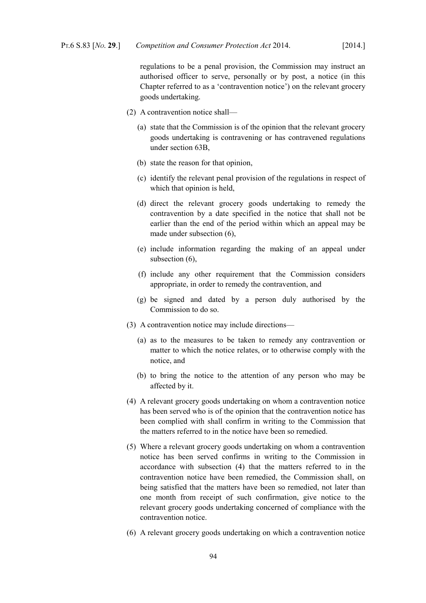regulations to be a penal provision, the Commission may instruct an authorised officer to serve, personally or by post, a notice (in this Chapter referred to as a 'contravention notice') on the relevant grocery goods undertaking.

- (2) A contravention notice shall—
	- (a) state that the Commission is of the opinion that the relevant grocery goods undertaking is contravening or has contravened regulations under section 63B,
	- (b) state the reason for that opinion,
	- (c) identify the relevant penal provision of the regulations in respect of which that opinion is held,
	- (d) direct the relevant grocery goods undertaking to remedy the contravention by a date specified in the notice that shall not be earlier than the end of the period within which an appeal may be made under subsection (6),
	- (e) include information regarding the making of an appeal under subsection (6),
	- (f) include any other requirement that the Commission considers appropriate, in order to remedy the contravention, and
	- (g) be signed and dated by a person duly authorised by the Commission to do so.
- (3) A contravention notice may include directions—
	- (a) as to the measures to be taken to remedy any contravention or matter to which the notice relates, or to otherwise comply with the notice, and
	- (b) to bring the notice to the attention of any person who may be affected by it.
- (4) A relevant grocery goods undertaking on whom a contravention notice has been served who is of the opinion that the contravention notice has been complied with shall confirm in writing to the Commission that the matters referred to in the notice have been so remedied.
- (5) Where a relevant grocery goods undertaking on whom a contravention notice has been served confirms in writing to the Commission in accordance with subsection (4) that the matters referred to in the contravention notice have been remedied, the Commission shall, on being satisfied that the matters have been so remedied, not later than one month from receipt of such confirmation, give notice to the relevant grocery goods undertaking concerned of compliance with the contravention notice.
- (6) A relevant grocery goods undertaking on which a contravention notice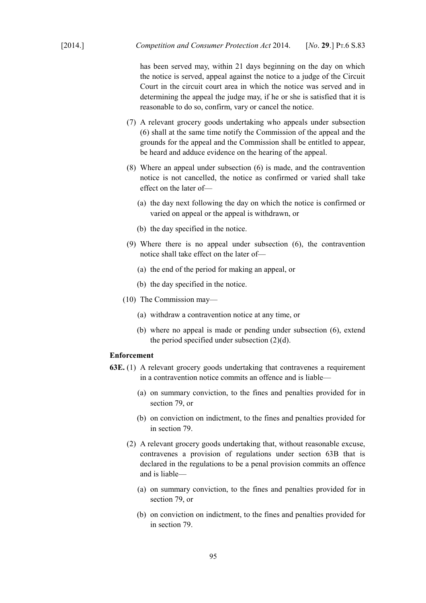has been served may, within 21 days beginning on the day on which the notice is served, appeal against the notice to a judge of the Circuit Court in the circuit court area in which the notice was served and in determining the appeal the judge may, if he or she is satisfied that it is reasonable to do so, confirm, vary or cancel the notice.

- (7) A relevant grocery goods undertaking who appeals under subsection (6) shall at the same time notify the Commission of the appeal and the grounds for the appeal and the Commission shall be entitled to appear, be heard and adduce evidence on the hearing of the appeal.
- (8) Where an appeal under subsection (6) is made, and the contravention notice is not cancelled, the notice as confirmed or varied shall take effect on the later of—
	- (a) the day next following the day on which the notice is confirmed or varied on appeal or the appeal is withdrawn, or
	- (b) the day specified in the notice.
- (9) Where there is no appeal under subsection (6), the contravention notice shall take effect on the later of—
	- (a) the end of the period for making an appeal, or
	- (b) the day specified in the notice.
- (10) The Commission may—
	- (a) withdraw a contravention notice at any time, or
	- (b) where no appeal is made or pending under subsection (6), extend the period specified under subsection (2)(d).

# **Enforcement**

- **63E.** (1) A relevant grocery goods undertaking that contravenes a requirement in a contravention notice commits an offence and is liable—
	- (a) on summary conviction, to the fines and penalties provided for in section 79, or
	- (b) on conviction on indictment, to the fines and penalties provided for in section 79.
	- (2) A relevant grocery goods undertaking that, without reasonable excuse, contravenes a provision of regulations under section 63B that is declared in the regulations to be a penal provision commits an offence and is liable—
		- (a) on summary conviction, to the fines and penalties provided for in section 79, or
		- (b) on conviction on indictment, to the fines and penalties provided for in section 79.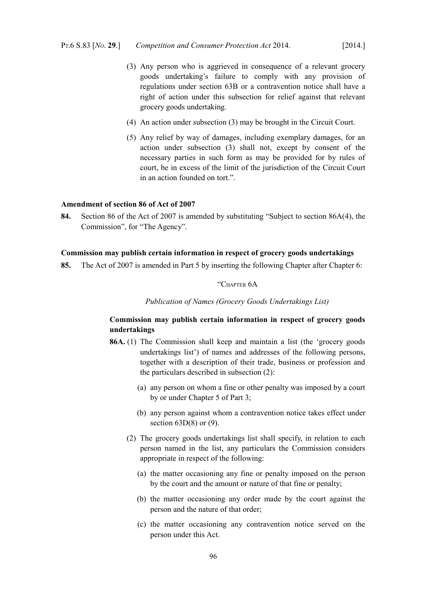grocery goods undertaking.

(4) An action under subsection (3) may be brought in the Circuit Court.

right of action under this subsection for relief against that relevant

(5) Any relief by way of damages, including exemplary damages, for an action under subsection (3) shall not, except by consent of the necessary parties in such form as may be provided for by rules of court, be in excess of the limit of the jurisdiction of the Circuit Court in an action founded on tort.".

# **Amendment of section 86 of Act of 2007**

**84.** Section 86 of the Act of 2007 is amended by substituting "Subject to section 86A(4), the Commission", for "The Agency".

#### **Commission may publish certain information in respect of grocery goods undertakings**

**85.** The Act of 2007 is amended in Part 5 by inserting the following Chapter after Chapter 6:

#### "CHAPTER 6A

*Publication of Names (Grocery Goods Undertakings List)*

# **Commission may publish certain information in respect of grocery goods undertakings**

- **86A.** (1) The Commission shall keep and maintain a list (the 'grocery goods undertakings list') of names and addresses of the following persons, together with a description of their trade, business or profession and the particulars described in subsection (2):
	- (a) any person on whom a fine or other penalty was imposed by a court by or under Chapter 5 of Part 3;
	- (b) any person against whom a contravention notice takes effect under section  $63D(8)$  or  $(9)$ .
	- (2) The grocery goods undertakings list shall specify, in relation to each person named in the list, any particulars the Commission considers appropriate in respect of the following:
		- (a) the matter occasioning any fine or penalty imposed on the person by the court and the amount or nature of that fine or penalty;
		- (b) the matter occasioning any order made by the court against the person and the nature of that order;
		- (c) the matter occasioning any contravention notice served on the person under this Act.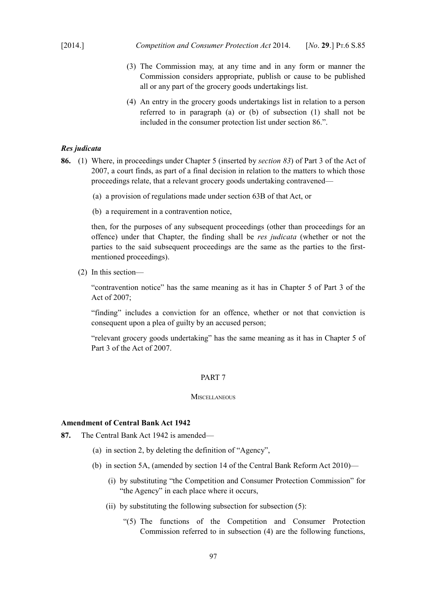- (3) The Commission may, at any time and in any form or manner the Commission considers appropriate, publish or cause to be published all or any part of the grocery goods undertakings list.
- (4) An entry in the grocery goods undertakings list in relation to a person referred to in paragraph (a) or (b) of subsection (1) shall not be included in the consumer protection list under section 86.".

# *Res judicata*

- **86.** (1) Where, in proceedings under Chapter 5 (inserted by *section [83](#page-87-0)*) of Part 3 of the Act of 2007, a court finds, as part of a final decision in relation to the matters to which those proceedings relate, that a relevant grocery goods undertaking contravened—
	- (a) a provision of regulations made under section 63B of that Act, or
	- (b) a requirement in a contravention notice,

then, for the purposes of any subsequent proceedings (other than proceedings for an offence) under that Chapter, the finding shall be *res judicata* (whether or not the parties to the said subsequent proceedings are the same as the parties to the firstmentioned proceedings).

(2) In this section—

"contravention notice" has the same meaning as it has in Chapter 5 of Part 3 of the Act of 2007;

"finding" includes a conviction for an offence, whether or not that conviction is consequent upon a plea of guilty by an accused person;

"relevant grocery goods undertaking" has the same meaning as it has in Chapter 5 of Part 3 of the Act of 2007.

### PART 7

### **MISCELLANEOUS**

## **Amendment of [Central Bank Act 1942](http://www.irishstatutebook.ie/1942/en/act/pub/0022/index.html)**

**87.** The [Central Bank Act 1942](http://www.irishstatutebook.ie/1942/en/act/pub/0022/index.html) is amended—

- (a) in section 2, by deleting the definition of "Agency",
- (b) in section 5A, (amended by section 14 of the [Central Bank Reform Act 2010\)](http://www.irishstatutebook.ie/2010/en/act/pub/0023/index.html)
	- (i) by substituting "the Competition and Consumer Protection Commission" for "the Agency" in each place where it occurs,
	- (ii) by substituting the following subsection for subsection (5):
		- "(5) The functions of the Competition and Consumer Protection Commission referred to in subsection (4) are the following functions,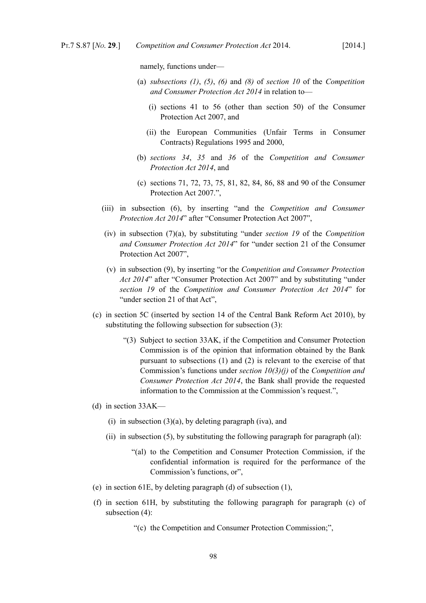namely, functions under—

- (a) *subsections [\(1\)](#page-11-1)*, *[\(5\)](#page-14-1)*, *[\(6\)](#page-14-0)* and *[\(8\)](#page-15-0)* of *section [10](#page-11-0)* of the *Competition and Consumer Protection Act 2014* in relation to—
	- (i) sections 41 to 56 (other than section 50) of the [Consumer](http://www.irishstatutebook.ie/2007/en/act/pub/0019/index.html) [Protection Act 2007,](http://www.irishstatutebook.ie/2007/en/act/pub/0019/index.html) and
	- (ii) the European Communities (Unfair Terms in Consumer Contracts) Regulations 1995 and 2000,
- (b) *sections [34](#page-35-0)*, *[35](#page-36-0)* and *[36](#page-38-0)* of the *Competition and Consumer Protection Act 2014*, and
- (c) sections 71, 72, 73, 75, 81, 82, 84, 86, 88 and 90 of the [Consumer](http://www.irishstatutebook.ie/2007/en/act/pub/0019/index.html) [Protection Act 2007.](http://www.irishstatutebook.ie/2007/en/act/pub/0019/index.html)",
- (iii) in subsection (6), by inserting "and the *Competition and Consumer Protection Act 2014*" after ["Consumer Protection Act 2007",](http://www.irishstatutebook.ie/2007/en/act/pub/0019/index.html)
- (iv) in subsection (7)(a), by substituting "under *section [19](#page-22-0)* of the *Competition and Consumer Protection Act 2014*" for "under section 21 of the [Consumer](http://www.irishstatutebook.ie/2007/en/act/pub/0019/index.html) [Protection Act 2007",](http://www.irishstatutebook.ie/2007/en/act/pub/0019/index.html)
- (v) in subsection (9), by inserting "or the *Competition and Consumer Protection Act 2014*" after ["Consumer Protection Act 2007"](http://www.irishstatutebook.ie/2007/en/act/pub/0019/index.html) and by substituting "under *section [19](#page-22-0)* of the *Competition and Consumer Protection Act 2014*" for "under section 21 of that Act",
- (c) in section 5C (inserted by section 14 of the [Central Bank Reform Act 2010\)](http://www.irishstatutebook.ie/2010/en/act/pub/0023/index.html), by substituting the following subsection for subsection (3):
	- "(3) Subject to section 33AK, if the Competition and Consumer Protection Commission is of the opinion that information obtained by the Bank pursuant to subsections (1) and (2) is relevant to the exercise of that Commission's functions under *section [10](#page-11-0)[\(3\)](#page-12-0)[\(j\)](#page-13-0)* of the *Competition and Consumer Protection Act 2014*, the Bank shall provide the requested information to the Commission at the Commission's request.",
- (d) in section 33AK—
	- (i) in subsection  $(3)(a)$ , by deleting paragraph (iva), and
	- (ii) in subsection (5), by substituting the following paragraph for paragraph (al):
		- "(al) to the Competition and Consumer Protection Commission, if the confidential information is required for the performance of the Commission's functions, or",
- (e) in section 61E, by deleting paragraph (d) of subsection (1),
- (f) in section 61H, by substituting the following paragraph for paragraph (c) of subsection (4):
	- "(c) the Competition and Consumer Protection Commission;",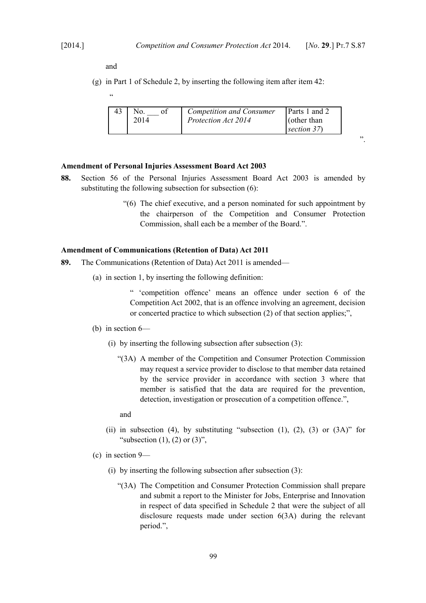".

and

.<br>.

(g) in Part 1 of Schedule 2, by inserting the following item after item 42:

|  |  | <b>Competition and Consumer</b><br>Protection Act 2014 | Parts 1 and 2<br>$\int$ (other than<br>section $37$ |
|--|--|--------------------------------------------------------|-----------------------------------------------------|
|--|--|--------------------------------------------------------|-----------------------------------------------------|

### **Amendment of [Personal Injuries Assessment Board Act 2003](http://www.irishstatutebook.ie/2003/en/act/pub/0046/index.html)**

- **88.** Section 56 of the [Personal Injuries Assessment Board Act 2003](http://www.irishstatutebook.ie/2003/en/act/pub/0046/index.html) is amended by substituting the following subsection for subsection  $(6)$ :
	- "(6) The chief executive, and a person nominated for such appointment by the chairperson of the Competition and Consumer Protection Commission, shall each be a member of the Board.".

### **Amendment of [Communications \(Retention of Data\) Act 2011](http://www.irishstatutebook.ie/2011/en/act/pub/0003/index.html)**

- **89.** The [Communications \(Retention of Data\) Act 2011](http://www.irishstatutebook.ie/2011/en/act/pub/0003/index.html) is amended—
	- (a) in section 1, by inserting the following definition:

" 'competition offence' means an offence under section 6 of the [Competition Act 2002,](http://www.irishstatutebook.ie/2002/en/act/pub/0014/index.html) that is an offence involving an agreement, decision or concerted practice to which subsection (2) of that section applies;",

#### (b) in section 6—

- (i) by inserting the following subsection after subsection (3):
	- "(3A) A member of the Competition and Consumer Protection Commission may request a service provider to disclose to that member data retained by the service provider in accordance with section 3 where that member is satisfied that the data are required for the prevention, detection, investigation or prosecution of a competition offence.",

and

- (ii) in subsection (4), by substituting "subsection  $(1)$ ,  $(2)$ ,  $(3)$  or  $(3A)$ " for "subsection  $(1)$ ,  $(2)$  or  $(3)$ ",
- (c) in section 9—
	- (i) by inserting the following subsection after subsection (3):
		- "(3A) The Competition and Consumer Protection Commission shall prepare and submit a report to the Minister for Jobs, Enterprise and Innovation in respect of data specified in Schedule 2 that were the subject of all disclosure requests made under section 6(3A) during the relevant period.",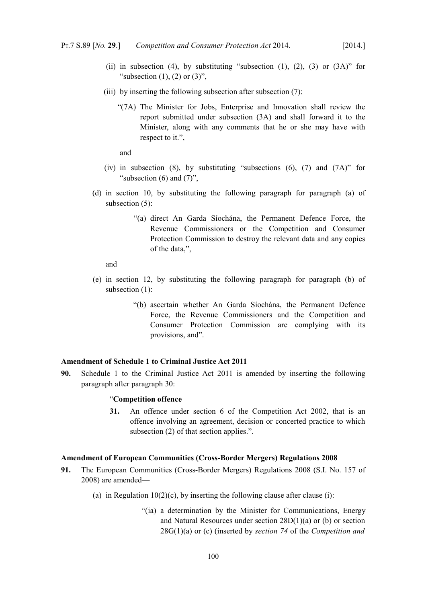- (ii) in subsection (4), by substituting "subsection (1), (2), (3) or  $(3A)$ " for "subsection  $(1)$ ,  $(2)$  or  $(3)$ ".
- (iii) by inserting the following subsection after subsection (7):
	- "(7A) The Minister for Jobs, Enterprise and Innovation shall review the report submitted under subsection (3A) and shall forward it to the Minister, along with any comments that he or she may have with respect to it.",

and

- (iv) in subsection (8), by substituting "subsections (6), (7) and (7A)" for "subsection  $(6)$  and  $(7)$ ",
- (d) in section 10, by substituting the following paragraph for paragraph (a) of subsection (5):
	- "(a) direct An Garda Síochána, the Permanent Defence Force, the Revenue Commissioners or the Competition and Consumer Protection Commission to destroy the relevant data and any copies of the data,",

and

- (e) in section 12, by substituting the following paragraph for paragraph (b) of subsection (1):
	- "(b) ascertain whether An Garda Síochána, the Permanent Defence Force, the Revenue Commissioners and the Competition and Consumer Protection Commission are complying with its provisions, and".

## **Amendment of Schedule 1 to Criminal Justice Act 2011**

**90.** Schedule 1 to the [Criminal Justice Act 2011](http://www.irishstatutebook.ie/2011/en/act/pub/0022/index.html) is amended by inserting the following paragraph after paragraph 30:

#### "**Competition offence**

**31.** An offence under section 6 of the [Competition Act 2002,](http://www.irishstatutebook.ie/2002/en/act/pub/0014/index.html) that is an offence involving an agreement, decision or concerted practice to which subsection (2) of that section applies.".

### **Amendment of European Communities (Cross-Border Mergers) Regulations 2008**

- **91.** The European Communities (Cross-Border Mergers) Regulations 2008 (S.I. No. 157 of 2008) are amended—
	- (a) in Regulation  $10(2)(c)$ , by inserting the following clause after clause (i):
		- "(ia) a determination by the Minister for Communications, Energy and Natural Resources under section 28D(1)(a) or (b) or section 28G(1)(a) or (c) (inserted by *section [74](#page-57-0)* of the *Competition and*